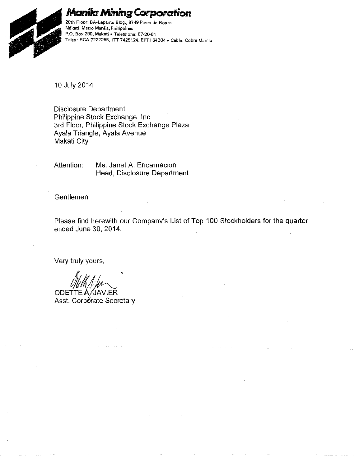

## **Manila Mining Corporation**

**20th Floor, BA-Lepanto Bldg., 8749 Paseo de Roxas Milkati, Metro Manila, Philippines P.O. Box 299, Makatj • Telephone: 87-20-61 Telex: RCA 7222255, ITT 7425124, EPTI 64204 • Cable: CobreManila** 

10 July 2014

Disclosure Department Philippine Stock Exchange, Inc. 3rd Floor, Philippine Stock Exchange Plaza Ayala Triangle, Ayala Avenue Makati City

Attention: Ms. Janet A. Encarnacion Head, Disclosure Department

Gentlemen:

Please find herewith our Company's List of Top 100 Stockholders for the quarter ended June 30, 2014.

Very truly yours,

Mith April

ODETTE A/JAVIER Asst. Corporate Secretary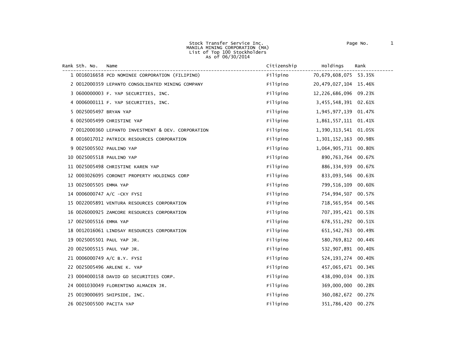Stock Transfer Service Inc. The Contract of Page No. 2012 1 MANILA MINING CORPORATION (MA) List of Top 100 Stockholders<br>As of 06/30/2014

Rank Sth. No. Name Citizenship Holdings Rank ------------------------------------------------------------------------------------------------------------------------ <sup>1</sup> <sup>0016016658</sup> PCD NOMINEE CORPORATION (FILIPINO) Filipino 70,679,608,075 53.35% 0012000359 LEPANTO CONSOLIDATED MINING COMPANY Filipino 20,479,027,104 15.46% 0600000003 F. YAP SECURITIES, INC. Filipino 12,226,686,096 09.23% 0006000111 F. YAP SECURITIES, INC. Filipino 3,455,548,391 02.61% 0025005497 BRYAN YAP Filipino 1,945,977,139 01.47% 0025005499 CHRISTINE YAP Filipino 1,861,557,111 01.41% 0012000360 LEPANTO INVESTMENT & DEV. CORPORATION Filipino 1,390,313,541 01.05% 0016017012 PATRICK RESOURCES CORPORATION Filipino 1,301,152,163 00.98% 0025005502 PAULINO YAP Filipino 1,064,905,731 00.80% 0025005518 PAULINO YAP Filipino 890,763,764 00.67% 0025005498 CHRISTINE KAREN YAP Filipino 886,334,939 00.67% 0003026095 CORONET PROPERTY HOLDINGS CORP Filipino 833,093,546 00.63% 0025005505 EMMA YAP Filipino 799,516,109 00.60% 0006000747 A/C -CKY FYSI Filipino 754,994,507 00.57% 0022005891 VENTURA RESOURCES CORPORATION Filipino 718,565,954 00.54% 0026000925 ZAMCORE RESOURCES CORPORATION Filipino 707,395,421 00.53% 0025005516 EMMA YAP Filipino 678,551,292 00.51% 0012016061 LINDSAY RESOURCES CORPORATION Filipino 651,542,763 00.49% 0025005501 PAUL YAP JR. Filipino 580,769,812 00.44% 0025005515 PAUL YAP JR. Filipino 532,907,891 00.40% 0006000749 A/C B.Y. FYSI Filipino 524,193,274 00.40% 0025005496 ARLENE K. YAP Filipino 457,065,671 00.34% 0004000158 DAVID GO SECURITIES CORP. Filipino 438,090,034 00.33% 0001030049 FLORENTINO ALMACEN JR. Filipino 369,000,000 00.28% 0019000695 SHIPSIDE, INC. Filipino 360,082,672 00.27% 0025005500 PACITA YAP Filipino 351,786,420 00.27%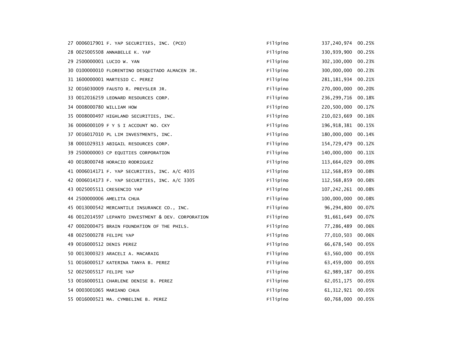| 27 0006017901 F. YAP SECURITIES, INC. (PCD)         | Filipino | 337,240,974           | 00.25% |
|-----------------------------------------------------|----------|-----------------------|--------|
| 28 0025005508 ANNABELLE K. YAP                      | Filipino | 330,939,900           | 00.25% |
| 29 2500000001 LUCIO W. YAN                          | Filipino | 302,100,000           | 00.23% |
| 30 0100000010 FLORENTINO DESQUITADO ALMACEN JR.     | Filipino | 300,000,000 00.23%    |        |
| 31 1600000001 MARTESIO C. PEREZ                     | Filipino | 281, 181, 934 00. 21% |        |
| 32 0016030009 FAUSTO R. PREYSLER JR.                | Filipino | 270,000,000           | 00.20% |
| 33 0012016259 LEONARD RESOURCES CORP.               | Filipino | 236, 299, 716         | 00.18% |
| 34 0008000780 WILLIAM HOW                           | Filipino | 220,500,000           | 00.17% |
|                                                     | Filipino | 210,023,669           | 00.16% |
| 35 0008000497 HIGHLAND SECURITIES, INC.             |          |                       |        |
| 36 0006000109 F Y S I ACCOUNT NO. CKY               | Filipino | 196, 918, 381         | 00.15% |
| 37 0016017010 PL LIM INVESTMENTS, INC.              | Filipino | 180,000,000           | 00.14% |
| 38 0001029313 ABIGAIL RESOURCES CORP.               | Filipino | 154,729,479 00.12%    |        |
| 39 2500000003 CP EQUITIES CORPORATION               | Filipino | 140,000,000           | 00.11% |
| 40 0018000748 HORACIO RODRIGUEZ                     | Filipino | 113,664,029           | 00.09% |
| 41 0006014171 F. YAP SECURITIES, INC. A/C 4035      | Filipino | 112,568,859           | 00.08% |
| 42 0006014173 F. YAP SECURITIES, INC. A/C 3305      | Filipino | 112,568,859           | 00.08% |
| 43 0025005511 CRESENCIO YAP                         | Filipino | 107, 242, 261         | 00.08% |
| 44 2500000006 AMELITA CHUA                          | Filipino | 100,000,000           | 00.08% |
| 45 0013000542 MERCANTILE INSURANCE CO., INC.        | Filipino | 96, 294, 800          | 00.07% |
| 46 0012014597 LEPANTO INVESTMENT & DEV. CORPORATION | Filipino | 91,661,649            | 00.07% |
| 47 0002000475 BRAIN FOUNDATION OF THE PHILS.        | Filipino | 77,286,489            | 00.06% |
| 48 0025000278 FELIPE YAP                            | Filipino | 77,010,503            | 00.06% |
| 49 0016000512 DENIS PEREZ                           | Filipino | 66,678,540 00.05%     |        |
| 50 0013000323 ARACELI A. MACARAIG                   | Filipino | 63,560,000            | 00.05% |
| 51 0016000517 KATERINA TANYA B. PEREZ               | Filipino | 63,459,000            | 00.05% |
| 52 0025005517 FELIPE YAP                            | Filipino | 62,989,187 00.05%     |        |
| 53 0016000511 CHARLENE DENISE B. PEREZ              | Filipino | 62,051,175            | 00.05% |
| 54 0003001065 MARIANO CHUA                          | Filipino | 61, 312, 921          | 00.05% |
| 55 0016000521 MA. CYMBELINE B. PEREZ                | Filipino | 60,768,000 00.05%     |        |
|                                                     |          |                       |        |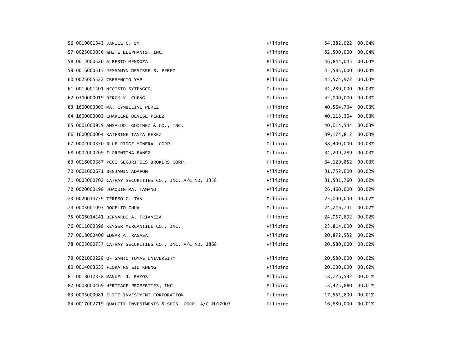|                            | 56 0019001343 JANICE C. SY                                  | Filipino | 54, 382, 022      | 00.04% |
|----------------------------|-------------------------------------------------------------|----------|-------------------|--------|
|                            | 57 0023000056 WHITE ELEPHANTS, INC.                         | Filipino | 52,500,000        | 00.04% |
|                            | 58 0013000520 ALBERTO MENDOZA                               | Filipino | 46, 844, 045      | 00.04% |
|                            | 59 0016000515 JESSAMYN DESIREE B. PEREZ                     | Filipino | 45,585,000        | 00.03% |
|                            | 60 0025005522 CRESENCIO YAP                                 | Filipino | 45,574,972        | 00.03% |
|                            | 61 0019001401 NECISTO SYTENGCO                              | Filipino | 44,280,000        | 00.03% |
|                            | 62 0300000019 BERCK Y. CHENG                                | Filipino | 42,000,000        | 00.03% |
|                            | 63 1600000005 MA. CYMBELINE PEREZ                           | Filipino | 40,564,704        | 00.03% |
|                            | 64 1600000003 CHARLENE DENISE PEREZ                         | Filipino | 40, 113, 364      | 00.03% |
|                            | 65 0001000959 ANSALDO, GODINEZ & CO., INC.                  | Filipino | 40,014,544        | 00.03% |
|                            | 66 1600000004 KATERINE TANYA PEREZ                          | Filipino | 39, 174, 817      | 00.03% |
|                            | 67 0002000370 BLUE RIDGE MINERAL CORP.                      | Filipino | 38,400,000        | 00.03% |
|                            | 68 0002000209 FLORENTINA BANEZ                              | Filipino | 34,209,289        | 00.03% |
|                            | 69 0016000387 PCCI SECURITIES BROKERS CORP.                 | Filipino | 34, 129, 852      | 00.03% |
|                            | 70 0001000671 BENJAMIN ADAPON                               | Filipino | 31,752,000        | 00.02% |
|                            | 71 0003000702 CATHAY SECURITIES CO., INC. A/C NO. 1358      | Filipino | 31,531,760        | 00.02% |
|                            | 72 0020000198 JOAQUIN MA. TAMANO                            | Filipino | 26,460,000        | 00.02% |
|                            | 73 0020014739 TERESO C. TAN                                 | Filipino | 25,000,000        | 00.02% |
| 74 0003001093 ROGELIO CHUA |                                                             | Filipino | 24, 246, 741      | 00.02% |
|                            | 75 0006014141 BERNARDO A. FRIANEZA                          | Filipino | 24,067,802        | 00.02% |
|                            | 76 0011000398 KEYSER MERCANTILE CO., INC.                   | Filipino | 23,814,000        | 00.02% |
|                            | 77 0018000400 EDGAR A. RAGASA                               | Filipino | 20,872,552        | 00.02% |
|                            | 78 0003000757 CATHAY SECURITIES CO., INC. A/C NO. 1868      | Filipino | 20,580,000 00.02% |        |
|                            | 79 0021000228 OF SANTO TOMAS UNIVERSITY                     | Filipino | 20,580,000        | 00.02% |
|                            | 80 0014003635 FLORA NG SIU KHENG                            | Filipino | 20,000,000        | 00.02% |
|                            | 81 0018012338 MANUEL J. RAMOS                               | Filipino | 18,726,592        | 00.01% |
|                            | 82 0008000469 HERITAGE PROPERTIES, INC.                     | Filipino | 18,425,880 00.01% |        |
|                            | 83 0005000081 ELITE INVESTMENT CORPORATION                  | Filipino | 17,551,800        | 00.01% |
|                            | 84 0017002719 QUALITY INVESTMENTS & SECS. CORP. A/C #017003 | Filipino | 16,880,000        | 00.01% |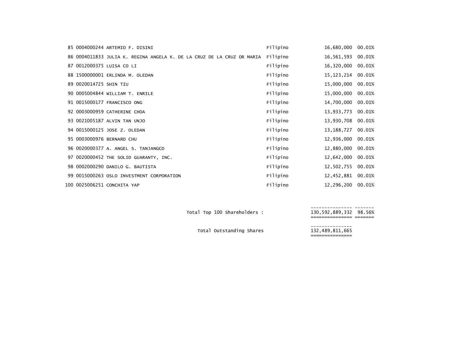|                        | 85 0004000244 ARTEMIO F. DISINI                                        | Filipino | 16,680,000        | 00.01% |
|------------------------|------------------------------------------------------------------------|----------|-------------------|--------|
|                        | 86 0004011833 JULIA K. REGINA ANGELA K. DE LA CRUZ DE LA CRUZ OR MARIA | Filipino | 16,561,593        | 00.01% |
|                        | 87 0012000375 LUISA CO LI                                              | Filipino | 16,320,000        | 00.01% |
|                        | 88 1500000001 ERLINDA M. OLEDAN                                        | Filipino | 15, 123, 214      | 00.01% |
| 89 0020014725 SHIN TIU |                                                                        | Filipino | 15,000,000        | 00.01% |
|                        | 90 0005004844 WILLIAM T. ENRILE                                        | Filipino | 15,000,000        | 00.01% |
|                        | 91 0015000177 FRANCISCO ONG                                            | Filipino | 14,700,000        | 00.01% |
|                        | 92 0003000959 CATHERINE CHOA                                           | Filipino | 13,933,773        | 00.01% |
|                        | 93 0021005187 ALVIN TAN UNJO                                           | Filipino | 13,930,708        | 00.01% |
|                        | 94 0015000125 JOSE Z. OLEDAN                                           | Filipino | 13, 188, 727      | 00.01% |
|                        | 95 0003000976 BERNARD CHU                                              | Filipino | 12,936,000        | 00.01% |
|                        | 96 0020000377 A. ANGEL S. TANJANGCO                                    | Filipino | 12,880,000        | 00.01% |
|                        | 97 0020000452 THE SOLID GUARANTY, INC.                                 | Filipino | 12,642,000        | 00.01% |
|                        | 98 0002000290 DANILO G. BAUTISTA                                       | Filipino | 12,502,755        | 00.01% |
|                        | 99 0015000263 OSLO INVESTMENT CORPORATION                              | Filipino | 12,452,881        | 00.01% |
|                        | 100 0025006251 CONCHITA YAP                                            | Filipino | 12,296,200 00.01% |        |

--------------- ------- Total Top <sup>100</sup> Shareholders : 130,592,889,332 98.56% =============== =======

--------------- Total Outstanding Shares 132,489,811,665 ===============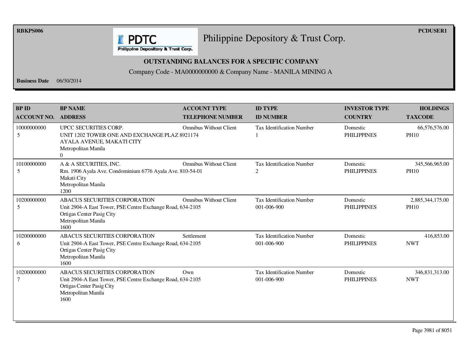**RBKPS006 PCDUSER1** 

## Philippine Depository & Trust Corp.

Philippine Depository & Trust Corp.

**E** PDTC

## **OUTSTANDING BALANCES FOR A SPECIFIC COMPANY**

Company Code - MA0000000000 & Company Name - MANILA MINING A

**Business Date** 06/30/2014

| <b>BPID</b><br><b>ACCOUNT NO.</b> | <b>BP NAME</b><br><b>ADDRESS</b>                                                                                                                               | <b>ACCOUNT TYPE</b><br><b>TELEPHONE NUMBER</b> | <b>ID TYPE</b><br><b>ID NUMBER</b>              | <b>INVESTOR TYPE</b><br><b>COUNTRY</b> | <b>HOLDINGS</b><br><b>TAXCODE</b> |
|-----------------------------------|----------------------------------------------------------------------------------------------------------------------------------------------------------------|------------------------------------------------|-------------------------------------------------|----------------------------------------|-----------------------------------|
| 10000000000<br>5                  | UPCC SECURITIES CORP.<br>UNIT 1202 TOWER ONE AND EXCHANGE PLAZ 8921174<br>AYALA AVENUE, MAKATI CITY<br>Metropolitan Manila<br>$\Omega$                         | <b>Omnibus Without Client</b>                  | <b>Tax Identification Number</b>                | Domestic<br><b>PHILIPPINES</b>         | 66,576,576.00<br><b>PH10</b>      |
| 10100000000<br>5                  | A & A SECURITIES, INC.<br>Rm. 1906 Ayala Ave. Condominium 6776 Ayala Ave. 810-54-01<br>Makati City<br>Metropolitan Manila<br>1200                              | <b>Omnibus Without Client</b>                  | Tax Identification Number<br>2                  | Domestic<br><b>PHILIPPINES</b>         | 345,566,965.00<br><b>PH10</b>     |
| 10200000000<br>5                  | <b>ABACUS SECURITIES CORPORATION</b><br>Unit 2904-A East Tower, PSE Centre Exchange Road, 634-2105<br>Ortigas Center Pasig City<br>Metropolitan Manila<br>1600 | <b>Omnibus Without Client</b>                  | <b>Tax Identification Number</b><br>001-006-900 | Domestic<br><b>PHILIPPINES</b>         | 2,885,344,175.00<br><b>PH10</b>   |
| 10200000000<br>6                  | <b>ABACUS SECURITIES CORPORATION</b><br>Unit 2904-A East Tower, PSE Centre Exchange Road, 634-2105<br>Ortigas Center Pasig City<br>Metropolitan Manila<br>1600 | Settlement                                     | <b>Tax Identification Number</b><br>001-006-900 | Domestic<br><b>PHILIPPINES</b>         | 416,853.00<br><b>NWT</b>          |
| 10200000000                       | ABACUS SECURITIES CORPORATION<br>Unit 2904-A East Tower, PSE Centre Exchange Road, 634-2105<br>Ortigas Center Pasig City<br>Metropolitan Manila<br>1600        | $Qw$ n                                         | <b>Tax Identification Number</b><br>001-006-900 | Domestic<br><b>PHILIPPINES</b>         | 346,831,313.00<br><b>NWT</b>      |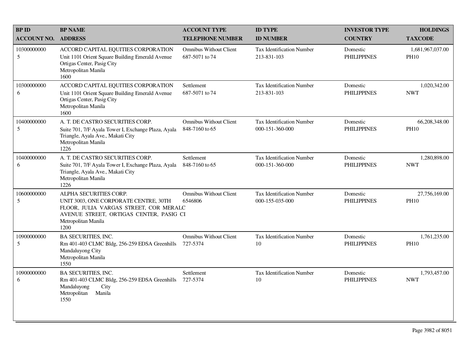| <b>BPID</b>        | <b>BP NAME</b>                                                                                                                                                                      | <b>ACCOUNT TYPE</b>                             | <b>ID TYPE</b>                                      | <b>INVESTOR TYPE</b>           | <b>HOLDINGS</b>                 |
|--------------------|-------------------------------------------------------------------------------------------------------------------------------------------------------------------------------------|-------------------------------------------------|-----------------------------------------------------|--------------------------------|---------------------------------|
| <b>ACCOUNT NO.</b> | <b>ADDRESS</b>                                                                                                                                                                      | <b>TELEPHONE NUMBER</b>                         | <b>ID NUMBER</b>                                    | <b>COUNTRY</b>                 | <b>TAXCODE</b>                  |
| 10300000000<br>5   | ACCORD CAPITAL EQUITIES CORPORATION<br>Unit 1101 Orient Square Building Emerald Avenue<br>Ortigas Center, Pasig City<br>Metropolitan Manila<br>1600                                 | <b>Omnibus Without Client</b><br>687-5071 to 74 | Tax Identification Number<br>213-831-103            | Domestic<br><b>PHILIPPINES</b> | 1,681,967,037.00<br><b>PH10</b> |
| 10300000000<br>6   | ACCORD CAPITAL EQUITIES CORPORATION<br>Unit 1101 Orient Square Building Emerald Avenue<br>Ortigas Center, Pasig City<br>Metropolitan Manila<br>1600                                 | Settlement<br>687-5071 to 74                    | Tax Identification Number<br>213-831-103            | Domestic<br><b>PHILIPPINES</b> | 1,020,342.00<br><b>NWT</b>      |
| 10400000000<br>5   | A. T. DE CASTRO SECURITIES CORP.<br>Suite 701, 7/F Ayala Tower I, Exchange Plaza, Ayala<br>Triangle, Ayala Ave., Makati City<br>Metropolitan Manila<br>1226                         | <b>Omnibus Without Client</b><br>848-7160 to 65 | <b>Tax Identification Number</b><br>000-151-360-000 | Domestic<br><b>PHILIPPINES</b> | 66,208,348.00<br><b>PH10</b>    |
| 10400000000<br>6   | A. T. DE CASTRO SECURITIES CORP.<br>Suite 701, 7/F Ayala Tower I, Exchange Plaza, Ayala<br>Triangle, Ayala Ave., Makati City<br>Metropolitan Manila<br>1226                         | Settlement<br>848-7160 to 65                    | <b>Tax Identification Number</b><br>000-151-360-000 | Domestic<br><b>PHILIPPINES</b> | 1,280,898.00<br><b>NWT</b>      |
| 10600000000<br>5   | ALPHA SECURITIES CORP.<br>UNIT 3003, ONE CORPORATE CENTRE, 30TH<br>FLOOR, JULIA VARGAS STREET, COR MERALC<br>AVENUE STREET, ORTIGAS CENTER, PASIG CI<br>Metropolitan Manila<br>1200 | <b>Omnibus Without Client</b><br>6546806        | Tax Identification Number<br>000-155-035-000        | Domestic<br><b>PHILIPPINES</b> | 27,756,169.00<br><b>PH10</b>    |
| 10900000000<br>5   | <b>BA SECURITIES, INC.</b><br>Rm 401-403 CLMC Bldg, 256-259 EDSA Greenhills<br>Mandaluyong City<br>Metropolitan Manila<br>1550                                                      | <b>Omnibus Without Client</b><br>727-5374       | Tax Identification Number<br>10                     | Domestic<br><b>PHILIPPINES</b> | 1,761,235.00<br><b>PH10</b>     |
| 10900000000<br>6   | <b>BA SECURITIES, INC.</b><br>Rm 401-403 CLMC Bldg, 256-259 EDSA Greenhills<br>Mandaluyong<br>City<br>Metropolitan<br>Manila<br>1550                                                | Settlement<br>727-5374                          | Tax Identification Number<br>10                     | Domestic<br><b>PHILIPPINES</b> | 1,793,457.00<br><b>NWT</b>      |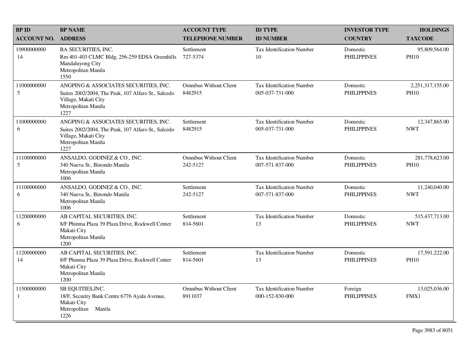| <b>BPID</b>                 | <b>BP NAME</b>                                                                                                                                      | <b>ACCOUNT TYPE</b>                       | <b>ID TYPE</b>                                      | <b>INVESTOR TYPE</b>           | <b>HOLDINGS</b>                 |
|-----------------------------|-----------------------------------------------------------------------------------------------------------------------------------------------------|-------------------------------------------|-----------------------------------------------------|--------------------------------|---------------------------------|
| <b>ACCOUNT NO.</b>          | <b>ADDRESS</b>                                                                                                                                      | <b>TELEPHONE NUMBER</b>                   | <b>ID NUMBER</b>                                    | <b>COUNTRY</b>                 | <b>TAXCODE</b>                  |
| 10900000000<br>14           | <b>BA SECURITIES, INC.</b><br>Rm 401-403 CLMC Bldg, 256-259 EDSA Greenhills<br>Mandaluyong City<br>Metropolitan Manila<br>1550                      | Settlement<br>727-5374                    | <b>Tax Identification Number</b><br>10              | Domestic<br><b>PHILIPPINES</b> | 95,809,564.00<br><b>PH10</b>    |
| 11000000000<br>5            | ANGPING & ASSOCIATES SECURITIES, INC.<br>Suites 2002/2004, The Peak, 107 Alfaro St., Salcedo<br>Village, Makati City<br>Metropolitan Manila<br>1227 | Omnibus Without Client<br>8482915         | Tax Identification Number<br>005-037-731-000        | Domestic<br><b>PHILIPPINES</b> | 2,251,317,155.00<br><b>PH10</b> |
| 11000000000<br>6            | ANGPING & ASSOCIATES SECURITIES, INC.<br>Suites 2002/2004, The Peak, 107 Alfaro St., Salcedo<br>Village, Makati City<br>Metropolitan Manila<br>1227 | Settlement<br>8482915                     | <b>Tax Identification Number</b><br>005-037-731-000 | Domestic<br><b>PHILIPPINES</b> | 12,347,865.00<br><b>NWT</b>     |
| 11100000000<br>5            | ANSALDO, GODINEZ & CO., INC.<br>340 Nueva St., Binondo Manila<br>Metropolitan Manila<br>1006                                                        | <b>Omnibus Without Client</b><br>242-5127 | <b>Tax Identification Number</b><br>007-571-837-000 | Domestic<br><b>PHILIPPINES</b> | 281,778,623.00<br><b>PH10</b>   |
| 11100000000<br>6            | ANSALDO, GODINEZ & CO., INC.<br>340 Nueva St., Binondo Manila<br>Metropolitan Manila<br>1006                                                        | Settlement<br>242-5127                    | Tax Identification Number<br>007-571-837-000        | Domestic<br><b>PHILIPPINES</b> | 11,240,040.00<br><b>NWT</b>     |
| 11200000000<br>6            | AB CAPITAL SECURITIES, INC.<br>8/F Phinma Plaza 39 Plaza Drive, Rockwell Center<br>Makati City<br>Metropolitan Manila<br>1200                       | Settlement<br>814-5601                    | Tax Identification Number<br>13                     | Domestic<br><b>PHILIPPINES</b> | 515,437,713.00<br><b>NWT</b>    |
| 11200000000<br>14           | AB CAPITAL SECURITIES, INC.<br>8/F Phinma Plaza 39 Plaza Drive, Rockwell Center<br>Makati City<br>Metropolitan Manila<br>1200                       | Settlement<br>814-5601                    | Tax Identification Number<br>13                     | Domestic<br><b>PHILIPPINES</b> | 17,591,222.00<br><b>PH10</b>    |
| 11500000000<br>$\mathbf{1}$ | SB EQUITIES, INC.<br>18/F, Security Bank Centre 6776 Ayala Avenue,<br>Makati City<br>Metropolitan<br>Manila<br>1226                                 | <b>Omnibus Without Client</b><br>8911037  | <b>Tax Identification Number</b><br>000-152-830-000 | Foreign<br><b>PHILIPPINES</b>  | 13,025,036.00<br>FMX1           |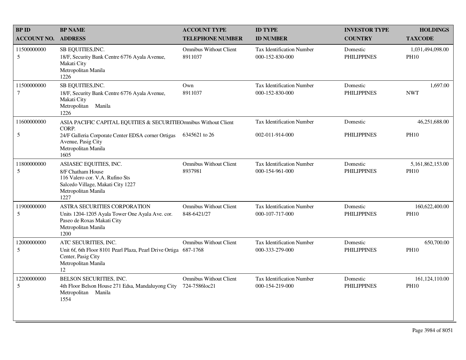| <b>BPID</b>        | <b>BP NAME</b>                                                                                                                                     | <b>ACCOUNT TYPE</b>                            | <b>ID TYPE</b>                                      | <b>INVESTOR TYPE</b>           | <b>HOLDINGS</b>                 |
|--------------------|----------------------------------------------------------------------------------------------------------------------------------------------------|------------------------------------------------|-----------------------------------------------------|--------------------------------|---------------------------------|
| <b>ACCOUNT NO.</b> | <b>ADDRESS</b>                                                                                                                                     | <b>TELEPHONE NUMBER</b>                        | <b>ID NUMBER</b>                                    | <b>COUNTRY</b>                 | <b>TAXCODE</b>                  |
| 11500000000<br>5   | SB EQUITIES, INC.<br>18/F, Security Bank Centre 6776 Ayala Avenue,<br>Makati City<br>Metropolitan Manila<br>1226                                   | <b>Omnibus Without Client</b><br>8911037       | Tax Identification Number<br>000-152-830-000        | Domestic<br><b>PHILIPPINES</b> | 1,031,494,098.00<br><b>PH10</b> |
| 11500000000<br>7   | SB EQUITIES, INC.<br>18/F, Security Bank Centre 6776 Ayala Avenue,<br>Makati City<br>Metropolitan<br>Manila<br>1226                                | Own<br>8911037                                 | Tax Identification Number<br>000-152-830-000        | Domestic<br><b>PHILIPPINES</b> | 1,697.00<br><b>NWT</b>          |
| 11600000000        | ASIA PACIFIC CAPITAL EQUITIES & SECURITIEOmnibus Without Client<br>CORP.                                                                           |                                                | <b>Tax Identification Number</b>                    | Domestic                       | 46,251,688.00                   |
| 5                  | 24/F Galleria Corporate Center EDSA corner Ortigas<br>Avenue, Pasig City<br>Metropolitan Manila<br>1605                                            | 6345621 to 26                                  | 002-011-914-000                                     | <b>PHILIPPINES</b>             | <b>PH10</b>                     |
| 11800000000<br>5   | ASIASEC EQUITIES, INC.<br>8/F Chatham House<br>116 Valero cor. V.A. Rufino Sts<br>Salcedo Village, Makati City 1227<br>Metropolitan Manila<br>1227 | <b>Omnibus Without Client</b><br>8937981       | Tax Identification Number<br>000-154-961-000        | Domestic<br><b>PHILIPPINES</b> | 5,161,862,153.00<br><b>PH10</b> |
| 11900000000<br>5   | ASTRA SECURITIES CORPORATION<br>Units 1204-1205 Ayala Tower One Ayala Ave. cor.<br>Paseo de Roxas Makati City<br>Metropolitan Manila<br>1200       | <b>Omnibus Without Client</b><br>848-6421/27   | <b>Tax Identification Number</b><br>000-107-717-000 | Domestic<br><b>PHILIPPINES</b> | 160,622,400.00<br><b>PH10</b>   |
| 12000000000<br>5   | ATC SECURITIES, INC.<br>Unit 6f, 6th Floor 8101 Pearl Plaza, Pearl Drive Ortiga 687-1768<br>Center, Pasig City<br>Metropolitan Manila<br>12        | <b>Omnibus Without Client</b>                  | <b>Tax Identification Number</b><br>000-333-279-000 | Domestic<br><b>PHILIPPINES</b> | 650,700.00<br><b>PH10</b>       |
| 12200000000<br>5   | BELSON SECURITIES, INC.<br>4th Floor Belson House 271 Edsa, Mandaluyong City<br>Metropolitan Manila<br>1554                                        | <b>Omnibus Without Client</b><br>724-7586loc21 | <b>Tax Identification Number</b><br>000-154-219-000 | Domestic<br><b>PHILIPPINES</b> | 161, 124, 110.00<br><b>PH10</b> |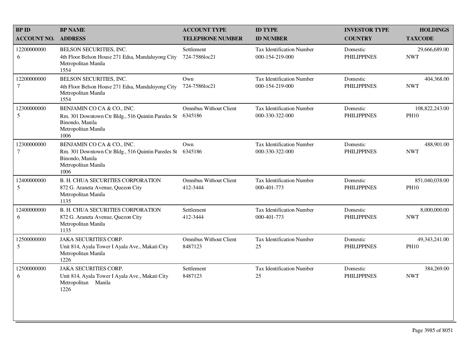| <b>BP ID</b>          | <b>BP NAME</b>                                                                                                                     | <b>ACCOUNT TYPE</b>                       | <b>ID TYPE</b>                                      | <b>INVESTOR TYPE</b>           | <b>HOLDINGS</b>               |
|-----------------------|------------------------------------------------------------------------------------------------------------------------------------|-------------------------------------------|-----------------------------------------------------|--------------------------------|-------------------------------|
| <b>ACCOUNT NO.</b>    | <b>ADDRESS</b>                                                                                                                     | <b>TELEPHONE NUMBER</b>                   | <b>ID NUMBER</b>                                    | <b>COUNTRY</b>                 | <b>TAXCODE</b>                |
| 12200000000<br>6      | BELSON SECURITIES, INC.<br>4th Floor Belson House 271 Edsa, Mandaluyong City<br>Metropolitan Manila<br>1554                        | Settlement<br>724-7586loc21               | <b>Tax Identification Number</b><br>000-154-219-000 | Domestic<br><b>PHILIPPINES</b> | 29,666,689.00<br><b>NWT</b>   |
| 12200000000<br>$\tau$ | BELSON SECURITIES, INC.<br>4th Floor Belson House 271 Edsa, Mandaluyong City<br>Metropolitan Manila<br>1554                        | Own<br>724-7586loc21                      | Tax Identification Number<br>000-154-219-000        | Domestic<br><b>PHILIPPINES</b> | 404,368.00<br><b>NWT</b>      |
| 12300000000<br>5      | BENJAMIN CO CA & CO., INC.<br>Rm. 301 Downtown Ctr Bldg., 516 Quintin Paredes St<br>Binondo, Manila<br>Metropolitan Manila<br>1006 | <b>Omnibus Without Client</b><br>6345186  | <b>Tax Identification Number</b><br>000-330-322-000 | Domestic<br><b>PHILIPPINES</b> | 108,822,243.00<br><b>PH10</b> |
| 12300000000<br>$\tau$ | BENJAMIN CO CA & CO., INC.<br>Rm. 301 Downtown Ctr Bldg., 516 Quintin Paredes St<br>Binondo, Manila<br>Metropolitan Manila<br>1006 | Own<br>6345186                            | Tax Identification Number<br>000-330-322-000        | Domestic<br><b>PHILIPPINES</b> | 488,901.00<br><b>NWT</b>      |
| 12400000000<br>5      | <b>B. H. CHUA SECURITIES CORPORATION</b><br>872 G. Araneta Avenue, Quezon City<br>Metropolitan Manila<br>1135                      | <b>Omnibus Without Client</b><br>412-3444 | <b>Tax Identification Number</b><br>000-401-773     | Domestic<br><b>PHILIPPINES</b> | 851,040,038.00<br><b>PH10</b> |
| 12400000000<br>6      | <b>B. H. CHUA SECURITIES CORPORATION</b><br>872 G. Araneta Avenue, Quezon City<br>Metropolitan Manila<br>1135                      | Settlement<br>412-3444                    | <b>Tax Identification Number</b><br>000-401-773     | Domestic<br><b>PHILIPPINES</b> | 8,000,000.00<br><b>NWT</b>    |
| 12500000000<br>5      | <b>JAKA SECURITIES CORP.</b><br>Unit 814, Ayala Tower I Ayala Ave., Makati City<br>Metropolitan Manila<br>1226                     | <b>Omnibus Without Client</b><br>8487123  | <b>Tax Identification Number</b><br>25              | Domestic<br><b>PHILIPPINES</b> | 49,343,241.00<br><b>PH10</b>  |
| 12500000000<br>6      | <b>JAKA SECURITIES CORP.</b><br>Unit 814, Ayala Tower I Ayala Ave., Makati City<br>Metropolitan Manila<br>1226                     | Settlement<br>8487123                     | <b>Tax Identification Number</b><br>25              | Domestic<br><b>PHILIPPINES</b> | 384,269.00<br><b>NWT</b>      |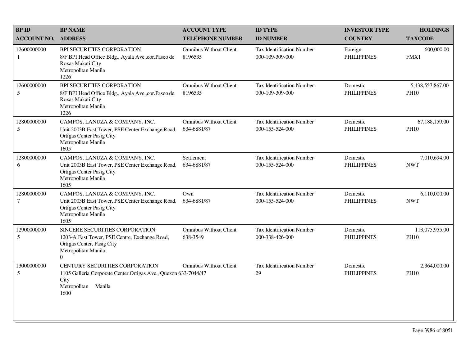| <b>BPID</b>           | <b>BP NAME</b>                                                                                                                                   | <b>ACCOUNT TYPE</b>                          | <b>ID TYPE</b>                                      | <b>INVESTOR TYPE</b>           | <b>HOLDINGS</b>                 |
|-----------------------|--------------------------------------------------------------------------------------------------------------------------------------------------|----------------------------------------------|-----------------------------------------------------|--------------------------------|---------------------------------|
| <b>ACCOUNT NO.</b>    | <b>ADDRESS</b>                                                                                                                                   | <b>TELEPHONE NUMBER</b>                      | <b>ID NUMBER</b>                                    | <b>COUNTRY</b>                 | <b>TAXCODE</b>                  |
| 12600000000<br>1      | BPI SECURITIES CORPORATION<br>8/F BPI Head Office Bldg., Ayala Ave., cor. Paseo de<br>Roxas Makati City<br>Metropolitan Manila<br>1226           | <b>Omnibus Without Client</b><br>8196535     | <b>Tax Identification Number</b><br>000-109-309-000 | Foreign<br><b>PHILIPPINES</b>  | 600,000.00<br>FMX1              |
| 12600000000<br>5      | BPI SECURITIES CORPORATION<br>8/F BPI Head Office Bldg., Ayala Ave., cor. Paseo de<br>Roxas Makati City<br>Metropolitan Manila<br>1226           | <b>Omnibus Without Client</b><br>8196535     | <b>Tax Identification Number</b><br>000-109-309-000 | Domestic<br><b>PHILIPPINES</b> | 5,438,557,867.00<br><b>PH10</b> |
| 12800000000<br>5      | CAMPOS, LANUZA & COMPANY, INC.<br>Unit 2003B East Tower, PSE Center Exchange Road,<br>Ortigas Center Pasig City<br>Metropolitan Manila<br>1605   | <b>Omnibus Without Client</b><br>634-6881/87 | <b>Tax Identification Number</b><br>000-155-524-000 | Domestic<br><b>PHILIPPINES</b> | 67,188,159.00<br><b>PH10</b>    |
| 12800000000<br>6      | CAMPOS, LANUZA & COMPANY, INC.<br>Unit 2003B East Tower, PSE Center Exchange Road,<br>Ortigas Center Pasig City<br>Metropolitan Manila<br>1605   | Settlement<br>634-6881/87                    | Tax Identification Number<br>000-155-524-000        | Domestic<br><b>PHILIPPINES</b> | 7,010,694.00<br><b>NWT</b>      |
| 12800000000<br>$\tau$ | CAMPOS, LANUZA & COMPANY, INC.<br>Unit 2003B East Tower, PSE Center Exchange Road,<br>Ortigas Center Pasig City<br>Metropolitan Manila<br>1605   | Own<br>634-6881/87                           | <b>Tax Identification Number</b><br>000-155-524-000 | Domestic<br><b>PHILIPPINES</b> | 6,110,000.00<br><b>NWT</b>      |
| 12900000000<br>5      | SINCERE SECURITIES CORPORATION<br>1203-A East Tower, PSE Centre, Exchange Road,<br>Ortigas Center, Pasig City<br>Metropolitan Manila<br>$\Omega$ | <b>Omnibus Without Client</b><br>638-3549    | <b>Tax Identification Number</b><br>000-338-426-000 | Domestic<br><b>PHILIPPINES</b> | 113,075,955.00<br><b>PH10</b>   |
| 13000000000<br>5      | CENTURY SECURITIES CORPORATION<br>1105 Galleria Corporate Center Ortigas Ave., Quezon 633-7044/47<br>City<br>Metropolitan<br>Manila<br>1600      | <b>Omnibus Without Client</b>                | Tax Identification Number<br>29                     | Domestic<br><b>PHILIPPINES</b> | 2,364,000.00<br><b>PH10</b>     |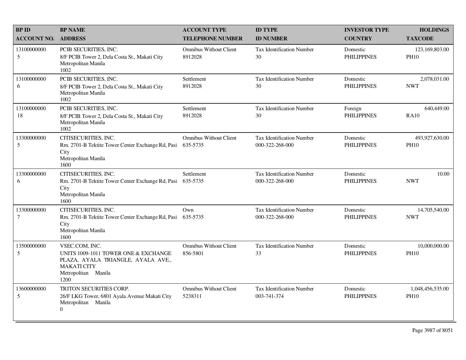| <b>BPID</b>           | <b>BP NAME</b>                                                                                                                                    | <b>ACCOUNT TYPE</b>                       | <b>ID TYPE</b>                                      | <b>INVESTOR TYPE</b>           | <b>HOLDINGS</b>                 |
|-----------------------|---------------------------------------------------------------------------------------------------------------------------------------------------|-------------------------------------------|-----------------------------------------------------|--------------------------------|---------------------------------|
| <b>ACCOUNT NO.</b>    | <b>ADDRESS</b>                                                                                                                                    | <b>TELEPHONE NUMBER</b>                   | <b>ID NUMBER</b>                                    | <b>COUNTRY</b>                 | <b>TAXCODE</b>                  |
| 13100000000<br>5      | PCIB SECURITIES, INC.<br>8/F PCIB Tower 2, Dela Costa St., Makati City<br>Metropolitan Manila<br>1002                                             | <b>Omnibus Without Client</b><br>8912028  | Tax Identification Number<br>30                     | Domestic<br><b>PHILIPPINES</b> | 123,169,803.00<br><b>PH10</b>   |
| 13100000000<br>6      | PCIB SECURITIES, INC.<br>8/F PCIB Tower 2, Dela Costa St., Makati City<br>Metropolitan Manila<br>1002                                             | Settlement<br>8912028                     | <b>Tax Identification Number</b><br>30              | Domestic<br><b>PHILIPPINES</b> | 2,078,031.00<br><b>NWT</b>      |
| 13100000000<br>18     | PCIB SECURITIES, INC.<br>8/F PCIB Tower 2, Dela Costa St., Makati City<br>Metropolitan Manila<br>1002                                             | Settlement<br>8912028                     | <b>Tax Identification Number</b><br>30              | Foreign<br><b>PHILIPPINES</b>  | 640,449.00<br><b>RA10</b>       |
| 13300000000<br>5      | CITISECURITIES, INC.<br>Rm. 2701-B Tektite Tower Center Exchange Rd, Pasi<br>City<br>Metropolitan Manila<br>1600                                  | <b>Omnibus Without Client</b><br>635-5735 | <b>Tax Identification Number</b><br>000-322-268-000 | Domestic<br><b>PHILIPPINES</b> | 493,927,630.00<br><b>PH10</b>   |
| 13300000000<br>6      | CITISECURITIES, INC.<br>Rm. 2701-B Tektite Tower Center Exchange Rd, Pasi<br>City<br>Metropolitan Manila<br>1600                                  | Settlement<br>635-5735                    | <b>Tax Identification Number</b><br>000-322-268-000 | Domestic<br><b>PHILIPPINES</b> | 10.00<br><b>NWT</b>             |
| 13300000000<br>$\tau$ | CITISECURITIES, INC.<br>Rm. 2701-B Tektite Tower Center Exchange Rd, Pasi<br>City<br>Metropolitan Manila<br>1600                                  | Own<br>635-5735                           | <b>Tax Identification Number</b><br>000-322-268-000 | Domestic<br><b>PHILIPPINES</b> | 14,705,540.00<br><b>NWT</b>     |
| 13500000000<br>5      | VSEC.COM, INC.<br>UNITS 1009-1011 TOWER ONE & EXCHANGE<br>PLAZA, AYALA TRIANGLE, AYALA AVE.,<br><b>MAKATI CITY</b><br>Metropolitan Manila<br>1200 | <b>Omnibus Without Client</b><br>856-5801 | <b>Tax Identification Number</b><br>33              | Domestic<br><b>PHILIPPINES</b> | 10,000,000.00<br><b>PH10</b>    |
| 13600000000<br>5      | TRITON SECURITIES CORP.<br>26/F LKG Tower, 6801 Ayala Avenue Makati City<br>Metropolitan Manila<br>$\overline{0}$                                 | <b>Omnibus Without Client</b><br>5238311  | <b>Tax Identification Number</b><br>003-741-374     | Domestic<br><b>PHILIPPINES</b> | 1,048,456,535.00<br><b>PH10</b> |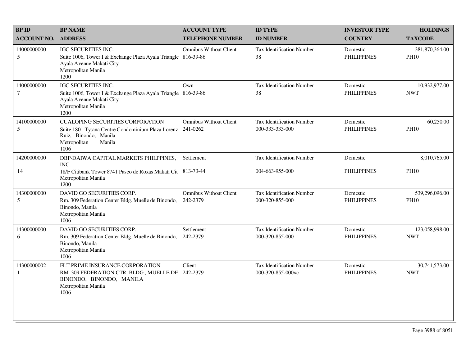| <b>BP ID</b>                   | <b>BP NAME</b>                                                                                                                                          | <b>ACCOUNT TYPE</b>                       | <b>ID TYPE</b>                                      | <b>INVESTOR TYPE</b>           | <b>HOLDINGS</b>               |
|--------------------------------|---------------------------------------------------------------------------------------------------------------------------------------------------------|-------------------------------------------|-----------------------------------------------------|--------------------------------|-------------------------------|
| <b>ACCOUNT NO.</b>             | <b>ADDRESS</b>                                                                                                                                          | <b>TELEPHONE NUMBER</b>                   | <b>ID NUMBER</b>                                    | <b>COUNTRY</b>                 | <b>TAXCODE</b>                |
| 14000000000<br>$5\overline{)}$ | IGC SECURITIES INC.<br>Suite 1006, Tower I & Exchange Plaza Ayala Triangle 816-39-86<br>Ayala Avenue Makati City<br>Metropolitan Manila<br>1200         | <b>Omnibus Without Client</b>             | Tax Identification Number<br>38                     | Domestic<br><b>PHILIPPINES</b> | 381,870,364.00<br><b>PH10</b> |
| 14000000000<br>$\tau$          | IGC SECURITIES INC.<br>Suite 1006, Tower I & Exchange Plaza Ayala Triangle 816-39-86<br>Ayala Avenue Makati City<br>Metropolitan Manila<br>1200         | Own                                       | <b>Tax Identification Number</b><br>38              | Domestic<br><b>PHILIPPINES</b> | 10,932,977.00<br><b>NWT</b>   |
| 14100000000<br>5               | <b>CUALOPING SECURITIES CORPORATION</b><br>Suite 1801 Tytana Centre Condominium Plaza Lorenz<br>Ruiz, Binondo, Manila<br>Manila<br>Metropolitan<br>1006 | <b>Omnibus Without Client</b><br>241-0262 | <b>Tax Identification Number</b><br>000-333-333-000 | Domestic<br><b>PHILIPPINES</b> | 60,250.00<br><b>PH10</b>      |
| 14200000000                    | DBP-DAIWA CAPITAL MARKETS PHILPPINES,<br>INC.                                                                                                           | Settlement                                | Tax Identification Number                           | Domestic                       | 8,010,765.00                  |
| 14                             | 18/F Citibank Tower 8741 Paseo de Roxas Makati Cit 813-73-44<br>Metropolitan Manila<br>1200                                                             |                                           | 004-663-955-000                                     | <b>PHILIPPINES</b>             | <b>PH10</b>                   |
| 14300000000<br>5               | DAVID GO SECURITIES CORP.<br>Rm. 309 Federation Center Bldg. Muelle de Binondo,<br>Binondo, Manila<br>Metropolitan Manila<br>1006                       | <b>Omnibus Without Client</b><br>242-2379 | <b>Tax Identification Number</b><br>000-320-855-000 | Domestic<br><b>PHILIPPINES</b> | 539,296,096.00<br><b>PH10</b> |
| 14300000000<br>6               | DAVID GO SECURITIES CORP.<br>Rm. 309 Federation Center Bldg. Muelle de Binondo,<br>Binondo, Manila<br>Metropolitan Manila<br>1006                       | Settlement<br>242-2379                    | <b>Tax Identification Number</b><br>000-320-855-000 | Domestic<br><b>PHILIPPINES</b> | 123,058,998.00<br><b>NWT</b>  |
| 14300000002<br>$\mathbf{1}$    | FLT PRIME INSURANCE CORPORATION<br>RM. 309 FEDERATION CTR. BLDG., MUELLE DE 242-2379<br>BINONDO, BINONDO, MANILA<br>Metropolitan Manila<br>1006         | Client                                    | Tax Identification Number<br>000-320-855-000xc      | Domestic<br><b>PHILIPPINES</b> | 30,741,573.00<br><b>NWT</b>   |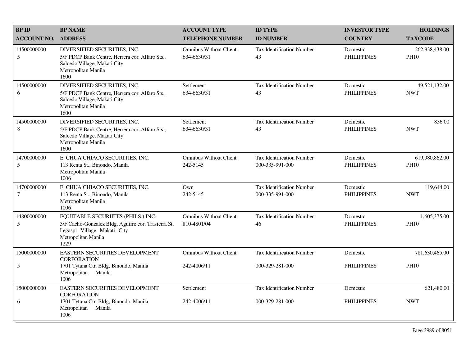| <b>BPID</b>                   | <b>BP NAME</b>                                                                                                                                          | <b>ACCOUNT TYPE</b>                          | <b>ID TYPE</b>                               | <b>INVESTOR TYPE</b>           | <b>HOLDINGS</b>               |
|-------------------------------|---------------------------------------------------------------------------------------------------------------------------------------------------------|----------------------------------------------|----------------------------------------------|--------------------------------|-------------------------------|
| <b>ACCOUNT NO.</b>            | <b>ADDRESS</b>                                                                                                                                          | <b>TELEPHONE NUMBER</b>                      | <b>ID NUMBER</b>                             | <b>COUNTRY</b>                 | <b>TAXCODE</b>                |
| 14500000000<br>5              | DIVERSIFIED SECURITIES, INC.<br>5/F PDCP Bank Centre, Herrera cor. Alfaro Sts.,<br>Salcedo Village, Makati City<br>Metropolitan Manila<br>1600          | <b>Omnibus Without Client</b><br>634-6630/31 | <b>Tax Identification Number</b><br>43       | Domestic<br><b>PHILIPPINES</b> | 262,938,438.00<br><b>PH10</b> |
| 14500000000<br>6              | DIVERSIFIED SECURITIES, INC.<br>5/F PDCP Bank Centre, Herrera cor. Alfaro Sts.,<br>Salcedo Village, Makati City<br>Metropolitan Manila<br>1600          | Settlement<br>634-6630/31                    | <b>Tax Identification Number</b><br>43       | Domestic<br><b>PHILIPPINES</b> | 49,521,132.00<br><b>NWT</b>   |
| 14500000000<br>8              | DIVERSIFIED SECURITIES, INC.<br>5/F PDCP Bank Centre, Herrera cor. Alfaro Sts.,<br>Salcedo Village, Makati City<br>Metropolitan Manila<br>1600          | Settlement<br>634-6630/31                    | <b>Tax Identification Number</b><br>43       | Domestic<br><b>PHILIPPINES</b> | 836.00<br><b>NWT</b>          |
| 14700000000<br>5              | E. CHUA CHIACO SECURITIES, INC.<br>113 Renta St., Binondo, Manila<br>Metropolitan Manila<br>1006                                                        | <b>Omnibus Without Client</b><br>242-5145    | Tax Identification Number<br>000-335-991-000 | Domestic<br><b>PHILIPPINES</b> | 619,980,862.00<br><b>PH10</b> |
| 14700000000<br>$\overline{7}$ | E. CHUA CHIACO SECURITIES, INC.<br>113 Renta St., Binondo, Manila<br>Metropolitan Manila<br>1006                                                        | Own<br>242-5145                              | Tax Identification Number<br>000-335-991-000 | Domestic<br><b>PHILIPPINES</b> | 119,644.00<br><b>NWT</b>      |
| 14800000000<br>5              | EQUITABLE SECURIITES (PHILS.) INC.<br>3/F Cacho-Gonzalez Bldg, Aguirre cor. Trasierra St,<br>Legaspi Village Makati City<br>Metropolitan Manila<br>1229 | <b>Omnibus Without Client</b><br>810-4801/04 | <b>Tax Identification Number</b><br>46       | Domestic<br><b>PHILIPPINES</b> | 1,605,375.00<br><b>PH10</b>   |
| 15000000000                   | EASTERN SECURITIES DEVELOPMENT<br><b>CORPORATION</b>                                                                                                    | <b>Omnibus Without Client</b>                | <b>Tax Identification Number</b>             | Domestic                       | 781,630,465.00                |
| 5                             | 1701 Tytana Ctr. Bldg, Binondo, Manila<br>Metropolitan Manila<br>1006                                                                                   | 242-4006/11                                  | 000-329-281-000                              | <b>PHILIPPINES</b>             | <b>PH10</b>                   |
| 15000000000                   | EASTERN SECURITIES DEVELOPMENT<br><b>CORPORATION</b>                                                                                                    | Settlement                                   | <b>Tax Identification Number</b>             | Domestic                       | 621,480.00                    |
| 6                             | 1701 Tytana Ctr. Bldg, Binondo, Manila<br>Metropolitan Manila<br>1006                                                                                   | 242-4006/11                                  | 000-329-281-000                              | <b>PHILIPPINES</b>             | <b>NWT</b>                    |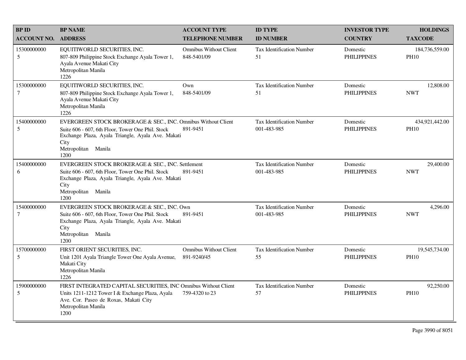| <b>BPID</b>                    | <b>BP NAME</b>                                                                                                                                                                                                 | <b>ACCOUNT TYPE</b>                          | <b>ID TYPE</b>                                  | <b>INVESTOR TYPE</b>           | <b>HOLDINGS</b>               |
|--------------------------------|----------------------------------------------------------------------------------------------------------------------------------------------------------------------------------------------------------------|----------------------------------------------|-------------------------------------------------|--------------------------------|-------------------------------|
| <b>ACCOUNT NO.</b>             | <b>ADDRESS</b>                                                                                                                                                                                                 | <b>TELEPHONE NUMBER</b>                      | <b>ID NUMBER</b>                                | <b>COUNTRY</b>                 | <b>TAXCODE</b>                |
| 15300000000<br>5               | EQUITIWORLD SECURITIES, INC.<br>807-809 Philippine Stock Exchange Ayala Tower 1,<br>Ayala Avenue Makati City<br>Metropolitan Manila<br>1226                                                                    | <b>Omnibus Without Client</b><br>848-5401/09 | <b>Tax Identification Number</b><br>51          | Domestic<br><b>PHILIPPINES</b> | 184,736,559.00<br><b>PH10</b> |
| 15300000000<br>$\tau$          | EQUITIWORLD SECURITIES, INC.<br>807-809 Philippine Stock Exchange Ayala Tower 1,<br>Ayala Avenue Makati City<br>Metropolitan Manila<br>1226                                                                    | Own<br>848-5401/09                           | <b>Tax Identification Number</b><br>51          | Domestic<br><b>PHILIPPINES</b> | 12,808.00<br><b>NWT</b>       |
| 15400000000<br>5               | EVERGREEN STOCK BROKERAGE & SEC., INC. Omnibus Without Client<br>Suite 606 - 607, 6th Floor, Tower One Phil. Stock<br>Exchange Plaza, Ayala Triangle, Ayala Ave. Makati<br>City<br>Metropolitan Manila<br>1200 | 891-9451                                     | <b>Tax Identification Number</b><br>001-483-985 | Domestic<br><b>PHILIPPINES</b> | 434,921,442.00<br><b>PH10</b> |
| 15400000000<br>6               | EVERGREEN STOCK BROKERAGE & SEC., INC. Settlement<br>Suite 606 - 607, 6th Floor, Tower One Phil, Stock<br>Exchange Plaza, Ayala Triangle, Ayala Ave. Makati<br>City<br>Metropolitan Manila<br>1200             | 891-9451                                     | <b>Tax Identification Number</b><br>001-483-985 | Domestic<br><b>PHILIPPINES</b> | 29,400.00<br><b>NWT</b>       |
| 15400000000<br>$7\phantom{.0}$ | EVERGREEN STOCK BROKERAGE & SEC., INC. Own<br>Suite 606 - 607, 6th Floor, Tower One Phil. Stock<br>Exchange Plaza, Ayala Triangle, Ayala Ave. Makati<br>City<br>Metropolitan Manila<br>1200                    | 891-9451                                     | <b>Tax Identification Number</b><br>001-483-985 | Domestic<br><b>PHILIPPINES</b> | 4,296.00<br><b>NWT</b>        |
| 15700000000<br>5               | FIRST ORIENT SECURITIES, INC.<br>Unit 1201 Ayala Triangle Tower One Ayala Avenue,<br>Makati City<br>Metropolitan Manila<br>1226                                                                                | <b>Omnibus Without Client</b><br>891-9240/45 | <b>Tax Identification Number</b><br>55          | Domestic<br><b>PHILIPPINES</b> | 19,545,734.00<br><b>PH10</b>  |
| 15900000000<br>5               | FIRST INTEGRATED CAPITAL SECURITIES, INC Omnibus Without Client<br>Units 1211-1212 Tower I & Exchange Plaza, Ayala<br>Ave. Cor. Paseo de Roxas, Makati City<br>Metropolitan Manila<br>1200                     | 759-4320 to 23                               | <b>Tax Identification Number</b><br>57          | Domestic<br><b>PHILIPPINES</b> | 92,250.00<br><b>PH10</b>      |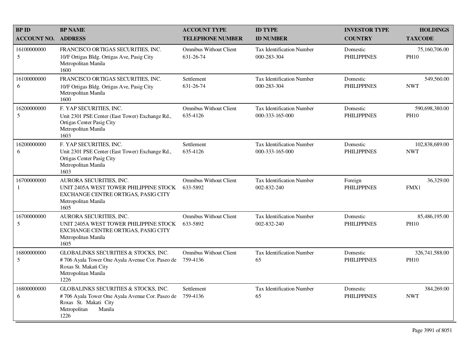| <b>BP ID</b>              | <b>BP NAME</b>                                                                                                                                             | <b>ACCOUNT TYPE</b>                        | <b>ID TYPE</b>                                      | <b>INVESTOR TYPE</b>           | <b>HOLDINGS</b>               |
|---------------------------|------------------------------------------------------------------------------------------------------------------------------------------------------------|--------------------------------------------|-----------------------------------------------------|--------------------------------|-------------------------------|
| <b>ACCOUNT NO.</b>        | <b>ADDRESS</b>                                                                                                                                             | <b>TELEPHONE NUMBER</b>                    | <b>ID NUMBER</b>                                    | <b>COUNTRY</b>                 | <b>TAXCODE</b>                |
| 16100000000<br>5          | FRANCISCO ORTIGAS SECURITIES, INC.<br>10/F Ortigas Bldg. Ortigas Ave, Pasig City<br>Metropolitan Manila<br>1600                                            | <b>Omnibus Without Client</b><br>631-26-74 | <b>Tax Identification Number</b><br>000-283-304     | Domestic<br><b>PHILIPPINES</b> | 75,160,706.00<br><b>PH10</b>  |
| 16100000000<br>6          | FRANCISCO ORTIGAS SECURITIES, INC.<br>10/F Ortigas Bldg. Ortigas Ave, Pasig City<br>Metropolitan Manila<br>1600                                            | Settlement<br>631-26-74                    | <b>Tax Identification Number</b><br>000-283-304     | Domestic<br><b>PHILIPPINES</b> | 549,560.00<br><b>NWT</b>      |
| 16200000000<br>5          | F. YAP SECURITIES, INC.<br>Unit 2301 PSE Center (East Tower) Exchange Rd.,<br>Ortigas Center Pasig City<br>Metropolitan Manila<br>1603                     | <b>Omnibus Without Client</b><br>635-4126  | <b>Tax Identification Number</b><br>000-333-165-000 | Domestic<br><b>PHILIPPINES</b> | 590,698,380.00<br><b>PH10</b> |
| 16200000000<br>6          | F. YAP SECURITIES, INC.<br>Unit 2301 PSE Center (East Tower) Exchange Rd.,<br>Ortigas Center Pasig City<br>Metropolitan Manila<br>1603                     | Settlement<br>635-4126                     | <b>Tax Identification Number</b><br>000-333-165-000 | Domestic<br><b>PHILIPPINES</b> | 102,838,689.00<br><b>NWT</b>  |
| 16700000000<br>1          | AURORA SECURITIES, INC.<br>UNIT 2405A WEST TOWER PHILIPPINE STOCK<br>EXCHANGE CENTRE ORTIGAS, PASIG CITY<br>Metropolitan Manila<br>1605                    | <b>Omnibus Without Client</b><br>633-5892  | <b>Tax Identification Number</b><br>002-832-240     | Foreign<br><b>PHILIPPINES</b>  | 36,329.00<br>FMX1             |
| 16700000000<br>$\sqrt{5}$ | AURORA SECURITIES, INC.<br>UNIT 2405A WEST TOWER PHILIPPINE STOCK<br>EXCHANGE CENTRE ORTIGAS, PASIG CITY<br>Metropolitan Manila<br>1605                    | <b>Omnibus Without Client</b><br>633-5892  | <b>Tax Identification Number</b><br>002-832-240     | Domestic<br><b>PHILIPPINES</b> | 85,486,195.00<br><b>PH10</b>  |
| 16800000000<br>5          | <b>GLOBALINKS SECURITIES &amp; STOCKS, INC.</b><br>#706 Ayala Tower One Ayala Avenue Cor. Paseo de<br>Roxas St. Makati City<br>Metropolitan Manila<br>1226 | <b>Omnibus Without Client</b><br>759-4136  | <b>Tax Identification Number</b><br>65              | Domestic<br><b>PHILIPPINES</b> | 326,741,588.00<br><b>PH10</b> |
| 16800000000<br>6          | GLOBALINKS SECURITIES & STOCKS, INC.<br>#706 Ayala Tower One Ayala Avenue Cor. Paseo de<br>Roxas St. Makati City<br>Metropolitan<br>Manila<br>1226         | Settlement<br>759-4136                     | <b>Tax Identification Number</b><br>65              | Domestic<br><b>PHILIPPINES</b> | 384,269.00<br><b>NWT</b>      |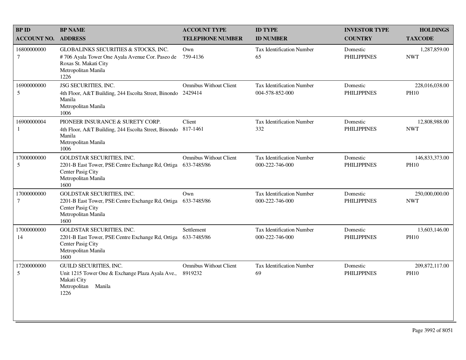| <b>BPID</b>                   | <b>BP NAME</b>                                                                                                                                  | <b>ACCOUNT TYPE</b>                          | <b>ID TYPE</b>                                      | <b>INVESTOR TYPE</b>           | <b>HOLDINGS</b>                 |
|-------------------------------|-------------------------------------------------------------------------------------------------------------------------------------------------|----------------------------------------------|-----------------------------------------------------|--------------------------------|---------------------------------|
| <b>ACCOUNT NO.</b>            | <b>ADDRESS</b>                                                                                                                                  | <b>TELEPHONE NUMBER</b>                      | <b>ID NUMBER</b>                                    | <b>COUNTRY</b>                 | <b>TAXCODE</b>                  |
| 16800000000<br>$\overline{7}$ | GLOBALINKS SECURITIES & STOCKS, INC.<br>#706 Ayala Tower One Ayala Avenue Cor. Paseo de<br>Roxas St. Makati City<br>Metropolitan Manila<br>1226 | Own<br>759-4136                              | <b>Tax Identification Number</b><br>65              | Domestic<br><b>PHILIPPINES</b> | 1,287,859.00<br><b>NWT</b>      |
| 16900000000<br>5              | JSG SECURITIES, INC.<br>4th Floor, A&T Building, 244 Escolta Street, Binondo<br>Manila<br>Metropolitan Manila<br>1006                           | <b>Omnibus Without Client</b><br>2429414     | Tax Identification Number<br>004-578-852-000        | Domestic<br><b>PHILIPPINES</b> | 228,016,038.00<br><b>PH10</b>   |
| 16900000004<br>$\mathbf{1}$   | PIONEER INSURANCE & SURETY CORP.<br>4th Floor, A&T Building, 244 Escolta Street, Binondo<br>Manila<br>Metropolitan Manila<br>1006               | Client<br>817-1461                           | Tax Identification Number<br>332                    | Domestic<br><b>PHILIPPINES</b> | 12,808,988.00<br><b>NWT</b>     |
| 17000000000<br>5              | GOLDSTAR SECURITIES, INC.<br>2201-B East Tower, PSE Centre Exchange Rd, Ortiga<br>Center Pasig City<br>Metropolitan Manila<br>1600              | <b>Omnibus Without Client</b><br>633-7485/86 | <b>Tax Identification Number</b><br>000-222-746-000 | Domestic<br><b>PHILIPPINES</b> | 146,833,373.00<br><b>PH10</b>   |
| 17000000000<br>7              | <b>GOLDSTAR SECURITIES, INC.</b><br>2201-B East Tower, PSE Centre Exchange Rd, Ortiga<br>Center Pasig City<br>Metropolitan Manila<br>1600       | Own<br>633-7485/86                           | <b>Tax Identification Number</b><br>000-222-746-000 | Domestic<br><b>PHILIPPINES</b> | 250,000,000.00<br><b>NWT</b>    |
| 17000000000<br>14             | <b>GOLDSTAR SECURITIES, INC.</b><br>2201-B East Tower, PSE Centre Exchange Rd, Ortiga<br>Center Pasig City<br>Metropolitan Manila<br>1600       | Settlement<br>633-7485/86                    | <b>Tax Identification Number</b><br>000-222-746-000 | Domestic<br><b>PHILIPPINES</b> | 13,603,146.00<br><b>PH10</b>    |
| 17200000000<br>5              | GUILD SECURITIES, INC.<br>Unit 1215 Tower One & Exchange Plaza Ayala Ave.,<br>Makati City<br>Metropolitan<br>Manila<br>1226                     | <b>Omnibus Without Client</b><br>8919232     | Tax Identification Number<br>69                     | Domestic<br><b>PHILIPPINES</b> | 209, 872, 117.00<br><b>PH10</b> |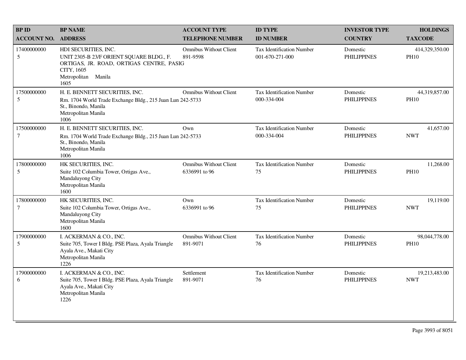| <b>BPID</b>           | <b>BP NAME</b>                                                                                                                                            | <b>ACCOUNT TYPE</b>                            | <b>ID TYPE</b>                                      | <b>INVESTOR TYPE</b>           | <b>HOLDINGS</b>               |
|-----------------------|-----------------------------------------------------------------------------------------------------------------------------------------------------------|------------------------------------------------|-----------------------------------------------------|--------------------------------|-------------------------------|
| <b>ACCOUNT NO.</b>    | <b>ADDRESS</b>                                                                                                                                            | <b>TELEPHONE NUMBER</b>                        | <b>ID NUMBER</b>                                    | <b>COUNTRY</b>                 | <b>TAXCODE</b>                |
| 17400000000<br>5      | HDI SECURITIES, INC.<br>UNIT 2305-B 23/F ORIENT SQUARE BLDG., F.<br>ORTIGAS, JR. ROAD, ORTIGAS CENTRE, PASIG<br>CITY, 1605<br>Metropolitan Manila<br>1605 | <b>Omnibus Without Client</b><br>891-9598      | <b>Tax Identification Number</b><br>001-670-271-000 | Domestic<br><b>PHILIPPINES</b> | 414,329,350.00<br><b>PH10</b> |
| 17500000000<br>5      | H. E. BENNETT SECURITIES, INC.<br>Rm. 1704 World Trade Exchange Bldg., 215 Juan Lun 242-5733<br>St., Binondo, Manila<br>Metropolitan Manila<br>1006       | <b>Omnibus Without Client</b>                  | <b>Tax Identification Number</b><br>000-334-004     | Domestic<br><b>PHILIPPINES</b> | 44,319,857.00<br><b>PH10</b>  |
| 17500000000<br>7      | H. E. BENNETT SECURITIES, INC.<br>Rm. 1704 World Trade Exchange Bldg., 215 Juan Lun 242-5733<br>St., Binondo, Manila<br>Metropolitan Manila<br>1006       | Own                                            | <b>Tax Identification Number</b><br>000-334-004     | Domestic<br><b>PHILIPPINES</b> | 41,657.00<br><b>NWT</b>       |
| 17800000000<br>5      | HK SECURITIES, INC.<br>Suite 102 Columbia Tower, Ortigas Ave.,<br>Mandaluyong City<br>Metropolitan Manila<br>1600                                         | <b>Omnibus Without Client</b><br>6336991 to 96 | <b>Tax Identification Number</b><br>75              | Domestic<br><b>PHILIPPINES</b> | 11,268.00<br><b>PH10</b>      |
| 17800000000<br>$\tau$ | HK SECURITIES, INC.<br>Suite 102 Columbia Tower, Ortigas Ave.,<br>Mandaluyong City<br>Metropolitan Manila<br>1600                                         | Own<br>6336991 to 96                           | <b>Tax Identification Number</b><br>75              | Domestic<br><b>PHILIPPINES</b> | 19,119.00<br><b>NWT</b>       |
| 17900000000<br>5      | I. ACKERMAN & CO., INC.<br>Suite 705, Tower I Bldg. PSE Plaza, Ayala Triangle<br>Ayala Ave., Makati City<br>Metropolitan Manila<br>1226                   | <b>Omnibus Without Client</b><br>891-9071      | <b>Tax Identification Number</b><br>76              | Domestic<br><b>PHILIPPINES</b> | 98,044,778.00<br><b>PH10</b>  |
| 17900000000<br>6      | I. ACKERMAN & CO., INC.<br>Suite 705, Tower I Bldg. PSE Plaza, Ayala Triangle<br>Ayala Ave., Makati City<br>Metropolitan Manila<br>1226                   | Settlement<br>891-9071                         | <b>Tax Identification Number</b><br>76              | Domestic<br><b>PHILIPPINES</b> | 19,213,483.00<br><b>NWT</b>   |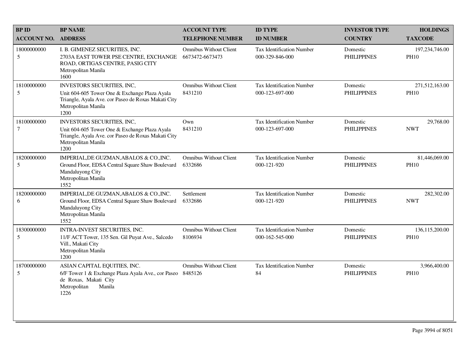| <b>BPID</b>                   | <b>BP NAME</b>                                                                                                                                                           | <b>ACCOUNT TYPE</b>                              | <b>ID TYPE</b>                                      | <b>INVESTOR TYPE</b>           | <b>HOLDINGS</b>               |
|-------------------------------|--------------------------------------------------------------------------------------------------------------------------------------------------------------------------|--------------------------------------------------|-----------------------------------------------------|--------------------------------|-------------------------------|
| <b>ACCOUNT NO.</b>            | <b>ADDRESS</b>                                                                                                                                                           | <b>TELEPHONE NUMBER</b>                          | <b>ID NUMBER</b>                                    | <b>COUNTRY</b>                 | <b>TAXCODE</b>                |
| 18000000000<br>5              | I. B. GIMENEZ SECURITIES, INC.<br>2703A EAST TOWER PSE CENTRE, EXCHANGE<br>ROAD, ORTIGAS CENTRE, PASIG CITY<br>Metropolitan Manila<br>1600                               | <b>Omnibus Without Client</b><br>6673472-6673473 | Tax Identification Number<br>000-329-846-000        | Domestic<br><b>PHILIPPINES</b> | 197,234,746.00<br><b>PH10</b> |
| 18100000000<br>5              | <b>INVESTORS SECURITIES, INC.</b><br>Unit 604-605 Tower One & Exchange Plaza Ayala<br>Triangle, Ayala Ave. cor Paseo de Roxas Makati City<br>Metropolitan Manila<br>1200 | <b>Omnibus Without Client</b><br>8431210         | <b>Tax Identification Number</b><br>000-123-697-000 | Domestic<br><b>PHILIPPINES</b> | 271,512,163.00<br><b>PH10</b> |
| 18100000000<br>$\overline{7}$ | INVESTORS SECURITIES, INC,<br>Unit 604-605 Tower One & Exchange Plaza Ayala<br>Triangle, Ayala Ave. cor Paseo de Roxas Makati City<br>Metropolitan Manila<br>1200        | Own<br>8431210                                   | <b>Tax Identification Number</b><br>000-123-697-000 | Domestic<br><b>PHILIPPINES</b> | 29,768.00<br><b>NWT</b>       |
| 18200000000<br>5              | IMPERIAL, DE GUZMAN, ABALOS & CO., INC.<br>Ground Floor, EDSA Central Square Shaw Boulevard<br>Mandaluyong City<br>Metropolitan Manila<br>1552                           | <b>Omnibus Without Client</b><br>6332686         | <b>Tax Identification Number</b><br>000-121-920     | Domestic<br><b>PHILIPPINES</b> | 81,446,069.00<br><b>PH10</b>  |
| 18200000000<br>6              | IMPERIAL, DE GUZMAN, ABALOS & CO., INC.<br>Ground Floor, EDSA Central Square Shaw Boulevard<br>Mandaluyong City<br>Metropolitan Manila<br>1552                           | Settlement<br>6332686                            | Tax Identification Number<br>000-121-920            | Domestic<br><b>PHILIPPINES</b> | 282,302.00<br><b>NWT</b>      |
| 18300000000<br>5              | INTRA-INVEST SECURITIES, INC.<br>11/F ACT Tower, 135 Sen. Gil Puyat Ave., Salcedo<br>Vill., Makati City<br>Metropolitan Manila<br>1200                                   | <b>Omnibus Without Client</b><br>8106934         | <b>Tax Identification Number</b><br>000-162-545-000 | Domestic<br><b>PHILIPPINES</b> | 136,115,200.00<br><b>PH10</b> |
| 18700000000<br>5              | ASIAN CAPITAL EQUITIES, INC.<br>6/F Tower 1 & Exchange Plaza Ayala Ave., cor Paseo<br>de Roxas, Makati City<br>Metropolitan<br>Manila<br>1226                            | <b>Omnibus Without Client</b><br>8485126         | Tax Identification Number<br>84                     | Domestic<br><b>PHILIPPINES</b> | 3,966,400.00<br><b>PH10</b>   |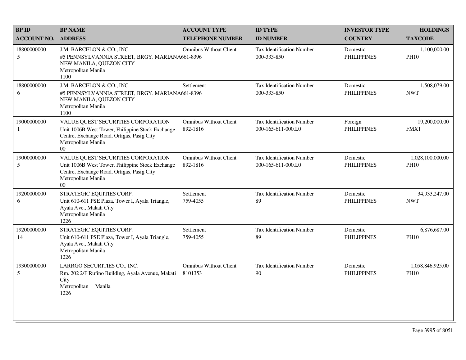| <b>BPID</b>        | <b>BP NAME</b>                                                                                                                                                                | <b>ACCOUNT TYPE</b>                       | <b>ID TYPE</b>                                         | <b>INVESTOR TYPE</b>           | <b>HOLDINGS</b>                 |
|--------------------|-------------------------------------------------------------------------------------------------------------------------------------------------------------------------------|-------------------------------------------|--------------------------------------------------------|--------------------------------|---------------------------------|
| <b>ACCOUNT NO.</b> | <b>ADDRESS</b>                                                                                                                                                                | <b>TELEPHONE NUMBER</b>                   | <b>ID NUMBER</b>                                       | <b>COUNTRY</b>                 | <b>TAXCODE</b>                  |
| 18800000000<br>5   | J.M. BARCELON & CO., INC.<br>#5 PENNSYLVANNIA STREET, BRGY. MARIANA661-8396<br>NEW MANILA, QUEZON CITY<br>Metropolitan Manila<br>1100                                         | <b>Omnibus Without Client</b>             | <b>Tax Identification Number</b><br>000-333-850        | Domestic<br><b>PHILIPPINES</b> | 1,100,000.00<br><b>PH10</b>     |
| 18800000000<br>6   | J.M. BARCELON & CO., INC.<br>#5 PENNSYLVANNIA STREET, BRGY. MARIANA661-8396<br>NEW MANILA, QUEZON CITY<br>Metropolitan Manila<br>1100                                         | Settlement                                | Tax Identification Number<br>000-333-850               | Domestic<br><b>PHILIPPINES</b> | 1,508,079.00<br><b>NWT</b>      |
| 19000000000<br>1   | VALUE QUEST SECURITIES CORPORATION<br>Unit 1006B West Tower, Philippine Stock Exchange<br>Centre, Exchange Road, Ortigas, Pasig City<br>Metropolitan Manila<br>0 <sup>0</sup> | <b>Omnibus Without Client</b><br>892-1816 | Tax Identification Number<br>000-165-611-000.L0        | Foreign<br><b>PHILIPPINES</b>  | 19,200,000.00<br>FMX1           |
| 19000000000<br>5   | VALUE QUEST SECURITIES CORPORATION<br>Unit 1006B West Tower, Philippine Stock Exchange<br>Centre, Exchange Road, Ortigas, Pasig City<br>Metropolitan Manila<br>$00\,$         | <b>Omnibus Without Client</b><br>892-1816 | <b>Tax Identification Number</b><br>000-165-611-000.L0 | Domestic<br><b>PHILIPPINES</b> | 1,028,100,000.00<br><b>PH10</b> |
| 19200000000<br>6   | STRATEGIC EQUITIES CORP.<br>Unit 610-611 PSE Plaza, Tower I, Ayala Triangle,<br>Ayala Ave., Makati City<br>Metropolitan Manila<br>1226                                        | Settlement<br>759-4055                    | <b>Tax Identification Number</b><br>89                 | Domestic<br><b>PHILIPPINES</b> | 34,933,247.00<br><b>NWT</b>     |
| 19200000000<br>14  | STRATEGIC EQUITIES CORP.<br>Unit 610-611 PSE Plaza, Tower I, Ayala Triangle,<br>Ayala Ave., Makati City<br>Metropolitan Manila<br>1226                                        | Settlement<br>759-4055                    | <b>Tax Identification Number</b><br>89                 | Domestic<br><b>PHILIPPINES</b> | 6,876,687.00<br><b>PH10</b>     |
| 19300000000<br>5   | LARRGO SECURITIES CO., INC.<br>Rm. 202 2/F Rufino Building, Ayala Avenue, Makati<br>City<br>Metropolitan Manila<br>1226                                                       | <b>Omnibus Without Client</b><br>8101353  | Tax Identification Number<br>90                        | Domestic<br><b>PHILIPPINES</b> | 1,058,846,925.00<br><b>PH10</b> |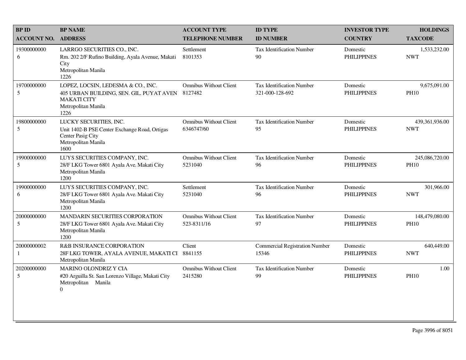| <b>BPID</b>        | <b>BP NAME</b>                                                                                                                      | <b>ACCOUNT TYPE</b>                          | <b>ID TYPE</b>                                      | <b>INVESTOR TYPE</b>           | <b>HOLDINGS</b>               |
|--------------------|-------------------------------------------------------------------------------------------------------------------------------------|----------------------------------------------|-----------------------------------------------------|--------------------------------|-------------------------------|
| <b>ACCOUNT NO.</b> | <b>ADDRESS</b>                                                                                                                      | <b>TELEPHONE NUMBER</b>                      | <b>ID NUMBER</b>                                    | <b>COUNTRY</b>                 | <b>TAXCODE</b>                |
| 19300000000<br>6   | LARRGO SECURITIES CO., INC.<br>Rm. 202 2/F Rufino Building, Ayala Avenue, Makati<br>City<br>Metropolitan Manila<br>1226             | Settlement<br>8101353                        | Tax Identification Number<br>90                     | Domestic<br><b>PHILIPPINES</b> | 1,533,232.00<br><b>NWT</b>    |
| 19700000000<br>5   | LOPEZ, LOCSIN, LEDESMA & CO., INC.<br>405 URBAN BUILDING, SEN. GIL. PUYAT AVEN<br><b>MAKATI CITY</b><br>Metropolitan Manila<br>1226 | <b>Omnibus Without Client</b><br>8127482     | <b>Tax Identification Number</b><br>321-000-128-692 | Domestic<br><b>PHILIPPINES</b> | 9,675,091.00<br><b>PH10</b>   |
| 19800000000<br>5   | LUCKY SECURITIES, INC.<br>Unit 1402-B PSE Center Exchange Road, Ortigas<br>Center Pasig City<br>Metropolitan Manila<br>1600         | <b>Omnibus Without Client</b><br>6346747/60  | Tax Identification Number<br>95                     | Domestic<br><b>PHILIPPINES</b> | 439,361,936.00<br><b>NWT</b>  |
| 19900000000<br>5   | LUYS SECURITIES COMPANY, INC.<br>28/F LKG Tower 6801 Ayala Ave. Makati City<br>Metropolitan Manila<br>1200                          | <b>Omnibus Without Client</b><br>5231040     | <b>Tax Identification Number</b><br>96              | Domestic<br><b>PHILIPPINES</b> | 245,086,720.00<br><b>PH10</b> |
| 19900000000<br>6   | LUYS SECURITIES COMPANY, INC.<br>28/F LKG Tower 6801 Ayala Ave. Makati City<br>Metropolitan Manila<br>1200                          | Settlement<br>5231040                        | <b>Tax Identification Number</b><br>96              | Domestic<br><b>PHILIPPINES</b> | 301,966.00<br><b>NWT</b>      |
| 20000000000<br>5   | MANDARIN SECURITIES CORPORATION<br>28/F LKG Tower 6801 Ayala Ave. Makati City<br>Metropolitan Manila<br>1200                        | <b>Omnibus Without Client</b><br>523-8311/16 | <b>Tax Identification Number</b><br>97              | Domestic<br><b>PHILIPPINES</b> | 148,479,080.00<br><b>PH10</b> |
| 20000000002<br>-1  | <b>R&amp;B INSURANCE CORPORATION</b><br>28F LKG TOWER, AYALA AVENUE, MAKATI CI<br>Metropolitan Manila                               | Client<br>8841155                            | <b>Commercial Registration Number</b><br>15346      | Domestic<br><b>PHILIPPINES</b> | 640,449.00<br><b>NWT</b>      |
| 20200000000<br>5   | MARINO OLONDRIZ Y CIA<br>#20 Arguilla St. San Lorenzo Village, Makati City<br>Metropolitan Manila<br>$\overline{0}$                 | <b>Omnibus Without Client</b><br>2415280     | <b>Tax Identification Number</b><br>99              | Domestic<br><b>PHILIPPINES</b> | 1.00<br><b>PH10</b>           |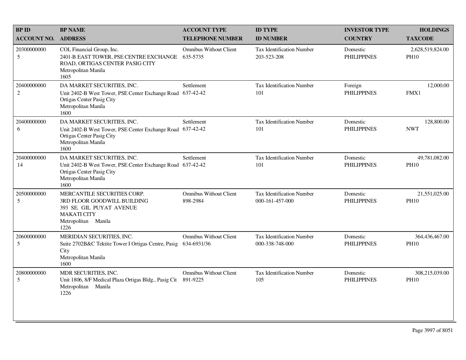| <b>BPID</b>                   | <b>BP NAME</b>                                                                                                                                       | <b>ACCOUNT TYPE</b>                          | <b>ID TYPE</b>                                      | <b>INVESTOR TYPE</b>           | <b>HOLDINGS</b>                 |
|-------------------------------|------------------------------------------------------------------------------------------------------------------------------------------------------|----------------------------------------------|-----------------------------------------------------|--------------------------------|---------------------------------|
| <b>ACCOUNT NO.</b>            | <b>ADDRESS</b>                                                                                                                                       | <b>TELEPHONE NUMBER</b>                      | <b>ID NUMBER</b>                                    | <b>COUNTRY</b>                 | <b>TAXCODE</b>                  |
| 20300000000<br>5              | COL Financial Group, Inc.<br>2401-B EAST TOWER, PSE CENTRE EXCHANGE<br>ROAD, ORTIGAS CENTER PASIG CITY<br>Metropolitan Manila<br>1605                | <b>Omnibus Without Client</b><br>635-5735    | <b>Tax Identification Number</b><br>203-523-208     | Domestic<br><b>PHILIPPINES</b> | 2,628,519,824.00<br><b>PH10</b> |
| 20400000000<br>$\overline{2}$ | DA MARKET SECURITIES, INC.<br>Unit 2402-B West Tower, PSE Center Exchange Road<br>Ortigas Center Pasig City<br>Metropolitan Manila<br>1600           | Settlement<br>637-42-42                      | Tax Identification Number<br>101                    | Foreign<br><b>PHILIPPINES</b>  | 12,000.00<br>FMX1               |
| 20400000000<br>6              | DA MARKET SECURITIES, INC.<br>Unit 2402-B West Tower, PSE Center Exchange Road<br>Ortigas Center Pasig City<br>Metropolitan Manila<br>1600           | Settlement<br>637-42-42                      | <b>Tax Identification Number</b><br>101             | Domestic<br><b>PHILIPPINES</b> | 128,800.00<br><b>NWT</b>        |
| 20400000000<br>14             | DA MARKET SECURITIES, INC.<br>Unit 2402-B West Tower, PSE Center Exchange Road 637-42-42<br>Ortigas Center Pasig City<br>Metropolitan Manila<br>1600 | Settlement                                   | Tax Identification Number<br>101                    | Domestic<br><b>PHILIPPINES</b> | 49,781,082.00<br><b>PH10</b>    |
| 20500000000<br>5              | MERCANTILE SECURITIES CORP.<br>3RD FLOOR GOODWILL BUILDING<br>393 SE. GIL PUYAT AVENUE<br><b>MAKATI CITY</b><br>Metropolitan Manila<br>1226          | <b>Omnibus Without Client</b><br>898-2984    | <b>Tax Identification Number</b><br>000-161-457-000 | Domestic<br><b>PHILIPPINES</b> | 21,551,025.00<br><b>PH10</b>    |
| 20600000000<br>5              | MERIDIAN SECURITIES, INC.<br>Suite 2702B&C Tektite Tower I Ortigas Centre, Pasig<br>City<br>Metropolitan Manila<br>1600                              | <b>Omnibus Without Client</b><br>634-6931/36 | <b>Tax Identification Number</b><br>000-338-748-000 | Domestic<br><b>PHILIPPINES</b> | 364,436,467.00<br><b>PH10</b>   |
| 20800000000<br>5              | MDR SECURITIES, INC.<br>Unit 1806, 8/F Medical Plaza Ortigas Bldg., Pasig Cit<br>Metropolitan<br>Manila<br>1226                                      | <b>Omnibus Without Client</b><br>891-9225    | <b>Tax Identification Number</b><br>105             | Domestic<br><b>PHILIPPINES</b> | 308,215,039.00<br><b>PH10</b>   |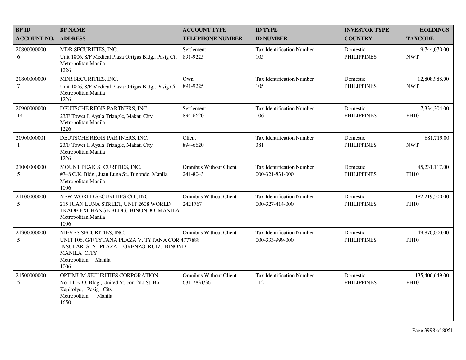| <b>BPID</b>               | <b>BP NAME</b>                                                                                                                                                              | <b>ACCOUNT TYPE</b>                          | <b>ID TYPE</b>                                      | <b>INVESTOR TYPE</b>           | <b>HOLDINGS</b>               |
|---------------------------|-----------------------------------------------------------------------------------------------------------------------------------------------------------------------------|----------------------------------------------|-----------------------------------------------------|--------------------------------|-------------------------------|
| <b>ACCOUNT NO.</b>        | <b>ADDRESS</b>                                                                                                                                                              | <b>TELEPHONE NUMBER</b>                      | <b>ID NUMBER</b>                                    | <b>COUNTRY</b>                 | <b>TAXCODE</b>                |
| 20800000000<br>6          | MDR SECURITIES, INC.<br>Unit 1806, 8/F Medical Plaza Ortigas Bldg., Pasig Cit<br>Metropolitan Manila<br>1226                                                                | Settlement<br>891-9225                       | <b>Tax Identification Number</b><br>105             | Domestic<br><b>PHILIPPINES</b> | 9,744,070.00<br><b>NWT</b>    |
| 20800000000<br>$\tau$     | MDR SECURITIES, INC.<br>Unit 1806, 8/F Medical Plaza Ortigas Bldg., Pasig Cit<br>Metropolitan Manila<br>1226                                                                | Own<br>891-9225                              | <b>Tax Identification Number</b><br>105             | Domestic<br><b>PHILIPPINES</b> | 12,808,988.00<br><b>NWT</b>   |
| 20900000000<br>14         | DEUTSCHE REGIS PARTNERS, INC.<br>23/F Tower I, Ayala Triangle, Makati City<br>Metropolitan Manila<br>1226                                                                   | Settlement<br>894-6620                       | <b>Tax Identification Number</b><br>106             | Domestic<br><b>PHILIPPINES</b> | 7,334,304.00<br><b>PH10</b>   |
| 20900000001<br>1          | DEUTSCHE REGIS PARTNERS, INC.<br>23/F Tower I, Ayala Triangle, Makati City<br>Metropolitan Manila<br>1226                                                                   | Client<br>894-6620                           | Tax Identification Number<br>381                    | Domestic<br><b>PHILIPPINES</b> | 681,719.00<br><b>NWT</b>      |
| 21000000000<br>$\sqrt{5}$ | MOUNT PEAK SECURITIES, INC.<br>#748 C.K. Bldg., Juan Luna St., Binondo, Manila<br>Metropolitan Manila<br>1006                                                               | <b>Omnibus Without Client</b><br>241-8043    | <b>Tax Identification Number</b><br>000-321-831-000 | Domestic<br><b>PHILIPPINES</b> | 45,231,117.00<br><b>PH10</b>  |
| 21100000000<br>5          | NEW WORLD SECURITIES CO., INC.<br>215 JUAN LUNA STREET, UNIT 2608 WORLD<br>TRADE EXCHANGE BLDG., BINONDO, MANILA<br>Metropolitan Manila<br>1006                             | <b>Omnibus Without Client</b><br>2421767     | <b>Tax Identification Number</b><br>000-327-414-000 | Domestic<br><b>PHILIPPINES</b> | 182,219,500.00<br><b>PH10</b> |
| 21300000000<br>5          | NIEVES SECURITIES, INC.<br>UNIT 106, G/F TYTANA PLAZA V. TYTANA COR 4777888<br>INSULAR STS. PLAZA LORENZO RUIZ, BINOND<br><b>MANILA CITY</b><br>Metropolitan Manila<br>1006 | <b>Omnibus Without Client</b>                | <b>Tax Identification Number</b><br>000-333-999-000 | Domestic<br><b>PHILIPPINES</b> | 49,870,000.00<br><b>PH10</b>  |
| 21500000000<br>5          | OPTIMUM SECURITIES CORPORATION<br>No. 11 E. O. Bldg., United St. cor. 2nd St. Bo.<br>Kapitolyo, Pasig City<br>Metropolitan<br>Manila<br>1650                                | <b>Omnibus Without Client</b><br>631-7831/36 | <b>Tax Identification Number</b><br>112             | Domestic<br><b>PHILIPPINES</b> | 135,406,649.00<br><b>PH10</b> |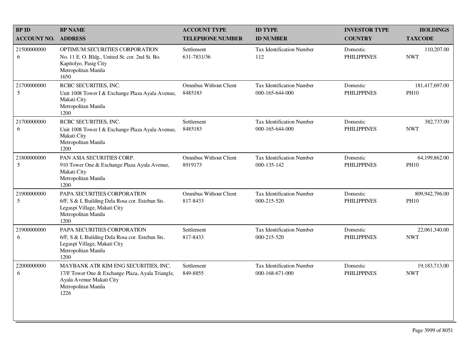| <b>BP ID</b>       | <b>BP NAME</b>                                                                                                                                      | <b>ACCOUNT TYPE</b>                       | <b>ID TYPE</b>                                      | <b>INVESTOR TYPE</b>           | <b>HOLDINGS</b>               |
|--------------------|-----------------------------------------------------------------------------------------------------------------------------------------------------|-------------------------------------------|-----------------------------------------------------|--------------------------------|-------------------------------|
| <b>ACCOUNT NO.</b> | <b>ADDRESS</b>                                                                                                                                      | <b>TELEPHONE NUMBER</b>                   | <b>ID NUMBER</b>                                    | <b>COUNTRY</b>                 | <b>TAXCODE</b>                |
| 21500000000<br>6   | OPTIMUM SECURITIES CORPORATION<br>No. 11 E. O. Bldg., United St. cor. 2nd St. Bo.<br>Kapitolyo, Pasig City<br>Metropolitan Manila<br>1650           | Settlement<br>631-7831/36                 | <b>Tax Identification Number</b><br>112             | Domestic<br><b>PHILIPPINES</b> | 110,207.00<br><b>NWT</b>      |
| 21700000000<br>5   | RCBC SECURITIES, INC.<br>Unit 1008 Tower I & Exchange Plaza Ayala Avenue,<br>Makati City<br>Metropolitan Manila<br>1200                             | <b>Omnibus Without Client</b><br>8485183  | Tax Identification Number<br>000-165-644-000        | Domestic<br><b>PHILIPPINES</b> | 181,417,697.00<br><b>PH10</b> |
| 21700000000<br>6   | RCBC SECURITIES, INC.<br>Unit 1008 Tower I & Exchange Plaza Ayala Avenue,<br>Makati City<br>Metropolitan Manila<br>1200                             | Settlement<br>8485183                     | <b>Tax Identification Number</b><br>000-165-644-000 | Domestic<br><b>PHILIPPINES</b> | 382,737.00<br><b>NWT</b>      |
| 21800000000<br>5   | PAN ASIA SECURITIES CORP.<br>910 Tower One & Exchange Plaza Ayala Avenue,<br>Makati City<br>Metropolitan Manila<br>1200                             | <b>Omnibus Without Client</b><br>8919173  | Tax Identification Number<br>000-135-142            | Domestic<br><b>PHILIPPINES</b> | 64,199,862.00<br><b>PH10</b>  |
| 21900000000<br>5   | PAPA SECURITIES CORPORATION<br>6/F, S & L Building Dela Rosa cor. Esteban Sts.<br>Legaspi Village, Makati City<br>Metropolitan Manila<br>1200       | <b>Omnibus Without Client</b><br>817-8433 | Tax Identification Number<br>000-215-520            | Domestic<br><b>PHILIPPINES</b> | 809,942,796.00<br><b>PH10</b> |
| 21900000000<br>6   | PAPA SECURITIES CORPORATION<br>6/F, S & L Building Dela Rosa cor. Esteban Sts.<br>Legaspi Village, Makati City<br>Metropolitan Manila<br>1200       | Settlement<br>817-8433                    | <b>Tax Identification Number</b><br>000-215-520     | Domestic<br><b>PHILIPPINES</b> | 22,061,340.00<br><b>NWT</b>   |
| 22000000000<br>6   | MAYBANK ATR KIM ENG SECURITIES, INC.<br>17/F Tower One & Exchange Plaza, Ayala Triangle,<br>Ayala Avenue Makati City<br>Metropolitan Manila<br>1226 | Settlement<br>849-8855                    | Tax Identification Number<br>000-168-671-000        | Domestic<br><b>PHILIPPINES</b> | 19,183,713.00<br><b>NWT</b>   |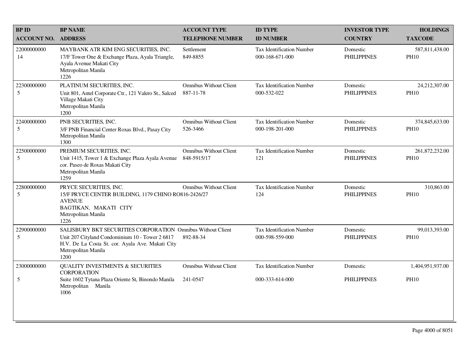| <b>BPID</b>        | <b>BP NAME</b>                                                                                                                                                                                    | <b>ACCOUNT TYPE</b>                          | <b>ID TYPE</b>                                      | <b>INVESTOR TYPE</b>           | <b>HOLDINGS</b>                 |
|--------------------|---------------------------------------------------------------------------------------------------------------------------------------------------------------------------------------------------|----------------------------------------------|-----------------------------------------------------|--------------------------------|---------------------------------|
| <b>ACCOUNT NO.</b> | <b>ADDRESS</b>                                                                                                                                                                                    | <b>TELEPHONE NUMBER</b>                      | <b>ID NUMBER</b>                                    | <b>COUNTRY</b>                 | <b>TAXCODE</b>                  |
| 22000000000<br>14  | MAYBANK ATR KIM ENG SECURITIES, INC.<br>17/F Tower One & Exchange Plaza, Ayala Triangle,<br>Ayala Avenue Makati City<br>Metropolitan Manila<br>1226                                               | Settlement<br>849-8855                       | <b>Tax Identification Number</b><br>000-168-671-000 | Domestic<br><b>PHILIPPINES</b> | 587,811,438.00<br><b>PH10</b>   |
| 22300000000<br>5   | PLATINUM SECURITIES, INC.<br>Unit 801, Antel Corporate Ctr., 121 Valero St., Salced<br>Village Makati City<br>Metropolitan Manila<br>1200                                                         | <b>Omnibus Without Client</b><br>887-11-78   | Tax Identification Number<br>000-532-022            | Domestic<br><b>PHILIPPINES</b> | 24,212,307.00<br><b>PH10</b>    |
| 22400000000<br>5   | PNB SECURITIES, INC.<br>3/F PNB Financial Center Roxas Blvd., Pasay City<br>Metropolitan Manila<br>1300                                                                                           | <b>Omnibus Without Client</b><br>526-3466    | <b>Tax Identification Number</b><br>000-198-201-000 | Domestic<br><b>PHILIPPINES</b> | 374,845,633.00<br><b>PH10</b>   |
| 22500000000<br>5   | PREMIUM SECURITIES, INC.<br>Unit 1415, Tower 1 & Exchange Plaza Ayala Avenue<br>cor. Paseo de Roxas Makati City<br>Metropolitan Manila<br>1259                                                    | <b>Omnibus Without Client</b><br>848-5915/17 | <b>Tax Identification Number</b><br>121             | Domestic<br><b>PHILIPPINES</b> | 261,872,232.00<br><b>PH10</b>   |
| 22800000000<br>5   | PRYCE SECURITIES, INC.<br>15/F PRYCE CENTER BUILDING, 1179 CHINO RO816-2426/27<br><b>AVENUE</b><br>BAGTIKAN, MAKATI CITY<br>Metropolitan Manila<br>1226                                           | <b>Omnibus Without Client</b>                | Tax Identification Number<br>124                    | Domestic<br><b>PHILIPPINES</b> | 310,863.00<br><b>PH10</b>       |
| 22900000000<br>5   | SALISBURY BKT SECURITIES CORPORATION Omnibus Without Client<br>Unit 207 Cityland Condominium 10 - Tower 2 6817<br>H.V. De La Costa St. cor. Ayala Ave. Makati City<br>Metropolitan Manila<br>1200 | 892-88-34                                    | Tax Identification Number<br>000-598-559-000        | Domestic<br><b>PHILIPPINES</b> | 99,013,393.00<br><b>PH10</b>    |
| 23000000000<br>5   | <b>QUALITY INVESTMENTS &amp; SECURITIES</b><br><b>CORPORATION</b><br>Suite 1602 Tytana Plaza Oriente St, Binondo Manila<br>Metropolitan Manila<br>1006                                            | <b>Omnibus Without Client</b><br>241-0547    | Tax Identification Number<br>000-333-614-000        | Domestic<br><b>PHILIPPINES</b> | 1,404,951,937.00<br><b>PH10</b> |
|                    |                                                                                                                                                                                                   |                                              |                                                     |                                |                                 |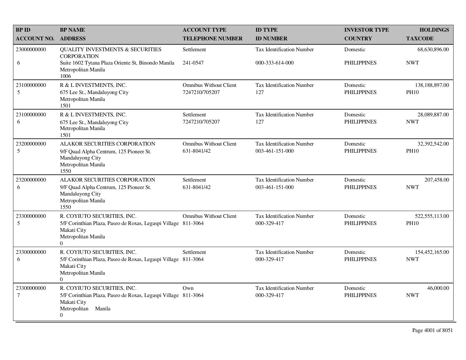| <b>BP ID</b>                  | <b>BP NAME</b>                                                                                                                                             | <b>ACCOUNT TYPE</b>                             | <b>ID TYPE</b>                                      | <b>INVESTOR TYPE</b>           | <b>HOLDINGS</b>               |
|-------------------------------|------------------------------------------------------------------------------------------------------------------------------------------------------------|-------------------------------------------------|-----------------------------------------------------|--------------------------------|-------------------------------|
| <b>ACCOUNT NO.</b>            | <b>ADDRESS</b>                                                                                                                                             | <b>TELEPHONE NUMBER</b>                         | <b>ID NUMBER</b>                                    | <b>COUNTRY</b>                 | <b>TAXCODE</b>                |
| 23000000000                   | <b>QUALITY INVESTMENTS &amp; SECURITIES</b><br><b>CORPORATION</b>                                                                                          | Settlement                                      | <b>Tax Identification Number</b>                    | Domestic                       | 68,630,896.00                 |
| 6                             | Suite 1602 Tytana Plaza Oriente St, Binondo Manila<br>Metropolitan Manila<br>1006                                                                          | 241-0547                                        | 000-333-614-000                                     | <b>PHILIPPINES</b>             | <b>NWT</b>                    |
| 23100000000<br>5              | R & L INVESTMENTS, INC.<br>675 Lee St., Mandaluyong City<br>Metropolitan Manila<br>1501                                                                    | <b>Omnibus Without Client</b><br>7247210/705207 | Tax Identification Number<br>127                    | Domestic<br><b>PHILIPPINES</b> | 138,188,897.00<br><b>PH10</b> |
| 23100000000<br>6              | R & L INVESTMENTS, INC.<br>675 Lee St., Mandaluyong City<br>Metropolitan Manila<br>1501                                                                    | Settlement<br>7247210/705207                    | <b>Tax Identification Number</b><br>127             | Domestic<br><b>PHILIPPINES</b> | 28,089,887.00<br><b>NWT</b>   |
| 23200000000<br>5              | ALAKOR SECURITIES CORPORATION<br>9/F Quad Alpha Centrum, 125 Pioneer St.<br>Mandaluyong City<br>Metropolitan Manila<br>1550                                | <b>Omnibus Without Client</b><br>631-8041/42    | <b>Tax Identification Number</b><br>003-461-151-000 | Domestic<br><b>PHILIPPINES</b> | 32,392,542.00<br><b>PH10</b>  |
| 23200000000<br>6              | ALAKOR SECURITIES CORPORATION<br>9/F Quad Alpha Centrum, 125 Pioneer St.<br>Mandaluyong City<br>Metropolitan Manila<br>1550                                | Settlement<br>631-8041/42                       | <b>Tax Identification Number</b><br>003-461-151-000 | Domestic<br><b>PHILIPPINES</b> | 207,458.00<br><b>NWT</b>      |
| 23300000000<br>5              | R. COYIUTO SECURITIES, INC.<br>5/F Corinthian Plaza, Paseo de Roxas, Legaspi Village 811-3064<br>Makati City<br>Metropolitan Manila<br>$\Omega$            | <b>Omnibus Without Client</b>                   | <b>Tax Identification Number</b><br>000-329-417     | Domestic<br><b>PHILIPPINES</b> | 522,555,113.00<br><b>PH10</b> |
| 23300000000<br>6              | R. COYIUTO SECURITIES, INC.<br>5/F Corinthian Plaza, Paseo de Roxas, Legaspi Village 811-3064<br>Makati City<br>Metropolitan Manila<br>$\Omega$            | Settlement                                      | <b>Tax Identification Number</b><br>000-329-417     | Domestic<br><b>PHILIPPINES</b> | 154,452,165.00<br><b>NWT</b>  |
| 23300000000<br>$\overline{7}$ | R. COYIUTO SECURITIES, INC.<br>5/F Corinthian Plaza, Paseo de Roxas, Legaspi Village 811-3064<br>Makati City<br>Metropolitan<br>Manila<br>$\boldsymbol{0}$ | Own                                             | <b>Tax Identification Number</b><br>000-329-417     | Domestic<br><b>PHILIPPINES</b> | 46,000.00<br><b>NWT</b>       |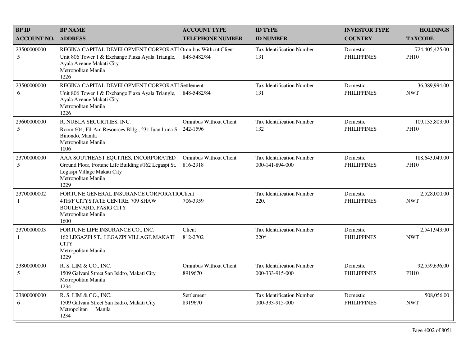| <b>BPID</b>                 | <b>BP NAME</b>                                                                                                                                                              | <b>ACCOUNT TYPE</b>                       | <b>ID TYPE</b>                                      | <b>INVESTOR TYPE</b>           | <b>HOLDINGS</b>               |
|-----------------------------|-----------------------------------------------------------------------------------------------------------------------------------------------------------------------------|-------------------------------------------|-----------------------------------------------------|--------------------------------|-------------------------------|
| <b>ACCOUNT NO.</b>          | <b>ADDRESS</b>                                                                                                                                                              | <b>TELEPHONE NUMBER</b>                   | <b>ID NUMBER</b>                                    | <b>COUNTRY</b>                 | <b>TAXCODE</b>                |
| 23500000000<br>5            | REGINA CAPITAL DEVELOPMENT CORPORATI Omnibus Without Client<br>Unit 806 Tower 1 & Exchange Plaza Ayala Triangle,<br>Ayala Avenue Makati City<br>Metropolitan Manila<br>1226 | 848-5482/84                               | <b>Tax Identification Number</b><br>131             | Domestic<br><b>PHILIPPINES</b> | 724,405,425.00<br><b>PH10</b> |
| 23500000000<br>6            | REGINA CAPITAL DEVELOPMENT CORPORATI Settlement<br>Unit 806 Tower 1 & Exchange Plaza Ayala Triangle,<br>Ayala Avenue Makati City<br>Metropolitan Manila<br>1226             | 848-5482/84                               | Tax Identification Number<br>131                    | Domestic<br><b>PHILIPPINES</b> | 36,389,994.00<br><b>NWT</b>   |
| 23600000000<br>5            | R. NUBLA SECURITIES, INC.<br>Room 604, Fil-Am Resources Bldg., 231 Juan Luna S<br>Binondo, Manila<br>Metropolitan Manila<br>1006                                            | <b>Omnibus Without Client</b><br>242-1596 | <b>Tax Identification Number</b><br>132             | Domestic<br><b>PHILIPPINES</b> | 109,135,803.00<br><b>PH10</b> |
| 23700000000<br>5            | AAA SOUTHEAST EQUITIES, INCORPORATED<br>Ground Floor, Fortune Life Building #162 Legaspi St.<br>Legaspi Village Makati City<br>Metropolitan Manila<br>1229                  | <b>Omnibus Without Client</b><br>816-2918 | <b>Tax Identification Number</b><br>000-141-894-000 | Domestic<br><b>PHILIPPINES</b> | 188,643,049.00<br><b>PH10</b> |
| 23700000002<br>$\mathbf{1}$ | FORTUNE GENERAL INSURANCE CORPORATIOCIEnt<br>4TH/F CITYSTATE CENTRE, 709 SHAW<br><b>BOULEVARD, PASIG CITY</b><br>Metropolitan Manila<br>1600                                | 706-3959                                  | <b>Tax Identification Number</b><br>220.            | Domestic<br><b>PHILIPPINES</b> | 2,528,000.00<br><b>NWT</b>    |
| 23700000003<br>-1           | FORTUNE LIFE INSURANCE CO., INC.<br>162 LEGAZPI ST., LEGAZPI VILLAGE MAKATI<br><b>CITY</b><br>Metropolitan Manila<br>1229                                                   | Client<br>812-2702                        | Tax Identification Number<br>220^                   | Domestic<br><b>PHILIPPINES</b> | 2,541,943.00<br><b>NWT</b>    |
| 23800000000<br>5            | R. S. LIM & CO., INC.<br>1509 Galvani Street San Isidro, Makati City<br>Metropolitan Manila<br>1234                                                                         | <b>Omnibus Without Client</b><br>8919670  | <b>Tax Identification Number</b><br>000-333-915-000 | Domestic<br><b>PHILIPPINES</b> | 92,559,636.00<br><b>PH10</b>  |
| 23800000000<br>6            | R. S. LIM & CO., INC.<br>1509 Galvani Street San Isidro, Makati City<br>Metropolitan Manila<br>1234                                                                         | Settlement<br>8919670                     | <b>Tax Identification Number</b><br>000-333-915-000 | Domestic<br><b>PHILIPPINES</b> | 508,056.00<br><b>NWT</b>      |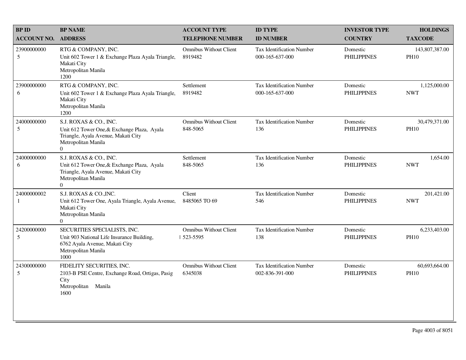| <b>BPID</b>        | <b>BP NAME</b>                                                                                                                                  | <b>ACCOUNT TYPE</b>                         | <b>ID TYPE</b>                                      | <b>INVESTOR TYPE</b>           | <b>HOLDINGS</b>               |
|--------------------|-------------------------------------------------------------------------------------------------------------------------------------------------|---------------------------------------------|-----------------------------------------------------|--------------------------------|-------------------------------|
| <b>ACCOUNT NO.</b> | <b>ADDRESS</b>                                                                                                                                  | <b>TELEPHONE NUMBER</b>                     | <b>ID NUMBER</b>                                    | <b>COUNTRY</b>                 | <b>TAXCODE</b>                |
| 23900000000<br>5   | RTG & COMPANY, INC.<br>Unit 602 Tower 1 & Exchange Plaza Ayala Triangle,<br>Makati City<br>Metropolitan Manila<br>1200                          | <b>Omnibus Without Client</b><br>8919482    | <b>Tax Identification Number</b><br>000-165-637-000 | Domestic<br><b>PHILIPPINES</b> | 143,807,387.00<br><b>PH10</b> |
| 23900000000<br>6   | RTG & COMPANY, INC.<br>Unit 602 Tower 1 & Exchange Plaza Ayala Triangle,<br>Makati City<br>Metropolitan Manila<br>1200                          | Settlement<br>8919482                       | <b>Tax Identification Number</b><br>000-165-637-000 | Domestic<br><b>PHILIPPINES</b> | 1,125,000.00<br><b>NWT</b>    |
| 24000000000<br>5   | S.J. ROXAS & CO., INC.<br>Unit 612 Tower One, & Exchange Plaza, Ayala<br>Triangle, Ayala Avenue, Makati City<br>Metropolitan Manila<br>$\Omega$ | <b>Omnibus Without Client</b><br>848-5065   | <b>Tax Identification Number</b><br>136             | Domestic<br><b>PHILIPPINES</b> | 30,479,371.00<br><b>PH10</b>  |
| 24000000000<br>6   | S.J. ROXAS & CO., INC.<br>Unit 612 Tower One, & Exchange Plaza, Ayala<br>Triangle, Ayala Avenue, Makati City<br>Metropolitan Manila<br>$\Omega$ | Settlement<br>848-5065                      | Tax Identification Number<br>136                    | Domestic<br><b>PHILIPPINES</b> | 1,654.00<br><b>NWT</b>        |
| 24000000002<br>1   | S.J. ROXAS & CO., INC.<br>Unit 612 Tower One, Ayala Triangle, Ayala Avenue,<br>Makati City<br>Metropolitan Manila<br>$\overline{0}$             | Client<br>8485065 TO 69                     | <b>Tax Identification Number</b><br>546             | Domestic<br><b>PHILIPPINES</b> | 201,421.00<br><b>NWT</b>      |
| 24200000000<br>5   | SECURITIES SPECIALISTS, INC.<br>Unit 903 National Life Insurance Building,<br>6762 Ayala Avenue, Makati City<br>Metropolitan Manila<br>1000     | <b>Omnibus Without Client</b><br>  523-5595 | <b>Tax Identification Number</b><br>138             | Domestic<br><b>PHILIPPINES</b> | 6,233,403.00<br><b>PH10</b>   |
| 24300000000<br>5   | FIDELITY SECURITIES, INC.<br>2103-B PSE Centre, Exchange Road, Ortigas, Pasig<br>City<br>Metropolitan<br>Manila<br>1600                         | <b>Omnibus Without Client</b><br>6345038    | Tax Identification Number<br>002-836-391-000        | Domestic<br><b>PHILIPPINES</b> | 60,693,664.00<br><b>PH10</b>  |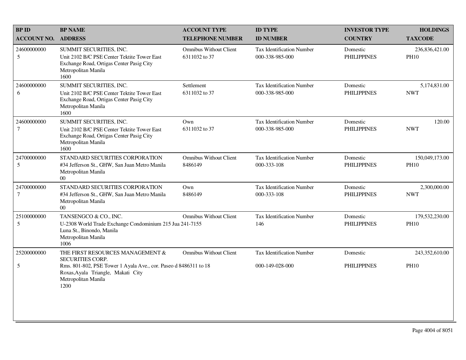| <b>BPID</b>                     | <b>BP NAME</b>                                                                                                                                    | <b>ACCOUNT TYPE</b>                            | <b>ID TYPE</b>                                      | <b>INVESTOR TYPE</b>           | <b>HOLDINGS</b>               |
|---------------------------------|---------------------------------------------------------------------------------------------------------------------------------------------------|------------------------------------------------|-----------------------------------------------------|--------------------------------|-------------------------------|
| <b>ACCOUNT NO.</b>              | <b>ADDRESS</b>                                                                                                                                    | <b>TELEPHONE NUMBER</b>                        | <b>ID NUMBER</b>                                    | <b>COUNTRY</b>                 | <b>TAXCODE</b>                |
| 24600000000<br>5                | SUMMIT SECURITIES, INC.<br>Unit 2102 B/C PSE Center Tektite Tower East<br>Exchange Road, Ortigas Center Pasig City<br>Metropolitan Manila<br>1600 | <b>Omnibus Without Client</b><br>6311032 to 37 | Tax Identification Number<br>000-338-985-000        | Domestic<br><b>PHILIPPINES</b> | 236,836,421.00<br><b>PH10</b> |
| 24600000000<br>6                | SUMMIT SECURITIES, INC.<br>Unit 2102 B/C PSE Center Tektite Tower East<br>Exchange Road, Ortigas Center Pasig City<br>Metropolitan Manila<br>1600 | Settlement<br>6311032 to 37                    | Tax Identification Number<br>000-338-985-000        | Domestic<br><b>PHILIPPINES</b> | 5,174,831.00<br><b>NWT</b>    |
| 24600000000<br>$\boldsymbol{7}$ | SUMMIT SECURITIES, INC.<br>Unit 2102 B/C PSE Center Tektite Tower East<br>Exchange Road, Ortigas Center Pasig City<br>Metropolitan Manila<br>1600 | Own<br>6311032 to 37                           | <b>Tax Identification Number</b><br>000-338-985-000 | Domestic<br><b>PHILIPPINES</b> | 120.00<br><b>NWT</b>          |
| 24700000000<br>5                | STANDARD SECURITIES CORPORATION<br>#34 Jefferson St., GHW, San Juan Metro Manila<br>Metropolitan Manila<br>00 <sup>1</sup>                        | <b>Omnibus Without Client</b><br>8486149       | <b>Tax Identification Number</b><br>000-333-108     | Domestic<br><b>PHILIPPINES</b> | 150,049,173.00<br><b>PH10</b> |
| 24700000000<br>$\tau$           | STANDARD SECURITIES CORPORATION<br>#34 Jefferson St., GHW, San Juan Metro Manila<br>Metropolitan Manila<br>00 <sup>1</sup>                        | Own<br>8486149                                 | <b>Tax Identification Number</b><br>000-333-108     | Domestic<br><b>PHILIPPINES</b> | 2,300,000.00<br><b>NWT</b>    |
| 25100000000<br>5                | TANSENGCO & CO., INC.<br>U-2308 World Trade Exchange Condominium 215 Jua 241-7155<br>Luna St., Binondo, Manila<br>Metropolitan Manila<br>1006     | <b>Omnibus Without Client</b>                  | <b>Tax Identification Number</b><br>146             | Domestic<br><b>PHILIPPINES</b> | 179,532,230.00<br><b>PH10</b> |
| 25200000000                     | THE FIRST RESOURCES MANAGEMENT &<br><b>SECURITIES CORP.</b>                                                                                       | <b>Omnibus Without Client</b>                  | Tax Identification Number                           | Domestic                       | 243,352,610.00                |
| 5                               | Rms. 801-802, PSE Tower 1 Ayala Ave., cor. Paseo d 8486311 to 18<br>Roxas, Ayala Triangle, Makati City<br>Metropolitan Manila<br>1200             |                                                | 000-149-028-000                                     | <b>PHILIPPINES</b>             | <b>PH10</b>                   |
|                                 |                                                                                                                                                   |                                                |                                                     |                                |                               |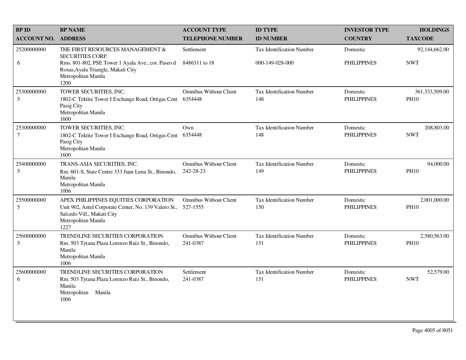| <b>BPID</b>                   | <b>BP NAME</b>                                                                                                                                                                         | <b>ACCOUNT TYPE</b>                        | <b>ID TYPE</b>                               | <b>INVESTOR TYPE</b>           | <b>HOLDINGS</b>               |
|-------------------------------|----------------------------------------------------------------------------------------------------------------------------------------------------------------------------------------|--------------------------------------------|----------------------------------------------|--------------------------------|-------------------------------|
| <b>ACCOUNT NO.</b>            | <b>ADDRESS</b>                                                                                                                                                                         | <b>TELEPHONE NUMBER</b>                    | <b>ID NUMBER</b>                             | <b>COUNTRY</b>                 | <b>TAXCODE</b>                |
| 25200000000<br>6              | THE FIRST RESOURCES MANAGEMENT &<br><b>SECURITIES CORP.</b><br>Rms. 801-802, PSE Tower 1 Ayala Ave., cor. Paseo d<br>Roxas, Ayala Triangle, Makati City<br>Metropolitan Manila<br>1200 | Settlement<br>8486311 to 18                | Tax Identification Number<br>000-149-028-000 | Domestic<br><b>PHILIPPINES</b> | 92,144,662.00<br><b>NWT</b>   |
| 25300000000<br>5              | TOWER SECURITIES, INC.<br>1802-C Tektite Tower I Exchange Road, Ortigas Cent<br>Pasig City<br>Metropolitan Manila<br>1600                                                              | <b>Omnibus Without Client</b><br>6354448   | Tax Identification Number<br>148             | Domestic<br><b>PHILIPPINES</b> | 361,333,509.00<br><b>PH10</b> |
| 25300000000<br>$\overline{7}$ | TOWER SECURITIES, INC.<br>1802-C Tektite Tower I Exchange Road, Ortigas Cent<br>Pasig City<br>Metropolitan Manila<br>1600                                                              | Own<br>6354448                             | <b>Tax Identification Number</b><br>148      | Domestic<br><b>PHILIPPINES</b> | 208,803.00<br><b>NWT</b>      |
| 25400000000<br>5              | TRANS-ASIA SECURITIES, INC.<br>Rm. 601-S, State Centre 333 Juan Luna St., Binondo,<br>Manila<br>Metropolitan Manila<br>1006                                                            | <b>Omnibus Without Client</b><br>242-28-23 | <b>Tax Identification Number</b><br>149      | Domestic<br><b>PHILIPPINES</b> | 94,000.00<br><b>PH10</b>      |
| 25500000000<br>5              | APEX PHILIPPINES EQUITIES CORPORATION<br>Unit 902, Antel Corporate Center, No. 139 Valero St.,<br>Salcedo Vill., Makati City<br>Metropolitan Manila<br>1227                            | <b>Omnibus Without Client</b><br>527-1555  | <b>Tax Identification Number</b><br>150      | Domestic<br><b>PHILIPPINES</b> | 2,001,000.00<br><b>PH10</b>   |
| 25600000000<br>5              | TRENDLINE SECURITIES CORPORATION<br>Rm. 503 Tytana Plaza Lorenzo Ruiz St., Binondo,<br>Manila<br>Metropolitan Manila<br>1006                                                           | Omnibus Without Client<br>241-0387         | <b>Tax Identification Number</b><br>151      | Domestic<br><b>PHILIPPINES</b> | 2,580,563.00<br><b>PH10</b>   |
| 25600000000<br>6              | <b>TRENDLINE SECURITIES CORPORATION</b><br>Rm. 503 Tytana Plaza Lorenzo Ruiz St., Binondo,<br>Manila<br>Metropolitan<br>Manila<br>1006                                                 | Settlement<br>241-0387                     | <b>Tax Identification Number</b><br>151      | Domestic<br><b>PHILIPPINES</b> | 52,579.00<br><b>NWT</b>       |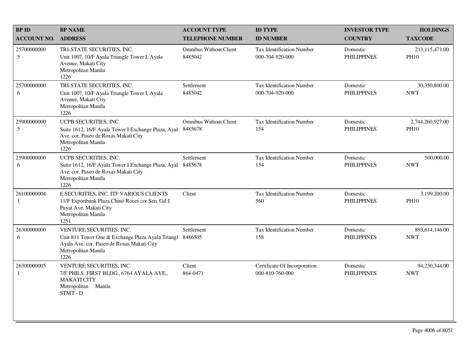| <b>BPID</b>        | <b>BP NAME</b>                                                                                                                                             | <b>ACCOUNT TYPE</b>                      | <b>ID TYPE</b>                                  | <b>INVESTOR TYPE</b>           | <b>HOLDINGS</b>                 |
|--------------------|------------------------------------------------------------------------------------------------------------------------------------------------------------|------------------------------------------|-------------------------------------------------|--------------------------------|---------------------------------|
| <b>ACCOUNT NO.</b> | <b>ADDRESS</b>                                                                                                                                             | <b>TELEPHONE NUMBER</b>                  | <b>ID NUMBER</b>                                | <b>COUNTRY</b>                 | <b>TAXCODE</b>                  |
| 25700000000<br>5   | TRI-STATE SECURITIES, INC.<br>Unit 1007, 10/F Ayala Triangle Tower I, Ayala<br>Avenue, Makati City<br>Metropolitan Manila<br>1226                          | <b>Omnibus Without Client</b><br>8485042 | Tax Identification Number<br>000-704-920-000    | Domestic<br><b>PHILIPPINES</b> | 213,115,471.00<br><b>PH10</b>   |
| 25700000000<br>6   | TRI-STATE SECURITIES, INC.<br>Unit 1007, 10/F Ayala Triangle Tower I, Ayala<br>Avenue, Makati City<br>Metropolitan Manila<br>1226                          | Settlement<br>8485042                    | Tax Identification Number<br>000-704-920-000    | Domestic<br><b>PHILIPPINES</b> | 30,350,800.00<br><b>NWT</b>     |
| 25900000000<br>5   | UCPB SECURITIES, INC.<br>Suite 1612, 16/F Ayala Tower I Exchange Plaza, Ayal<br>Ave. cor. Paseo de Roxas Makati City<br>Metropolitan Manila<br>1226        | <b>Omnibus Without Client</b><br>8485678 | <b>Tax Identification Number</b><br>154         | Domestic<br><b>PHILIPPINES</b> | 2,744,260,927.00<br><b>PH10</b> |
| 25900000000<br>6   | UCPB SECURITIES, INC.<br>Suite 1612, 16/F Ayala Tower I Exchange Plaza, Ayal<br>Ave. cor. Paseo de Roxas Makati City<br>Metropolitan Manila<br>1226        | Settlement<br>8485678                    | Tax Identification Number<br>154                | Domestic<br><b>PHILIPPINES</b> | 500,000.00<br><b>NWT</b>        |
| 26100000004<br>1   | E.SECURITIES, INC. ITF VARIOUS CLIENTS<br>11/F Exportbank Plaza Chino Roces cor Sen. Gil J.<br>Puyat Ave, Makati City<br>Metropolitan Manila<br>1251       | Client                                   | <b>Tax Identification Number</b><br>560         | Domestic<br><b>PHILIPPINES</b> | 3,199,200.00<br><b>PH10</b>     |
| 26300000000<br>6   | VENTURE SECURITIES, INC.<br>Unit 811 Tower One & Exchange Plaza Ayala Triangl<br>Ayala Ave. cor. Paseo de Roxas Makati City<br>Metropolitan Manila<br>1226 | Settlement<br>8486505                    | Tax Identification Number<br>158                | Domestic<br><b>PHILIPPINES</b> | 893,614,146.00<br><b>NWT</b>    |
| 26300000005<br>1   | VENTURE SECURITIES, INC.<br>7/F PHILS. FIRST BLDG., 6764 AYALA AVE.,<br><b>MAKATI CITY</b><br>Metropolitan Manila<br>STMT-D                                | Client<br>864-0471                       | Certificate Of Incorporation<br>000-810-760-000 | Domestic<br><b>PHILIPPINES</b> | 94,230,344.00<br><b>NWT</b>     |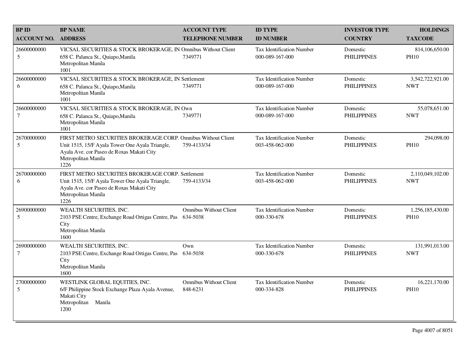| <b>BPID</b>                   | <b>BP NAME</b>                                                                                                                                                                               | <b>ACCOUNT TYPE</b>                       | <b>ID TYPE</b>                                      | <b>INVESTOR TYPE</b>           | <b>HOLDINGS</b>                 |
|-------------------------------|----------------------------------------------------------------------------------------------------------------------------------------------------------------------------------------------|-------------------------------------------|-----------------------------------------------------|--------------------------------|---------------------------------|
| <b>ACCOUNT NO.</b>            | <b>ADDRESS</b>                                                                                                                                                                               | <b>TELEPHONE NUMBER</b>                   | <b>ID NUMBER</b>                                    | <b>COUNTRY</b>                 | <b>TAXCODE</b>                  |
| 26600000000<br>5              | VICSAL SECURITIES & STOCK BROKERAGE, IN Omnibus Without Client<br>658 C. Palanca St., Quiapo, Manila<br>Metropolitan Manila<br>1001                                                          | 7349771                                   | <b>Tax Identification Number</b><br>000-089-167-000 | Domestic<br><b>PHILIPPINES</b> | 814,106,650.00<br><b>PH10</b>   |
| 26600000000<br>6              | VICSAL SECURITIES & STOCK BROKERAGE, IN Settlement<br>658 C. Palanca St., Quiapo, Manila<br>Metropolitan Manila<br>1001                                                                      | 7349771                                   | <b>Tax Identification Number</b><br>000-089-167-000 | Domestic<br><b>PHILIPPINES</b> | 3,542,722,921.00<br><b>NWT</b>  |
| 26600000000<br>$\tau$         | VICSAL SECURITIES & STOCK BROKERAGE, IN Own<br>658 C. Palanca St., Quiapo, Manila<br>Metropolitan Manila<br>1001                                                                             | 7349771                                   | <b>Tax Identification Number</b><br>000-089-167-000 | Domestic<br><b>PHILIPPINES</b> | 55,078,651.00<br><b>NWT</b>     |
| 26700000000<br>5              | FIRST METRO SECURITIES BROKERAGE CORP. Omnibus Without Client<br>Unit 1515, 15/F Ayala Tower One Ayala Triangle,<br>Ayala Ave. cor Paseo de Roxas Makati City<br>Metropolitan Manila<br>1226 | 759-4133/34                               | <b>Tax Identification Number</b><br>003-458-062-000 | Domestic<br><b>PHILIPPINES</b> | 294,098.00<br><b>PH10</b>       |
| 26700000000<br>6              | FIRST METRO SECURITIES BROKERAGE CORP. Settlement<br>Unit 1515, 15/F Ayala Tower One Ayala Triangle,<br>Ayala Ave. cor Paseo de Roxas Makati City<br>Metropolitan Manila<br>1226             | 759-4133/34                               | Tax Identification Number<br>003-458-062-000        | Domestic<br><b>PHILIPPINES</b> | 2,110,049,102.00<br><b>NWT</b>  |
| 26900000000<br>5              | WEALTH SECURITIES, INC.<br>2103 PSE Centre, Exchange Road Ortigas Centre, Pas<br>City<br>Metropolitan Manila<br>1600                                                                         | <b>Omnibus Without Client</b><br>634-5038 | <b>Tax Identification Number</b><br>000-330-678     | Domestic<br><b>PHILIPPINES</b> | 1,256,185,430.00<br><b>PH10</b> |
| 26900000000<br>$\overline{7}$ | WEALTH SECURITIES, INC.<br>2103 PSE Centre, Exchange Road Ortigas Centre, Pas 634-5038<br>City<br>Metropolitan Manila<br>1600                                                                | Own                                       | <b>Tax Identification Number</b><br>000-330-678     | Domestic<br><b>PHILIPPINES</b> | 131,991,013.00<br><b>NWT</b>    |
| 27000000000<br>5              | WESTLINK GLOBAL EQUITIES, INC.<br>6/F Philippine Stock Exchange Plaza Ayala Avenue,<br>Makati City<br>Metropolitan<br>Manila<br>1200                                                         | <b>Omnibus Without Client</b><br>848-6231 | Tax Identification Number<br>000-334-828            | Domestic<br><b>PHILIPPINES</b> | 16,221,170.00<br><b>PH10</b>    |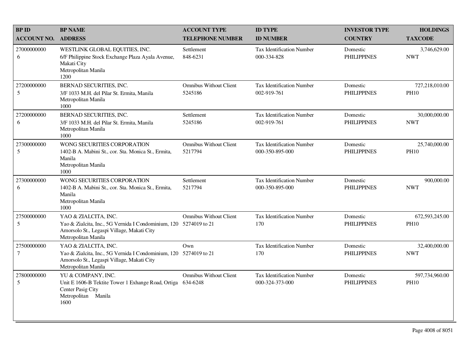| <b>BPID</b>           | <b>BP NAME</b>                                                                                                                                                 | <b>ACCOUNT TYPE</b>                       | <b>ID TYPE</b>                                      | <b>INVESTOR TYPE</b>           | <b>HOLDINGS</b>               |
|-----------------------|----------------------------------------------------------------------------------------------------------------------------------------------------------------|-------------------------------------------|-----------------------------------------------------|--------------------------------|-------------------------------|
| <b>ACCOUNT NO.</b>    | <b>ADDRESS</b>                                                                                                                                                 | <b>TELEPHONE NUMBER</b>                   | <b>ID NUMBER</b>                                    | <b>COUNTRY</b>                 | <b>TAXCODE</b>                |
| 27000000000<br>6      | WESTLINK GLOBAL EQUITIES, INC.<br>6/F Philippine Stock Exchange Plaza Ayala Avenue,<br>Makati City<br>Metropolitan Manila<br>1200                              | Settlement<br>848-6231                    | Tax Identification Number<br>000-334-828            | Domestic<br><b>PHILIPPINES</b> | 3,746,629.00<br><b>NWT</b>    |
| 27200000000<br>5      | BERNAD SECURITIES, INC.<br>3/F 1033 M.H. del Pilar St. Ermita, Manila<br>Metropolitan Manila<br>1000                                                           | <b>Omnibus Without Client</b><br>5245186  | <b>Tax Identification Number</b><br>002-919-761     | Domestic<br><b>PHILIPPINES</b> | 727,218,010.00<br><b>PH10</b> |
| 27200000000<br>6      | BERNAD SECURITIES, INC.<br>3/F 1033 M.H. del Pilar St. Ermita, Manila<br>Metropolitan Manila<br>1000                                                           | Settlement<br>5245186                     | <b>Tax Identification Number</b><br>002-919-761     | Domestic<br><b>PHILIPPINES</b> | 30,000,000.00<br><b>NWT</b>   |
| 27300000000<br>5      | WONG SECURITIES CORPORATION<br>1402-B A. Mabini St., cor. Sta. Monica St., Ermita,<br>Manila<br>Metropolitan Manila<br>1000                                    | <b>Omnibus Without Client</b><br>5217794  | <b>Tax Identification Number</b><br>000-350-895-000 | Domestic<br><b>PHILIPPINES</b> | 25,740,000.00<br><b>PH10</b>  |
| 27300000000<br>6      | WONG SECURITIES CORPORATION<br>1402-B A. Mabini St., cor. Sta. Monica St., Ermita,<br>Manila<br>Metropolitan Manila<br>1000                                    | Settlement<br>5217794                     | Tax Identification Number<br>000-350-895-000        | Domestic<br><b>PHILIPPINES</b> | 900,000.00<br><b>NWT</b>      |
| 27500000000<br>5      | YAO & ZIALCITA, INC.<br>Yao & Zialcita, Inc., 5G Vernida I Condominium, 120 5274019 to 21<br>Amorsolo St., Legaspi Village, Makati City<br>Metropolitan Manila | <b>Omnibus Without Client</b>             | Tax Identification Number<br>170                    | Domestic<br><b>PHILIPPINES</b> | 672,593,245.00<br><b>PH10</b> |
| 27500000000<br>$\tau$ | YAO & ZIALCITA, INC.<br>Yao & Zialcita, Inc., 5G Vernida I Condominium, 120 5274019 to 21<br>Amorsolo St., Legaspi Village, Makati City<br>Metropolitan Manila | Own                                       | Tax Identification Number<br>170                    | Domestic<br><b>PHILIPPINES</b> | 32,400,000.00<br><b>NWT</b>   |
| 27800000000<br>5      | YU & COMPANY, INC.<br>Unit E 1606-B Tektite Tower 1 Exhange Road, Ortiga<br>Center Pasig City<br>Metropolitan Manila<br>1600                                   | <b>Omnibus Without Client</b><br>634-6248 | <b>Tax Identification Number</b><br>000-324-373-000 | Domestic<br><b>PHILIPPINES</b> | 597,734,960.00<br><b>PH10</b> |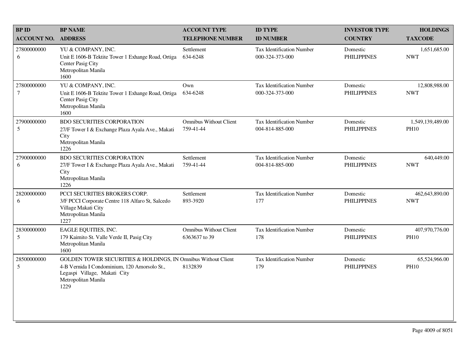| <b>BPID</b>           | <b>BP NAME</b>                                                                                                                                                               | <b>ACCOUNT TYPE</b>                            | <b>ID TYPE</b>                                      | <b>INVESTOR TYPE</b>           | <b>HOLDINGS</b>                 |
|-----------------------|------------------------------------------------------------------------------------------------------------------------------------------------------------------------------|------------------------------------------------|-----------------------------------------------------|--------------------------------|---------------------------------|
| <b>ACCOUNT NO.</b>    | <b>ADDRESS</b>                                                                                                                                                               | <b>TELEPHONE NUMBER</b>                        | <b>ID NUMBER</b>                                    | <b>COUNTRY</b>                 | <b>TAXCODE</b>                  |
| 27800000000<br>6      | YU & COMPANY, INC.<br>Unit E 1606-B Tektite Tower 1 Exhange Road, Ortiga<br>Center Pasig City<br>Metropolitan Manila<br>1600                                                 | Settlement<br>634-6248                         | <b>Tax Identification Number</b><br>000-324-373-000 | Domestic<br><b>PHILIPPINES</b> | 1,651,685.00<br><b>NWT</b>      |
| 27800000000<br>$\tau$ | YU & COMPANY, INC.<br>Unit E 1606-B Tektite Tower 1 Exhange Road, Ortiga<br>Center Pasig City<br>Metropolitan Manila<br>1600                                                 | Own<br>634-6248                                | Tax Identification Number<br>000-324-373-000        | Domestic<br><b>PHILIPPINES</b> | 12,808,988.00<br><b>NWT</b>     |
| 27900000000<br>5      | <b>BDO SECURITIES CORPORATION</b><br>27/F Tower I & Exchange Plaza Ayala Ave., Makati<br>City<br>Metropolitan Manila<br>1226                                                 | <b>Omnibus Without Client</b><br>759-41-44     | <b>Tax Identification Number</b><br>004-814-885-000 | Domestic<br><b>PHILIPPINES</b> | 1,549,139,489.00<br><b>PH10</b> |
| 27900000000<br>6      | <b>BDO SECURITIES CORPORATION</b><br>27/F Tower I & Exchange Plaza Ayala Ave., Makati<br>City<br>Metropolitan Manila<br>1226                                                 | Settlement<br>759-41-44                        | <b>Tax Identification Number</b><br>004-814-885-000 | Domestic<br><b>PHILIPPINES</b> | 640,449.00<br><b>NWT</b>        |
| 28200000000<br>6      | PCCI SECURITIES BROKERS CORP.<br>3/F PCCI Corporate Centre 118 Alfaro St, Salcedo<br>Village Makati City<br>Metropolitan Manila<br>1227                                      | Settlement<br>893-3920                         | <b>Tax Identification Number</b><br>177             | Domestic<br><b>PHILIPPINES</b> | 462,643,890.00<br><b>NWT</b>    |
| 28300000000<br>5      | EAGLE EQUITIES, INC.<br>179 Kaimito St. Valle Verde II, Pasig City<br>Metropolitan Manila<br>1600                                                                            | <b>Omnibus Without Client</b><br>6363637 to 39 | <b>Tax Identification Number</b><br>178             | Domestic<br><b>PHILIPPINES</b> | 407,970,776.00<br><b>PH10</b>   |
| 28500000000<br>5      | GOLDEN TOWER SECURITIES & HOLDINGS, IN Omnibus Without Client<br>4-B Vernida I Condominium, 120 Amorsolo St.,<br>Legaspi Village, Makati City<br>Metropolitan Manila<br>1229 | 8132839                                        | <b>Tax Identification Number</b><br>179             | Domestic<br><b>PHILIPPINES</b> | 65,524,966.00<br><b>PH10</b>    |
|                       |                                                                                                                                                                              |                                                |                                                     |                                |                                 |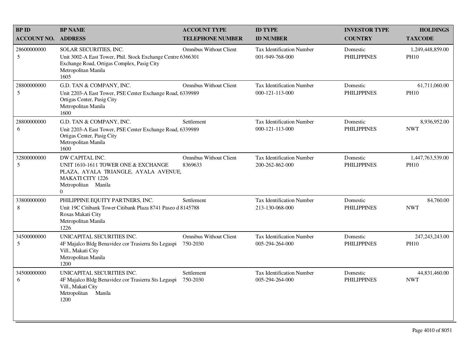| <b>BP ID</b>                   | <b>BP NAME</b>                                                                                                                                                     | <b>ACCOUNT TYPE</b>                       | <b>ID TYPE</b>                                      | <b>INVESTOR TYPE</b>           | <b>HOLDINGS</b>                  |
|--------------------------------|--------------------------------------------------------------------------------------------------------------------------------------------------------------------|-------------------------------------------|-----------------------------------------------------|--------------------------------|----------------------------------|
| <b>ACCOUNT NO.</b>             | <b>ADDRESS</b>                                                                                                                                                     | <b>TELEPHONE NUMBER</b>                   | <b>ID NUMBER</b>                                    | <b>COUNTRY</b>                 | <b>TAXCODE</b>                   |
| 28600000000<br>5               | SOLAR SECURITIES, INC.<br>Unit 3002-A East Tower, Phil. Stock Exchange Centre 6366301<br>Exchange Road, Ortigas Complex, Pasig City<br>Metropolitan Manila<br>1605 | <b>Omnibus Without Client</b>             | <b>Tax Identification Number</b><br>001-949-768-000 | Domestic<br><b>PHILIPPINES</b> | 1,249,448,859.00<br><b>PH10</b>  |
| 28800000000<br>$5\overline{)}$ | G.D. TAN & COMPANY, INC.<br>Unit 2203-A East Tower, PSE Center Exchange Road, 6339989<br>Ortigas Center, Pasig City<br>Metropolitan Manila<br>1600                 | <b>Omnibus Without Client</b>             | Tax Identification Number<br>000-121-113-000        | Domestic<br><b>PHILIPPINES</b> | 61,711,060.00<br><b>PH10</b>     |
| 28800000000<br>6               | G.D. TAN & COMPANY, INC.<br>Unit 2203-A East Tower, PSE Center Exchange Road, 6339989<br>Ortigas Center, Pasig City<br>Metropolitan Manila<br>1600                 | Settlement                                | Tax Identification Number<br>000-121-113-000        | Domestic<br><b>PHILIPPINES</b> | 8,936,952.00<br><b>NWT</b>       |
| 32800000000<br>5               | DW CAPITAL INC.<br>UNIT 1610-1611 TOWER ONE & EXCHANGE<br>PLAZA, AYALA TRIANGLE, AYALA AVENUE,<br><b>MAKATI CITY 1226</b><br>Metropolitan Manila<br>$\overline{0}$ | <b>Omnibus Without Client</b><br>8369633  | <b>Tax Identification Number</b><br>200-262-862-000 | Domestic<br><b>PHILIPPINES</b> | 1,447,763,539.00<br><b>PH10</b>  |
| 33800000000<br>8               | PHILIPPINE EQUITY PARTNERS, INC.<br>Unit 19C Citibank Tower Citibank Plaza 8741 Paseo d 8145788<br>Roxas Makati City<br>Metropolitan Manila<br>1226                | Settlement                                | <b>Tax Identification Number</b><br>213-130-068-000 | Domestic<br><b>PHILIPPINES</b> | 84,760.00<br><b>NWT</b>          |
| 34500000000<br>5               | UNICAPITAL SECURITIES INC.<br>4F Majalco Bldg Benavidez cor Trasierra Sts Legaspi<br>Vill., Makati City<br>Metropolitan Manila<br>1200                             | <b>Omnibus Without Client</b><br>750-2030 | <b>Tax Identification Number</b><br>005-294-264-000 | Domestic<br><b>PHILIPPINES</b> | 247, 243, 243. 00<br><b>PH10</b> |
| 34500000000<br>6               | UNICAPITAL SECURITIES INC.<br>4F Majalco Bldg Benavidez cor Trasierra Sts Legaspi<br>Vill., Makati City<br>Metropolitan Manila<br>1200                             | Settlement<br>750-2030                    | <b>Tax Identification Number</b><br>005-294-264-000 | Domestic<br><b>PHILIPPINES</b> | 44,831,460.00<br><b>NWT</b>      |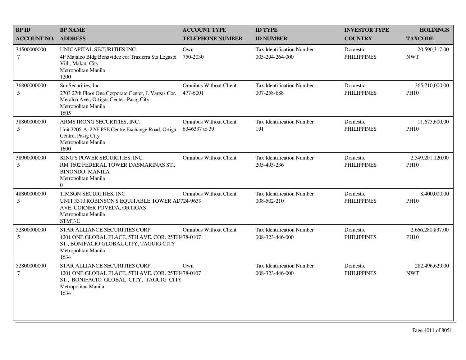| <b>BPID</b>           | <b>BP NAME</b>                                                                                                                                                | <b>ACCOUNT TYPE</b>                            | <b>ID TYPE</b>                                      | <b>INVESTOR TYPE</b>           | <b>HOLDINGS</b>                 |
|-----------------------|---------------------------------------------------------------------------------------------------------------------------------------------------------------|------------------------------------------------|-----------------------------------------------------|--------------------------------|---------------------------------|
| <b>ACCOUNT NO.</b>    | <b>ADDRESS</b>                                                                                                                                                | <b>TELEPHONE NUMBER</b>                        | <b>ID NUMBER</b>                                    | <b>COUNTRY</b>                 | <b>TAXCODE</b>                  |
| 34500000000<br>$\tau$ | UNICAPITAL SECURITIES INC.<br>4F Majalco Bldg Benavidez cor Trasierra Sts Legaspi<br>Vill., Makati City<br>Metropolitan Manila<br>1200                        | Own<br>750-2030                                | Tax Identification Number<br>005-294-264-000        | Domestic<br><b>PHILIPPINES</b> | 20,590,317.00<br><b>NWT</b>     |
| 36800000000<br>5      | SunSecurities, Inc.<br>2703 27th Floor One Corporate Center, J. Vargas Cor.<br>Meralco Ave., Ortigas Center, Pasig City<br>Metropolitan Manila<br>1605        | <b>Omnibus Without Client</b><br>477-6001      | <b>Tax Identification Number</b><br>007-258-688     | Domestic<br><b>PHILIPPINES</b> | 365,710,000.00<br><b>PH10</b>   |
| 38800000000<br>5      | ARMSTRONG SECURITIES, INC.<br>Unit 2205-A, 22/F PSE Centre Exchange Road, Ortiga<br>Centre, Pasig City<br>Metropolitan Manila<br>1600                         | <b>Omnibus Without Client</b><br>6346337 to 39 | <b>Tax Identification Number</b><br>191             | Domestic<br><b>PHILIPPINES</b> | 11,675,600.00<br><b>PH10</b>    |
| 38900000000<br>5      | KING'S POWER SECURITIES, INC.<br>RM 1602 FEDERAL TOWER DASMARINAS ST.,<br><b>BINONDO, MANILA</b><br>Metropolitan Manila<br>$\Omega$                           | <b>Omnibus Without Client</b>                  | <b>Tax Identification Number</b><br>205-495-236     | Domestic<br><b>PHILIPPINES</b> | 2,549,201,120.00<br><b>PH10</b> |
| 48800000000<br>5      | TIMSON SECURITIES, INC.<br>UNIT 3310 ROBINSON'S EQUITABLE TOWER AD724-9639<br>AVE. CORNER POVEDA, ORTIGAS<br>Metropolitan Manila<br>STMT-E                    | <b>Omnibus Without Client</b>                  | Tax Identification Number<br>008-502-210            | Domestic<br><b>PHILIPPINES</b> | 8,400,000.00<br><b>PH10</b>     |
| 52800000000<br>5      | STAR ALLIANCE SECURITIES CORP.<br>1201 ONE GLOBAL PLACE, 5TH AVE. COR. 25TH478-0107<br>ST., BONIFACIO GLOBAL CITY, TAGUIG CITY<br>Metropolitan Manila<br>1634 | <b>Omnibus Without Client</b>                  | <b>Tax Identification Number</b><br>008-323-446-000 | Domestic<br><b>PHILIPPINES</b> | 2,666,280,837.00<br><b>PH10</b> |
| 52800000000<br>$\tau$ | STAR ALLIANCE SECURITIES CORP.<br>1201 ONE GLOBAL PLACE, 5TH AVE. COR. 25TH478-0107<br>ST., BONIFACIO GLOBAL CITY, TAGUIG CITY<br>Metropolitan Manila<br>1634 | Own                                            | Tax Identification Number<br>008-323-446-000        | Domestic<br><b>PHILIPPINES</b> | 282,496,629.00<br><b>NWT</b>    |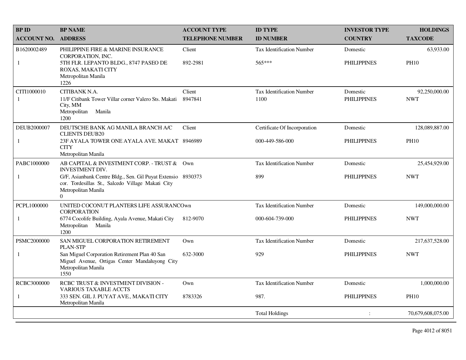| <b>BP ID</b>       | <b>BP NAME</b>                                                                                                                                       | <b>ACCOUNT TYPE</b>     | <b>ID TYPE</b>                   | <b>INVESTOR TYPE</b> | <b>HOLDINGS</b>   |
|--------------------|------------------------------------------------------------------------------------------------------------------------------------------------------|-------------------------|----------------------------------|----------------------|-------------------|
| <b>ACCOUNT NO.</b> | <b>ADDRESS</b>                                                                                                                                       | <b>TELEPHONE NUMBER</b> | <b>ID NUMBER</b>                 | <b>COUNTRY</b>       | <b>TAXCODE</b>    |
| B1620002489        | PHILIPPINE FIRE & MARINE INSURANCE<br>CORPORATION, INC.                                                                                              | Client                  | <b>Tax Identification Number</b> | Domestic             | 63,933.00         |
| 1                  | 5TH FLR. LEPANTO BLDG., 8747 PASEO DE<br>ROXAS, MAKATI CITY<br>Metropolitan Manila<br>1226                                                           | 892-2981                | 565***                           | <b>PHILIPPINES</b>   | <b>PH10</b>       |
| CITI1000010        | CITIBANK N.A.                                                                                                                                        | Client                  | <b>Tax Identification Number</b> | Domestic             | 92,250,000.00     |
| $\mathbf{1}$       | 11/F Citibank Tower Villar corner Valero Sts. Makati<br>City, MM<br>Metropolitan<br>Manila<br>1200                                                   | 8947841                 | 1100                             | <b>PHILIPPINES</b>   | <b>NWT</b>        |
| DEUB2000007        | DEUTSCHE BANK AG MANILA BRANCH A/C<br><b>CLIENTS DEUB20</b>                                                                                          | Client                  | Certificate Of Incorporation     | Domestic             | 128,089,887.00    |
| 1                  | 23F AYALA TOWER ONE AYALA AVE, MAKAT 8946989<br><b>CITY</b>                                                                                          |                         | 000-449-586-000                  | <b>PHILIPPINES</b>   | <b>PH10</b>       |
|                    | Metropolitan Manila                                                                                                                                  |                         |                                  |                      |                   |
| PABC1000000        | AB CAPITAL & INVESTMENT CORP. - TRUST & Own<br><b>INVESTMENT DIV.</b>                                                                                |                         | <b>Tax Identification Number</b> | Domestic             | 25,454,929.00     |
| 1                  | G/F, Asianbank Centre Bldg., Sen. Gil Puyat Extensio 8930373<br>cor. Tordesillas St., Salcedo Village Makati City<br>Metropolitan Manila<br>$\Omega$ |                         | 899                              | <b>PHILIPPINES</b>   | <b>NWT</b>        |
| PCPL1000000        | UNITED COCONUT PLANTERS LIFE ASSURANCOwn<br><b>CORPORATION</b>                                                                                       |                         | <b>Tax Identification Number</b> | Domestic             | 149,000,000.00    |
| $\mathbf{1}$       | 6774 Cocolife Building, Ayala Avenue, Makati City<br>Metropolitan Manila<br>1200                                                                     | 812-9070                | 000-604-739-000                  | <b>PHILIPPINES</b>   | <b>NWT</b>        |
| PSMC2000000        | SAN MIGUEL CORPORATION RETIREMENT<br><b>PLAN-STP</b>                                                                                                 | Own                     | <b>Tax Identification Number</b> | Domestic             | 217,637,528.00    |
| $\mathbf{1}$       | San Miguel Corporation Retirement Plan 40 San<br>Miguel Avenue, Ortigas Center Mandaluyong City<br>Metropolitan Manila<br>1550                       | 632-3000                | 929                              | <b>PHILIPPINES</b>   | <b>NWT</b>        |
| RCBC3000000        | RCBC TRUST & INVESTMENT DIVISION -<br><b>VARIOUS TAXABLE ACCTS</b>                                                                                   | Own                     | <b>Tax Identification Number</b> | Domestic             | 1,000,000.00      |
| -1                 | 333 SEN. GIL J. PUYAT AVE., MAKATI CITY<br>Metropolitan Manila                                                                                       | 8783326                 | 987.                             | <b>PHILIPPINES</b>   | <b>PH10</b>       |
|                    |                                                                                                                                                      |                         | <b>Total Holdings</b>            | $\ddot{\cdot}$       | 70,679,608,075.00 |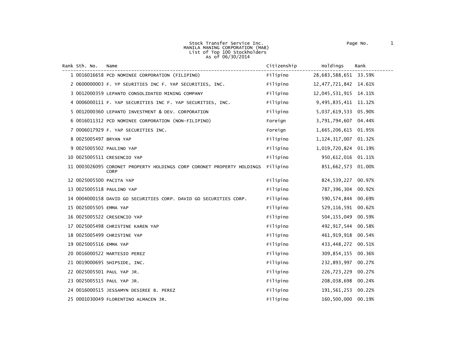| Rank Sth. No.            | Name                                                                                  | Citizenship | Holdings                 | Rank   |
|--------------------------|---------------------------------------------------------------------------------------|-------------|--------------------------|--------|
|                          | 1 0016016658 PCD NOMINEE CORPORATION (FILIPINO)                                       | Filipino    | 28,683,588,651 33.59%    |        |
|                          | 2 0600000003 F. YP SEURITIES INC F. YAP SECURITIES, INC.                              | Filipino    | 12, 477, 721, 842 14.61% |        |
|                          | 3 0012000359 LEPANTO CONSOLIDATED MINING COMPANY                                      | Filipino    | 12,045,531,915           | 14.11% |
|                          | 4 0006000111 F. YAP SECURITIES INC F. YAP SECURITIES, INC.                            | Filipino    | 9,495,835,411            | 11.12% |
|                          | 5 0012000360 LEPANTO INVESTMENT & DEV. CORPORATION                                    | Filipino    | 5,037,619,533            | 05.90% |
|                          | 6 0016011312 PCD NOMINEE CORPORATION (NON-FILIPINO)                                   | Foreign     | 3,791,794,607            | 04.44% |
|                          | 7 0006017929 F. YAP SECURITIES INC.                                                   | Foreign     | 1,665,206,615            | 01.95% |
| 8 0025005497 BRYAN YAP   |                                                                                       | Filipino    | 1, 124, 317, 007         | 01.32% |
|                          | 9 0025005502 PAULINO YAP                                                              | Filipino    | 1,019,720,824            | 01.19% |
|                          | 10 0025005511 CRESENCIO YAP                                                           | Filipino    | 950, 612, 016            | 01.11% |
|                          | 11 0003026095 CORONET PROPERTY HOLDINGS CORP CORONET PROPERTY HOLDINGS<br><b>CORP</b> | Filipino    | 851,662,573 01.00%       |        |
| 12 0025005500 PACITA YAP |                                                                                       | Filipino    | 824,539,227              | 00.97% |
|                          | 13 0025005518 PAULINO YAP                                                             | Filipino    | 787,396,304              | 00.92% |
|                          | 14 0004000158 DAVID GO SECURITIES CORP. DAVID GO SECURITIES CORP.                     | Filipino    | 590, 574, 844            | 00.69% |
| 15 0025005505 EMMA YAP   |                                                                                       | Filipino    | 529, 116, 591            | 00.62% |
|                          | 16 0025005522 CRESENCIO YAP                                                           | Filipino    | 504, 155, 049            | 00.59% |
|                          | 17 0025005498 CHRISTINE KAREN YAP                                                     | Filipino    | 492, 917, 544            | 00.58% |
|                          | 18 0025005499 CHRISTINE YAP                                                           | Filipino    | 461, 919, 918            | 00.54% |
| 19 0025005516 EMMA YAP   |                                                                                       | Filipino    | 433,448,272              | 00.51% |
|                          | 20 0016000522 MARTESIO PEREZ                                                          | Filipino    | 309,854,155              | 00.36% |
|                          | 21 0019000695 SHIPSIDE, INC.                                                          | Filipino    | 232,893,997              | 00.27% |
|                          | 22 0025005501 PAUL YAP JR.                                                            | Filipino    | 226,723,229              | 00.27% |
|                          | 23 0025005515 PAUL YAP JR.                                                            | Filipino    | 208,038,698              | 00.24% |
|                          | 24 0016000515 JESSAMYN DESIREE B. PEREZ                                               | Filipino    | 191,561,253              | 00.22% |
|                          | 25 0001030049 FLORENTINO ALMACEN JR.                                                  | Filipino    | 160,500,000              | 00.19% |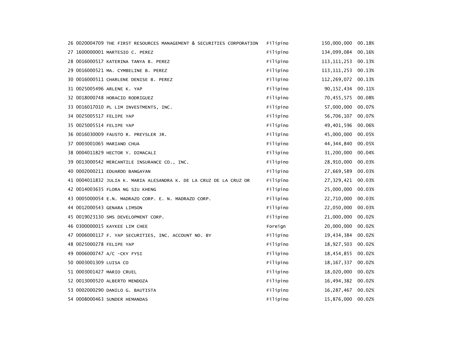|  | 26 0020004709 THE FIRST RESOURCES MANAGEMENT & SECURITIES CORPORATION | Filipino | 150,000,000           | 00.18% |
|--|-----------------------------------------------------------------------|----------|-----------------------|--------|
|  | 27 1600000001 MARTESIO C. PEREZ                                       | Filipino | 134,099,084           | 00.16% |
|  | 28 0016000517 KATERINA TANYA B. PEREZ                                 | Filipino | 113, 111, 253         | 00.13% |
|  | 29 0016000521 MA. CYMBELINE B. PEREZ                                  | Filipino | 113, 111, 253 00. 13% |        |
|  | 30 0016000511 CHARLENE DENISE B. PEREZ                                | Filipino | 112,269,072           | 00.13% |
|  | 31 0025005496 ARLENE K. YAP                                           | Filipino | 90, 152, 434          | 00.11% |
|  | 32 0018000748 HORACIO RODRIGUEZ                                       | Filipino | 70,455,575            | 00.08% |
|  | 33 0016017010 PL LIM INVESTMENTS, INC.                                | Filipino | 57,000,000            | 00.07% |
|  | 34 0025005517 FELIPE YAP                                              | Filipino | 56,706,107            | 00.07% |
|  | 35 0025005514 FELIPE YAP                                              | Filipino | 49,401,596            | 00.06% |
|  | 36 0016030009 FAUSTO R. PREYSLER JR.                                  | Filipino | 45,000,000            | 00.05% |
|  | 37 0003001065 MARIANO CHUA                                            | Filipino | 44,344,840            | 00.05% |
|  | 38 0004011829 HECTOR Y. DIMACALI                                      | Filipino | 31,200,000            | 00.04% |
|  | 39 0013000542 MERCANTILE INSURANCE CO., INC.                          | Filipino | 28,910,000            | 00.03% |
|  | 40 0002000211 EDUARDO BANGAYAN                                        | Filipino | 27,669,589            | 00.03% |
|  | 41 0004011832 JULIA K. MARIA ALESANDRA K. DE LA CRUZ DE LA CRUZ OR    | Filipino | 27,329,421 00.03%     |        |
|  | 42 0014003635 FLORA NG SIU KHENG                                      | Filipino | 25,000,000            | 00.03% |
|  | 43 0005000054 E.N. MADRAZO CORP. E. N. MADRAZO CORP.                  | Filipino | 22,710,000            | 00.03% |
|  | 44 0012000543 GENARA LIMSON                                           | Filipino | 22,050,000            | 00.03% |
|  | 45 0019023130 SMS DEVELOPMENT CORP.                                   | Filipino | 21,000,000            | 00.02% |
|  | 46 0300000015 KAYKEE LIM CHEE                                         | Foreign  | 20,000,000            | 00.02% |
|  | 47 0006000117 F. YAP SECURITIES, INC. ACCOUNT NO. BY                  | Filipino | 19,434,384            | 00.02% |
|  | 48 0025000278 FELIPE YAP                                              | Filipino | 18,927,503            | 00.02% |
|  | 49 0006000747 A/C -CKY FYSI                                           | Filipino | 18,454,855            | 00.02% |
|  | 50 0003001309 LUISA CO                                                | Filipino | 18, 167, 337          | 00.02% |
|  | 51 0003001427 MARIO CRUEL                                             | Filipino | 18,020,000            | 00.02% |
|  | 52 0013000520 ALBERTO MENDOZA                                         | Filipino | 16,494,382            | 00.02% |
|  | 53 0002000290 DANILO G. BAUTISTA                                      | Filipino | 16, 287, 467          | 00.02% |
|  | 54 0008000463 SUNDER HEMANDAS                                         | Filipino | 15,876,000 00.02%     |        |
|  |                                                                       |          |                       |        |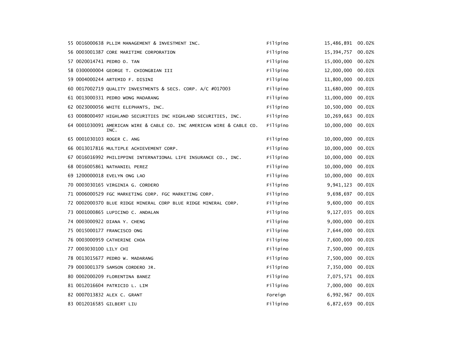|                        | 55 0016000638 PLLIM MANAGEMENT & INVESTMENT INC.                              | Filipino | 15,486,891       | 00.02% |
|------------------------|-------------------------------------------------------------------------------|----------|------------------|--------|
|                        | 56 0003001387 CORE MARITIME CORPORATION                                       | Filipino | 15,394,757       | 00.02% |
|                        | 57 0020014741 PEDRO O. TAN                                                    | Filipino | 15,000,000       | 00.02% |
|                        | 58 0300000004 GEORGE T. CHIONGBIAN III                                        | Filipino | 12,000,000       | 00.01% |
|                        | 59 0004000244 ARTEMIO F. DISINI                                               | Filipino | 11,800,000       | 00.01% |
|                        | 60 0017002719 QUALITY INVESTMENTS & SECS. CORP. A/C #017003                   | Filipino | 11,680,000       | 00.01% |
|                        | 61 0013000331 PEDRO WONG MADARANG                                             | Filipino | 11,000,000       | 00.01% |
|                        | 62 0023000056 WHITE ELEPHANTS, INC.                                           | Filipino | 10,500,000       | 00.01% |
|                        | 63 0008000497 HIGHLAND SECURITIES INC HIGHLAND SECURITIES, INC.               | Filipino | 10,269,663       | 00.01% |
|                        | 64 0001030091 AMERICAN WIRE & CABLE CO. INC AMERICAN WIRE & CABLE CO.<br>INC. | Filipino | 10,000,000       | 00.01% |
|                        | 65 0001030103 ROGER C. ANG                                                    | Filipino | 10,000,000       | 00.01% |
|                        | 66 0013017816 MULTIPLE ACHIEVEMENT CORP.                                      | Filipino | 10,000,000       | 00.01% |
|                        | 67 0016016992 PHILIPPINE INTERNATIONAL LIFE INSURANCE CO., INC.               | Filipino | 10,000,000       | 00.01% |
|                        | 68 0016005861 NATHANIEL PEREZ                                                 | Filipino | 10,000,000       | 00.01% |
|                        | 69 1200000018 EVELYN ONG LAO                                                  | Filipino | 10,000,000       | 00.01% |
|                        | 70 0003030165 VIRGINIA G. CORDERO                                             | Filipino | 9,941,123        | 00.01% |
|                        | 71 0006000529 FGC MARKETING CORP. FGC MARKETING CORP.                         | Filipino | 9,698,697        | 00.01% |
|                        | 72 0002000370 BLUE RIDGE MINERAL CORP BLUE RIDGE MINERAL CORP.                | Filipino | 9,600,000        | 00.01% |
|                        | 73 0001000865 LUPICINO C. ANDALAN                                             | Filipino | 9,127,035        | 00.01% |
|                        | 74 0003000922 DIANA Y. CHENG                                                  | Filipino | 9,000,000        | 00.01% |
|                        | 75 0015000177 FRANCISCO ONG                                                   | Filipino | 7,644,000        | 00.01% |
|                        | 76 0003000959 CATHERINE CHOA                                                  | Filipino | 7,600,000        | 00.01% |
| 77 0003030100 LILY CHI |                                                                               | Filipino | 7,500,000        | 00.01% |
|                        | 78 0013015677 PEDRO W. MADARANG                                               | Filipino | 7,500,000        | 00.01% |
|                        | 79 0003001379 SAMSON CORDERO JR.                                              | Filipino | 7,350,000        | 00.01% |
|                        | 80 0002000209 FLORENTINA BANEZ                                                | Filipino | 7,075,571 00.01% |        |
|                        | 81 0012016604 PATRICIO L. LIM                                                 | Filipino | 7,000,000        | 00.01% |
|                        | 82 0007013832 ALEX C. GRANT                                                   | Foreign  | 6,992,967        | 00.01% |
|                        | 83 0012016585 GILBERT LIU                                                     | Filipino | 6,872,659        | 00.01% |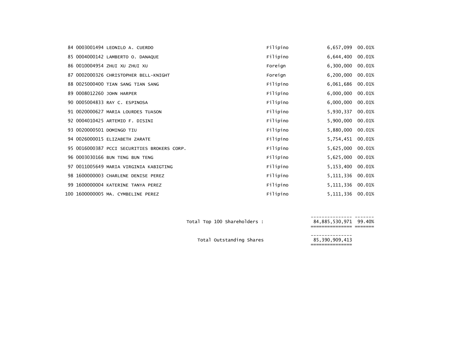|  | 84 0003001494 LEONILO A. CUERDO             | Filipino | 6,657,099        | 00.01% |
|--|---------------------------------------------|----------|------------------|--------|
|  | 85 0004000142 LAMBERTO O. DANAQUE           | Filipino | 6,644,400        | 00.01% |
|  | 86 0010004954 ZHUI XU ZHUI XU               | Foreign  | 6,300,000        | 00.01% |
|  | 87 0002000326 CHRISTOPHER BELL-KNIGHT       | Foreign  | 6,200,000        | 00.01% |
|  | 88 0025000400 TIAN SANG TIAN SANG           | Filipino | 6,061,686        | 00.01% |
|  | 89 0008012260 JOHN HARPER                   | Filipino | 6,000,000        | 00.01% |
|  | 90 0005004833 RAY C. ESPINOSA               | Filipino | 6,000,000        | 00.01% |
|  | 91 0020000627 MARIA LOURDES TUASON          | Filipino | 5,930,337        | 00.01% |
|  | 92 0004010425 ARTEMIO F. DISINI             | Filipino | 5,900,000        | 00.01% |
|  | 93 0020000501 DOMINGO TIU                   | Filipino | 5,880,000        | 00.01% |
|  | 94 0026000015 ELIZABETH ZARATE              | Filipino | 5,754,451        | 00.01% |
|  | 95 0016000387 PCCI SECURITIES BROKERS CORP. | Filipino | 5,625,000        | 00.01% |
|  | 96 0003030166 BUN TENG BUN TENG             | Filipino | 5,625,000        | 00.01% |
|  | 97 0011005649 MARIA VIRGINIA KABIGTING      | Filipino | 5,153,400        | 00.01% |
|  | 98 1600000003 CHARLENE DENISE PEREZ         | Filipino | 5, 111, 336      | 00.01% |
|  | 99 1600000004 KATERINE TANYA PEREZ          | Filipino | 5, 111, 336      | 00.01% |
|  | 100 1600000005 MA. CYMBELINE PEREZ          | Filipino | 5,111,336 00.01% |        |

--------------- ------- Total Top <sup>100</sup> Shareholders : 84,885,530,971 99.40%

84,885,530,971 99.40%<br>=============== =======

--------------- Total Outstanding Shares 85,390,909,413 ===============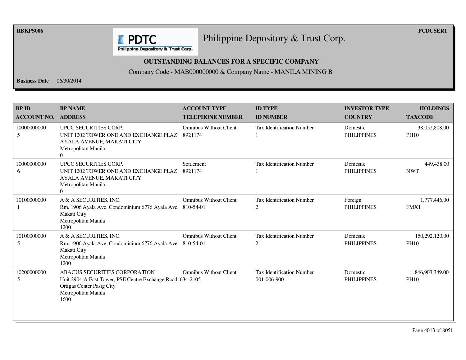**RBKPS006 PCDUSER1** 

## Philippine Depository & Trust Corp.

Philippine Depository & Trust Corp.

**E** PDTC

## **OUTSTANDING BALANCES FOR A SPECIFIC COMPANY**

Company Code - MAB000000000 & Company Name - MANILA MINING B

**Business Date** 06/30/2014

| <b>BPID</b><br><b>ACCOUNT NO.</b> | <b>BP NAME</b><br><b>ADDRESS</b>                                                                                                                        | <b>ACCOUNT TYPE</b><br><b>TELEPHONE NUMBER</b> | <b>ID TYPE</b><br><b>ID NUMBER</b>                 | <b>INVESTOR TYPE</b><br><b>COUNTRY</b> | <b>HOLDINGS</b><br><b>TAXCODE</b> |
|-----------------------------------|---------------------------------------------------------------------------------------------------------------------------------------------------------|------------------------------------------------|----------------------------------------------------|----------------------------------------|-----------------------------------|
| 10000000000<br>5                  | UPCC SECURITIES CORP.<br>UNIT 1202 TOWER ONE AND EXCHANGE PLAZ<br>AYALA AVENUE, MAKATI CITY<br>Metropolitan Manila<br>$\Omega$                          | <b>Omnibus Without Client</b><br>8921174       | <b>Tax Identification Number</b>                   | Domestic<br><b>PHILIPPINES</b>         | 38,052,808.00<br><b>PH10</b>      |
| 10000000000<br>6                  | UPCC SECURITIES CORP.<br>UNIT 1202 TOWER ONE AND EXCHANGE PLAZ<br>AYALA AVENUE, MAKATI CITY<br>Metropolitan Manila<br>$\Omega$                          | Settlement<br>8921174                          | <b>Tax Identification Number</b>                   | Domestic<br><b>PHILIPPINES</b>         | 449,438.00<br><b>NWT</b>          |
| 10100000000                       | A & A SECURITIES, INC.<br>Rm. 1906 Ayala Ave. Condominium 6776 Ayala Ave. 810-54-01<br>Makati City<br>Metropolitan Manila<br>1200                       | <b>Omnibus Without Client</b>                  | <b>Tax Identification Number</b><br>2              | Foreign<br><b>PHILIPPINES</b>          | 1,777,446.00<br>FMX1              |
| 10100000000<br>5                  | A & A SECURITIES, INC.<br>Rm. 1906 Ayala Ave. Condominium 6776 Ayala Ave. 810-54-01<br>Makati City<br>Metropolitan Manila<br>1200                       | <b>Omnibus Without Client</b>                  | <b>Tax Identification Number</b><br>$\overline{2}$ | Domestic<br><b>PHILIPPINES</b>         | 150,292,120.00<br><b>PH10</b>     |
| 10200000000<br>5                  | ABACUS SECURITIES CORPORATION<br>Unit 2904-A East Tower, PSE Centre Exchange Road, 634-2105<br>Ortigas Center Pasig City<br>Metropolitan Manila<br>1600 | <b>Omnibus Without Client</b>                  | <b>Tax Identification Number</b><br>001-006-900    | Domestic<br><b>PHILIPPINES</b>         | 1,846,903,349.00<br><b>PH10</b>   |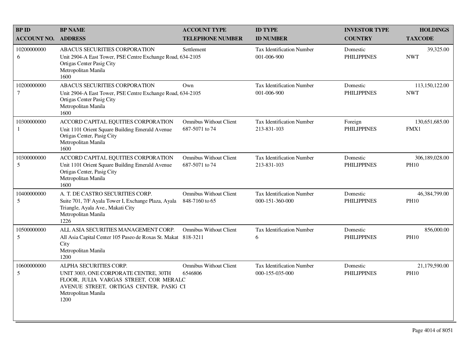| <b>BPID</b>           | <b>BP NAME</b>                                                                                                                                                                      | <b>ACCOUNT TYPE</b>                             | <b>ID TYPE</b>                                      | <b>INVESTOR TYPE</b>           | <b>HOLDINGS</b>               |
|-----------------------|-------------------------------------------------------------------------------------------------------------------------------------------------------------------------------------|-------------------------------------------------|-----------------------------------------------------|--------------------------------|-------------------------------|
| <b>ACCOUNT NO.</b>    | <b>ADDRESS</b>                                                                                                                                                                      | <b>TELEPHONE NUMBER</b>                         | <b>ID NUMBER</b>                                    | <b>COUNTRY</b>                 | <b>TAXCODE</b>                |
| 10200000000<br>6      | ABACUS SECURITIES CORPORATION<br>Unit 2904-A East Tower, PSE Centre Exchange Road, 634-2105<br>Ortigas Center Pasig City<br>Metropolitan Manila<br>1600                             | Settlement                                      | Tax Identification Number<br>001-006-900            | Domestic<br><b>PHILIPPINES</b> | 39,325.00<br><b>NWT</b>       |
| 10200000000<br>$\tau$ | ABACUS SECURITIES CORPORATION<br>Unit 2904-A East Tower, PSE Centre Exchange Road, 634-2105<br>Ortigas Center Pasig City<br>Metropolitan Manila<br>1600                             | Own                                             | <b>Tax Identification Number</b><br>001-006-900     | Domestic<br><b>PHILIPPINES</b> | 113,150,122.00<br><b>NWT</b>  |
| 10300000000           | ACCORD CAPITAL EQUITIES CORPORATION<br>Unit 1101 Orient Square Building Emerald Avenue<br>Ortigas Center, Pasig City<br>Metropolitan Manila<br>1600                                 | <b>Omnibus Without Client</b><br>687-5071 to 74 | <b>Tax Identification Number</b><br>213-831-103     | Foreign<br><b>PHILIPPINES</b>  | 130,651,685.00<br>FMX1        |
| 10300000000<br>5      | ACCORD CAPITAL EQUITIES CORPORATION<br>Unit 1101 Orient Square Building Emerald Avenue<br>Ortigas Center, Pasig City<br>Metropolitan Manila<br>1600                                 | <b>Omnibus Without Client</b><br>687-5071 to 74 | Tax Identification Number<br>213-831-103            | Domestic<br><b>PHILIPPINES</b> | 306,189,028.00<br><b>PH10</b> |
| 10400000000<br>5      | A. T. DE CASTRO SECURITIES CORP.<br>Suite 701, 7/F Ayala Tower I, Exchange Plaza, Ayala<br>Triangle, Ayala Ave., Makati City<br>Metropolitan Manila<br>1226                         | <b>Omnibus Without Client</b><br>848-7160 to 65 | <b>Tax Identification Number</b><br>000-151-360-000 | Domestic<br><b>PHILIPPINES</b> | 46,384,799.00<br><b>PH10</b>  |
| 10500000000<br>5      | ALL ASIA SECURITIES MANAGEMENT CORP.<br>All Asia Capital Center 105 Paseo de Roxas St. Makat 818-3211<br>City<br>Metropolitan Manila<br>1200                                        | <b>Omnibus Without Client</b>                   | <b>Tax Identification Number</b><br>6               | Domestic<br><b>PHILIPPINES</b> | 856,000.00<br><b>PH10</b>     |
| 10600000000<br>5      | ALPHA SECURITIES CORP.<br>UNIT 3003, ONE CORPORATE CENTRE, 30TH<br>FLOOR, JULIA VARGAS STREET, COR MERALC<br>AVENUE STREET, ORTIGAS CENTER, PASIG CI<br>Metropolitan Manila<br>1200 | <b>Omnibus Without Client</b><br>6546806        | Tax Identification Number<br>000-155-035-000        | Domestic<br><b>PHILIPPINES</b> | 21,179,590.00<br><b>PH10</b>  |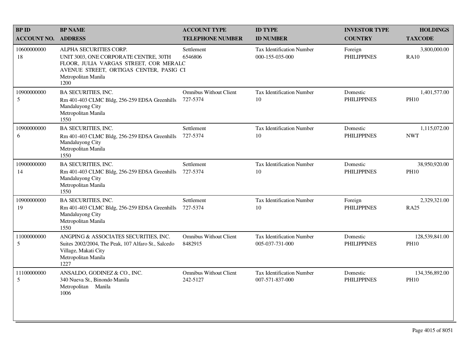| <b>BPID</b>                | <b>BP NAME</b>                                                                                                                                                                      | <b>ACCOUNT TYPE</b>                       | <b>ID TYPE</b>                                      | <b>INVESTOR TYPE</b>           | <b>HOLDINGS</b>               |
|----------------------------|-------------------------------------------------------------------------------------------------------------------------------------------------------------------------------------|-------------------------------------------|-----------------------------------------------------|--------------------------------|-------------------------------|
| <b>ACCOUNT NO. ADDRESS</b> |                                                                                                                                                                                     | <b>TELEPHONE NUMBER</b>                   | <b>ID NUMBER</b>                                    | <b>COUNTRY</b>                 | <b>TAXCODE</b>                |
| 10600000000<br>18          | ALPHA SECURITIES CORP.<br>UNIT 3003, ONE CORPORATE CENTRE, 30TH<br>FLOOR, JULIA VARGAS STREET, COR MERALC<br>AVENUE STREET, ORTIGAS CENTER, PASIG CI<br>Metropolitan Manila<br>1200 | Settlement<br>6546806                     | <b>Tax Identification Number</b><br>000-155-035-000 | Foreign<br><b>PHILIPPINES</b>  | 3,800,000.00<br><b>RA10</b>   |
| 10900000000<br>5           | <b>BA SECURITIES, INC.</b><br>Rm 401-403 CLMC Bldg, 256-259 EDSA Greenhills<br>Mandaluyong City<br>Metropolitan Manila<br>1550                                                      | <b>Omnibus Without Client</b><br>727-5374 | Tax Identification Number<br>10                     | Domestic<br><b>PHILIPPINES</b> | 1,401,577.00<br><b>PH10</b>   |
| 10900000000<br>6           | <b>BA SECURITIES, INC.</b><br>Rm 401-403 CLMC Bldg, 256-259 EDSA Greenhills<br>Mandaluyong City<br>Metropolitan Manila<br>1550                                                      | Settlement<br>727-5374                    | <b>Tax Identification Number</b><br>10              | Domestic<br><b>PHILIPPINES</b> | 1,115,072.00<br><b>NWT</b>    |
| 10900000000<br>14          | <b>BA SECURITIES, INC.</b><br>Rm 401-403 CLMC Bldg, 256-259 EDSA Greenhills<br>Mandaluyong City<br>Metropolitan Manila<br>1550                                                      | Settlement<br>727-5374                    | <b>Tax Identification Number</b><br>10              | Domestic<br><b>PHILIPPINES</b> | 38,950,920.00<br><b>PH10</b>  |
| 10900000000<br>19          | <b>BA SECURITIES, INC.</b><br>Rm 401-403 CLMC Bldg, 256-259 EDSA Greenhills<br>Mandaluyong City<br>Metropolitan Manila<br>1550                                                      | Settlement<br>727-5374                    | <b>Tax Identification Number</b><br>10              | Foreign<br><b>PHILIPPINES</b>  | 2,329,321.00<br><b>RA25</b>   |
| 11000000000<br>5           | ANGPING & ASSOCIATES SECURITIES, INC.<br>Suites 2002/2004, The Peak, 107 Alfaro St., Salcedo<br>Village, Makati City<br>Metropolitan Manila<br>1227                                 | <b>Omnibus Without Client</b><br>8482915  | Tax Identification Number<br>005-037-731-000        | Domestic<br><b>PHILIPPINES</b> | 128,539,841.00<br><b>PH10</b> |
| 11100000000<br>5           | ANSALDO, GODINEZ & CO., INC.<br>340 Nueva St., Binondo Manila<br>Metropolitan<br>Manila<br>1006                                                                                     | <b>Omnibus Without Client</b><br>242-5127 | <b>Tax Identification Number</b><br>007-571-837-000 | Domestic<br><b>PHILIPPINES</b> | 134,356,892.00<br><b>PH10</b> |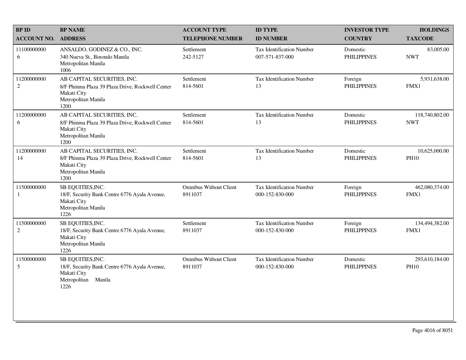| <b>BP ID</b>                   | <b>BP NAME</b>                                                                                                                | <b>ACCOUNT TYPE</b>                      | <b>ID TYPE</b>                                      | <b>INVESTOR TYPE</b>           | <b>HOLDINGS</b>               |
|--------------------------------|-------------------------------------------------------------------------------------------------------------------------------|------------------------------------------|-----------------------------------------------------|--------------------------------|-------------------------------|
| <b>ACCOUNT NO.</b>             | <b>ADDRESS</b>                                                                                                                | <b>TELEPHONE NUMBER</b>                  | <b>ID NUMBER</b>                                    | <b>COUNTRY</b>                 | <b>TAXCODE</b>                |
| 11100000000<br>6               | ANSALDO, GODINEZ & CO., INC.<br>340 Nueva St., Binondo Manila<br>Metropolitan Manila<br>1006                                  | Settlement<br>242-5127                   | <b>Tax Identification Number</b><br>007-571-837-000 | Domestic<br><b>PHILIPPINES</b> | 83,005.00<br><b>NWT</b>       |
| 11200000000<br>$\sqrt{2}$      | AB CAPITAL SECURITIES, INC.<br>8/F Phinma Plaza 39 Plaza Drive, Rockwell Center<br>Makati City<br>Metropolitan Manila<br>1200 | Settlement<br>814-5601                   | <b>Tax Identification Number</b><br>13              | Foreign<br><b>PHILIPPINES</b>  | 5,931,638.00<br>FMX1          |
| 11200000000<br>6               | AB CAPITAL SECURITIES, INC.<br>8/F Phinma Plaza 39 Plaza Drive, Rockwell Center<br>Makati City<br>Metropolitan Manila<br>1200 | Settlement<br>814-5601                   | <b>Tax Identification Number</b><br>13              | Domestic<br><b>PHILIPPINES</b> | 118,740,802.00<br><b>NWT</b>  |
| 11200000000<br>14              | AB CAPITAL SECURITIES, INC.<br>8/F Phinma Plaza 39 Plaza Drive, Rockwell Center<br>Makati City<br>Metropolitan Manila<br>1200 | Settlement<br>814-5601                   | <b>Tax Identification Number</b><br>13              | Domestic<br><b>PHILIPPINES</b> | 10,625,000.00<br><b>PH10</b>  |
| 11500000000<br>1               | SB EQUITIES, INC.<br>18/F, Security Bank Centre 6776 Ayala Avenue,<br>Makati City<br>Metropolitan Manila<br>1226              | <b>Omnibus Without Client</b><br>8911037 | <b>Tax Identification Number</b><br>000-152-830-000 | Foreign<br><b>PHILIPPINES</b>  | 462,080,374.00<br>FMX1        |
| 11500000000<br>$\sqrt{2}$      | SB EQUITIES, INC.<br>18/F, Security Bank Centre 6776 Ayala Avenue,<br>Makati City<br>Metropolitan Manila<br>1226              | Settlement<br>8911037                    | <b>Tax Identification Number</b><br>000-152-830-000 | Foreign<br><b>PHILIPPINES</b>  | 134,494,382.00<br>FMX1        |
| 11500000000<br>$5\overline{)}$ | SB EQUITIES, INC.<br>18/F, Security Bank Centre 6776 Ayala Avenue,<br>Makati City<br>Metropolitan Manila<br>1226              | <b>Omnibus Without Client</b><br>8911037 | <b>Tax Identification Number</b><br>000-152-830-000 | Domestic<br><b>PHILIPPINES</b> | 293,610,184.00<br><b>PH10</b> |
|                                |                                                                                                                               |                                          |                                                     |                                |                               |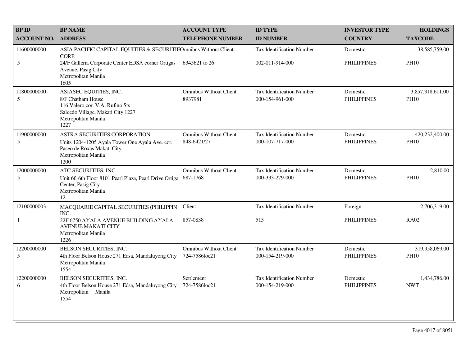| <b>BP ID</b>       | <b>BP NAME</b>                                                                                                                                     | <b>ACCOUNT TYPE</b>                          | <b>ID TYPE</b>                                      | <b>INVESTOR TYPE</b>           | <b>HOLDINGS</b>                 |
|--------------------|----------------------------------------------------------------------------------------------------------------------------------------------------|----------------------------------------------|-----------------------------------------------------|--------------------------------|---------------------------------|
| <b>ACCOUNT NO.</b> | <b>ADDRESS</b>                                                                                                                                     | <b>TELEPHONE NUMBER</b>                      | <b>ID NUMBER</b>                                    | <b>COUNTRY</b>                 | <b>TAXCODE</b>                  |
| 11600000000        | ASIA PACIFIC CAPITAL EQUITIES & SECURITIEOmnibus Without Client<br>CORP.                                                                           |                                              | <b>Tax Identification Number</b>                    | Domestic                       | 38,585,759.00                   |
| 5                  | 24/F Galleria Corporate Center EDSA corner Ortigas<br>Avenue, Pasig City<br>Metropolitan Manila<br>1605                                            | 6345621 to 26                                | 002-011-914-000                                     | <b>PHILIPPINES</b>             | <b>PH10</b>                     |
| 11800000000<br>5   | ASIASEC EQUITIES, INC.<br>8/F Chatham House<br>116 Valero cor. V.A. Rufino Sts<br>Salcedo Village, Makati City 1227<br>Metropolitan Manila<br>1227 | <b>Omnibus Without Client</b><br>8937981     | <b>Tax Identification Number</b><br>000-154-961-000 | Domestic<br><b>PHILIPPINES</b> | 3,857,318,611.00<br><b>PH10</b> |
| 11900000000<br>5   | ASTRA SECURITIES CORPORATION<br>Units 1204-1205 Ayala Tower One Ayala Ave. cor.<br>Paseo de Roxas Makati City<br>Metropolitan Manila<br>1200       | <b>Omnibus Without Client</b><br>848-6421/27 | <b>Tax Identification Number</b><br>000-107-717-000 | Domestic<br><b>PHILIPPINES</b> | 420,232,400.00<br><b>PH10</b>   |
| 12000000000<br>5   | ATC SECURITIES, INC.<br>Unit 6f, 6th Floor 8101 Pearl Plaza, Pearl Drive Ortiga<br>Center, Pasig City<br>Metropolitan Manila<br>12                 | <b>Omnibus Without Client</b><br>687-1768    | Tax Identification Number<br>000-333-279-000        | Domestic<br><b>PHILIPPINES</b> | 2,810.00<br><b>PH10</b>         |
| 12100000003        | MACQUARIE CAPITAL SECURITIES (PHILIPPIN<br>INC.                                                                                                    | Client                                       | Tax Identification Number                           | Foreign                        | 2,706,319.00                    |
| 1                  | 22F 6750 AYALA AVENUE BUILDING AYALA<br><b>AVENUE MAKATI CITY</b><br>Metropolitan Manila<br>1226                                                   | 857-0838                                     | 515                                                 | <b>PHILIPPINES</b>             | <b>RA02</b>                     |
| 12200000000<br>5   | BELSON SECURITIES, INC.<br>4th Floor Belson House 271 Edsa, Mandaluyong City<br>Metropolitan Manila<br>1554                                        | Omnibus Without Client<br>724-7586loc21      | Tax Identification Number<br>000-154-219-000        | Domestic<br><b>PHILIPPINES</b> | 319,958,069.00<br><b>PH10</b>   |
| 12200000000<br>6   | BELSON SECURITIES, INC.<br>4th Floor Belson House 271 Edsa, Mandaluyong City<br>Metropolitan Manila<br>1554                                        | Settlement<br>724-7586loc21                  | <b>Tax Identification Number</b><br>000-154-219-000 | Domestic<br><b>PHILIPPINES</b> | 1,434,786.00<br><b>NWT</b>      |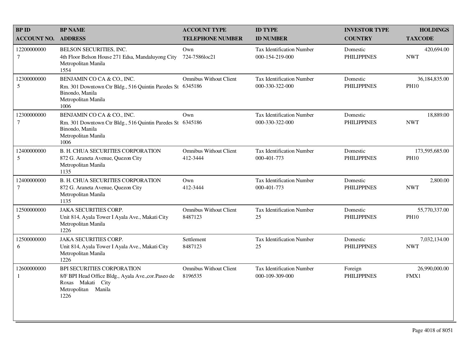| <b>BPID</b>                 | <b>BP NAME</b>                                                                                                                             | <b>ACCOUNT TYPE</b>                       | <b>ID TYPE</b>                                      | <b>INVESTOR TYPE</b>           | <b>HOLDINGS</b>               |
|-----------------------------|--------------------------------------------------------------------------------------------------------------------------------------------|-------------------------------------------|-----------------------------------------------------|--------------------------------|-------------------------------|
| <b>ACCOUNT NO.</b>          | <b>ADDRESS</b>                                                                                                                             | <b>TELEPHONE NUMBER</b>                   | <b>ID NUMBER</b>                                    | <b>COUNTRY</b>                 | <b>TAXCODE</b>                |
| 12200000000<br>$\tau$       | BELSON SECURITIES, INC.<br>4th Floor Belson House 271 Edsa, Mandaluyong City<br>Metropolitan Manila<br>1554                                | Own<br>724-7586loc21                      | <b>Tax Identification Number</b><br>000-154-219-000 | Domestic<br><b>PHILIPPINES</b> | 420,694.00<br><b>NWT</b>      |
| 12300000000<br>5            | BENJAMIN CO CA & CO., INC.<br>Rm. 301 Downtown Ctr Bldg., 516 Quintin Paredes St<br>Binondo, Manila<br>Metropolitan Manila<br>1006         | <b>Omnibus Without Client</b><br>6345186  | <b>Tax Identification Number</b><br>000-330-322-000 | Domestic<br><b>PHILIPPINES</b> | 36,184,835.00<br><b>PH10</b>  |
| 12300000000<br>$\tau$       | BENJAMIN CO CA & CO., INC.<br>Rm. 301 Downtown Ctr Bldg., 516 Quintin Paredes St 6345186<br>Binondo, Manila<br>Metropolitan Manila<br>1006 | Own                                       | <b>Tax Identification Number</b><br>000-330-322-000 | Domestic<br><b>PHILIPPINES</b> | 18,889.00<br><b>NWT</b>       |
| 12400000000<br>5            | <b>B. H. CHUA SECURITIES CORPORATION</b><br>872 G. Araneta Avenue, Quezon City<br>Metropolitan Manila<br>1135                              | <b>Omnibus Without Client</b><br>412-3444 | <b>Tax Identification Number</b><br>000-401-773     | Domestic<br><b>PHILIPPINES</b> | 173,595,685.00<br><b>PH10</b> |
| 12400000000<br>$\tau$       | <b>B. H. CHUA SECURITIES CORPORATION</b><br>872 G. Araneta Avenue, Quezon City<br>Metropolitan Manila<br>1135                              | Own<br>412-3444                           | <b>Tax Identification Number</b><br>000-401-773     | Domestic<br><b>PHILIPPINES</b> | 2,800.00<br><b>NWT</b>        |
| 12500000000<br>5            | <b>JAKA SECURITIES CORP.</b><br>Unit 814, Ayala Tower I Ayala Ave., Makati City<br>Metropolitan Manila<br>1226                             | <b>Omnibus Without Client</b><br>8487123  | Tax Identification Number<br>25                     | Domestic<br><b>PHILIPPINES</b> | 55,770,337.00<br><b>PH10</b>  |
| 12500000000<br>6            | <b>JAKA SECURITIES CORP.</b><br>Unit 814, Ayala Tower I Ayala Ave., Makati City<br>Metropolitan Manila<br>1226                             | Settlement<br>8487123                     | Tax Identification Number<br>25                     | Domestic<br><b>PHILIPPINES</b> | 7,032,134.00<br><b>NWT</b>    |
| 12600000000<br>$\mathbf{1}$ | BPI SECURITIES CORPORATION<br>8/F BPI Head Office Bldg., Ayala Ave., cor. Paseo de<br>Roxas Makati City<br>Metropolitan Manila<br>1226     | <b>Omnibus Without Client</b><br>8196535  | <b>Tax Identification Number</b><br>000-109-309-000 | Foreign<br><b>PHILIPPINES</b>  | 26,990,000.00<br>FMX1         |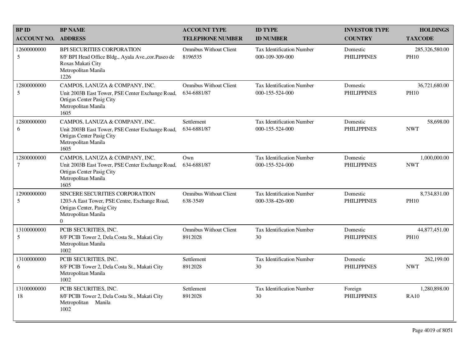| <b>BP ID</b>          | <b>BP NAME</b>                                                                                                                                   | <b>ACCOUNT TYPE</b>                          | <b>ID TYPE</b>                                      | <b>INVESTOR TYPE</b>           | <b>HOLDINGS</b>               |
|-----------------------|--------------------------------------------------------------------------------------------------------------------------------------------------|----------------------------------------------|-----------------------------------------------------|--------------------------------|-------------------------------|
| <b>ACCOUNT NO.</b>    | <b>ADDRESS</b>                                                                                                                                   | <b>TELEPHONE NUMBER</b>                      | <b>ID NUMBER</b>                                    | <b>COUNTRY</b>                 | <b>TAXCODE</b>                |
| 12600000000<br>5      | <b>BPI SECURITIES CORPORATION</b><br>8/F BPI Head Office Bldg., Ayala Ave., cor. Paseo de<br>Roxas Makati City<br>Metropolitan Manila<br>1226    | <b>Omnibus Without Client</b><br>8196535     | <b>Tax Identification Number</b><br>000-109-309-000 | Domestic<br><b>PHILIPPINES</b> | 285,326,580.00<br><b>PH10</b> |
| 12800000000<br>5      | CAMPOS, LANUZA & COMPANY, INC.<br>Unit 2003B East Tower, PSE Center Exchange Road,<br>Ortigas Center Pasig City<br>Metropolitan Manila<br>1605   | <b>Omnibus Without Client</b><br>634-6881/87 | <b>Tax Identification Number</b><br>000-155-524-000 | Domestic<br><b>PHILIPPINES</b> | 36,721,680.00<br><b>PH10</b>  |
| 12800000000<br>6      | CAMPOS, LANUZA & COMPANY, INC.<br>Unit 2003B East Tower, PSE Center Exchange Road,<br>Ortigas Center Pasig City<br>Metropolitan Manila<br>1605   | Settlement<br>634-6881/87                    | <b>Tax Identification Number</b><br>000-155-524-000 | Domestic<br><b>PHILIPPINES</b> | 58,698.00<br><b>NWT</b>       |
| 12800000000<br>$\tau$ | CAMPOS, LANUZA & COMPANY, INC.<br>Unit 2003B East Tower, PSE Center Exchange Road,<br>Ortigas Center Pasig City<br>Metropolitan Manila<br>1605   | Own<br>634-6881/87                           | <b>Tax Identification Number</b><br>000-155-524-000 | Domestic<br><b>PHILIPPINES</b> | 1,000,000.00<br><b>NWT</b>    |
| 12900000000<br>5      | SINCERE SECURITIES CORPORATION<br>1203-A East Tower, PSE Centre, Exchange Road,<br>Ortigas Center, Pasig City<br>Metropolitan Manila<br>$\Omega$ | <b>Omnibus Without Client</b><br>638-3549    | <b>Tax Identification Number</b><br>000-338-426-000 | Domestic<br><b>PHILIPPINES</b> | 8,734,831.00<br><b>PH10</b>   |
| 13100000000<br>5      | PCIB SECURITIES, INC.<br>8/F PCIB Tower 2, Dela Costa St., Makati City<br>Metropolitan Manila<br>1002                                            | <b>Omnibus Without Client</b><br>8912028     | <b>Tax Identification Number</b><br>30              | Domestic<br><b>PHILIPPINES</b> | 44,877,451.00<br><b>PH10</b>  |
| 13100000000<br>6      | PCIB SECURITIES, INC.<br>8/F PCIB Tower 2, Dela Costa St., Makati City<br>Metropolitan Manila<br>1002                                            | Settlement<br>8912028                        | <b>Tax Identification Number</b><br>30              | Domestic<br><b>PHILIPPINES</b> | 262,199.00<br><b>NWT</b>      |
| 13100000000<br>18     | PCIB SECURITIES, INC.<br>8/F PCIB Tower 2, Dela Costa St., Makati City<br>Metropolitan Manila<br>1002                                            | Settlement<br>8912028                        | <b>Tax Identification Number</b><br>30              | Foreign<br><b>PHILIPPINES</b>  | 1,280,898.00<br><b>RA10</b>   |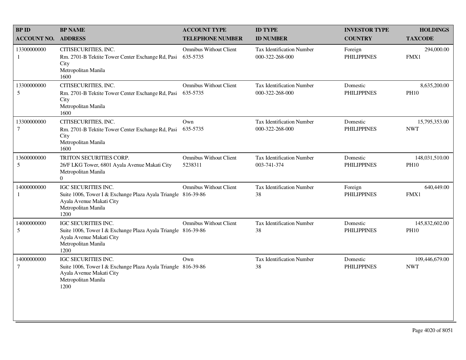| <b>BPID</b>                   | <b>BP NAME</b>                                                                                                                                  | <b>ACCOUNT TYPE</b>                       | <b>ID TYPE</b>                                      | <b>INVESTOR TYPE</b>           | <b>HOLDINGS</b>               |
|-------------------------------|-------------------------------------------------------------------------------------------------------------------------------------------------|-------------------------------------------|-----------------------------------------------------|--------------------------------|-------------------------------|
| <b>ACCOUNT NO.</b>            | <b>ADDRESS</b>                                                                                                                                  | <b>TELEPHONE NUMBER</b>                   | <b>ID NUMBER</b>                                    | <b>COUNTRY</b>                 | <b>TAXCODE</b>                |
| 13300000000<br>1              | CITISECURITIES, INC.<br>Rm. 2701-B Tektite Tower Center Exchange Rd, Pasi<br>City<br>Metropolitan Manila<br>1600                                | <b>Omnibus Without Client</b><br>635-5735 | <b>Tax Identification Number</b><br>000-322-268-000 | Foreign<br><b>PHILIPPINES</b>  | 294,000.00<br>FMX1            |
| 13300000000<br>5              | CITISECURITIES, INC.<br>Rm. 2701-B Tektite Tower Center Exchange Rd, Pasi<br>City<br>Metropolitan Manila<br>1600                                | <b>Omnibus Without Client</b><br>635-5735 | Tax Identification Number<br>000-322-268-000        | Domestic<br><b>PHILIPPINES</b> | 8,635,200.00<br><b>PH10</b>   |
| 13300000000<br>$\overline{7}$ | CITISECURITIES, INC.<br>Rm. 2701-B Tektite Tower Center Exchange Rd, Pasi<br>City<br>Metropolitan Manila<br>1600                                | Own<br>635-5735                           | <b>Tax Identification Number</b><br>000-322-268-000 | Domestic<br><b>PHILIPPINES</b> | 15,795,353.00<br><b>NWT</b>   |
| 13600000000<br>5              | TRITON SECURITIES CORP.<br>26/F LKG Tower, 6801 Ayala Avenue Makati City<br>Metropolitan Manila<br>$\Omega$                                     | <b>Omnibus Without Client</b><br>5238311  | Tax Identification Number<br>003-741-374            | Domestic<br><b>PHILIPPINES</b> | 148,031,510.00<br><b>PH10</b> |
| 14000000000<br>1              | IGC SECURITIES INC.<br>Suite 1006, Tower I & Exchange Plaza Ayala Triangle 816-39-86<br>Ayala Avenue Makati City<br>Metropolitan Manila<br>1200 | Omnibus Without Client                    | Tax Identification Number<br>38                     | Foreign<br><b>PHILIPPINES</b>  | 640,449.00<br>FMX1            |
| 14000000000<br>5              | IGC SECURITIES INC.<br>Suite 1006, Tower I & Exchange Plaza Ayala Triangle 816-39-86<br>Ayala Avenue Makati City<br>Metropolitan Manila<br>1200 | <b>Omnibus Without Client</b>             | Tax Identification Number<br>38                     | Domestic<br><b>PHILIPPINES</b> | 145,832,602.00<br><b>PH10</b> |
| 14000000000<br>$\tau$         | IGC SECURITIES INC.<br>Suite 1006, Tower I & Exchange Plaza Ayala Triangle 816-39-86<br>Ayala Avenue Makati City<br>Metropolitan Manila<br>1200 | Own                                       | Tax Identification Number<br>38                     | Domestic<br><b>PHILIPPINES</b> | 109,446,679.00<br><b>NWT</b>  |
|                               |                                                                                                                                                 |                                           |                                                     |                                |                               |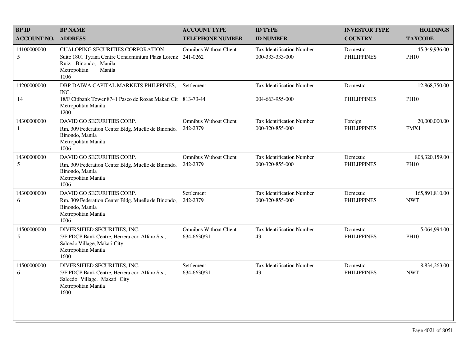| <b>BP ID</b>       | <b>BP NAME</b>                                                                                                                                                   | <b>ACCOUNT TYPE</b>                          | <b>ID TYPE</b>                                      | <b>INVESTOR TYPE</b>           | <b>HOLDINGS</b>               |
|--------------------|------------------------------------------------------------------------------------------------------------------------------------------------------------------|----------------------------------------------|-----------------------------------------------------|--------------------------------|-------------------------------|
| <b>ACCOUNT NO.</b> | <b>ADDRESS</b>                                                                                                                                                   | <b>TELEPHONE NUMBER</b>                      | <b>ID NUMBER</b>                                    | <b>COUNTRY</b>                 | <b>TAXCODE</b>                |
| 14100000000<br>5   | <b>CUALOPING SECURITIES CORPORATION</b><br>Suite 1801 Tytana Centre Condominium Plaza Lorenz 241-0262<br>Ruiz, Binondo, Manila<br>Metropolitan<br>Manila<br>1006 | <b>Omnibus Without Client</b>                | <b>Tax Identification Number</b><br>000-333-333-000 | Domestic<br><b>PHILIPPINES</b> | 45,349,936.00<br><b>PH10</b>  |
| 14200000000        | DBP-DAIWA CAPITAL MARKETS PHILPPINES,<br>INC.                                                                                                                    | Settlement                                   | Tax Identification Number                           | Domestic                       | 12,868,750.00                 |
| 14                 | 18/F Citibank Tower 8741 Paseo de Roxas Makati Cit 813-73-44<br>Metropolitan Manila<br>1200                                                                      |                                              | 004-663-955-000                                     | <b>PHILIPPINES</b>             | <b>PH10</b>                   |
| 14300000000<br>1   | DAVID GO SECURITIES CORP.<br>Rm. 309 Federation Center Bldg. Muelle de Binondo,<br>Binondo, Manila<br>Metropolitan Manila<br>1006                                | <b>Omnibus Without Client</b><br>242-2379    | <b>Tax Identification Number</b><br>000-320-855-000 | Foreign<br><b>PHILIPPINES</b>  | 20,000,000.00<br>FMX1         |
| 14300000000<br>5   | DAVID GO SECURITIES CORP.<br>Rm. 309 Federation Center Bldg. Muelle de Binondo,<br>Binondo, Manila<br>Metropolitan Manila<br>1006                                | <b>Omnibus Without Client</b><br>242-2379    | <b>Tax Identification Number</b><br>000-320-855-000 | Domestic<br><b>PHILIPPINES</b> | 808,320,159.00<br><b>PH10</b> |
| 14300000000<br>6   | DAVID GO SECURITIES CORP.<br>Rm. 309 Federation Center Bldg. Muelle de Binondo,<br>Binondo, Manila<br>Metropolitan Manila<br>1006                                | Settlement<br>242-2379                       | <b>Tax Identification Number</b><br>000-320-855-000 | Domestic<br><b>PHILIPPINES</b> | 165,891,810.00<br><b>NWT</b>  |
| 14500000000<br>5   | DIVERSIFIED SECURITIES, INC.<br>5/F PDCP Bank Centre, Herrera cor. Alfaro Sts.,<br>Salcedo Village, Makati City<br>Metropolitan Manila<br>1600                   | <b>Omnibus Without Client</b><br>634-6630/31 | <b>Tax Identification Number</b><br>43              | Domestic<br><b>PHILIPPINES</b> | 5,064,994.00<br><b>PH10</b>   |
| 14500000000<br>6   | DIVERSIFIED SECURITIES, INC.<br>5/F PDCP Bank Centre, Herrera cor. Alfaro Sts.,<br>Salcedo Village, Makati City<br>Metropolitan Manila<br>1600                   | Settlement<br>634-6630/31                    | Tax Identification Number<br>43                     | Domestic<br><b>PHILIPPINES</b> | 8,834,263.00<br><b>NWT</b>    |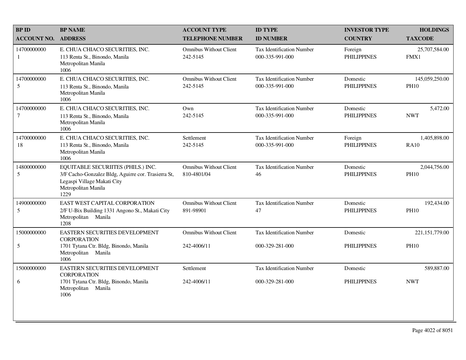| <b>BPID</b>               | <b>BP NAME</b>                                                                                                                                          | <b>ACCOUNT TYPE</b>                          | <b>ID TYPE</b>                                      | <b>INVESTOR TYPE</b>           | <b>HOLDINGS</b>               |
|---------------------------|---------------------------------------------------------------------------------------------------------------------------------------------------------|----------------------------------------------|-----------------------------------------------------|--------------------------------|-------------------------------|
| <b>ACCOUNT NO.</b>        | <b>ADDRESS</b>                                                                                                                                          | <b>TELEPHONE NUMBER</b>                      | <b>ID NUMBER</b>                                    | <b>COUNTRY</b>                 | <b>TAXCODE</b>                |
| 14700000000<br>1          | E. CHUA CHIACO SECURITIES, INC.<br>113 Renta St., Binondo, Manila<br>Metropolitan Manila<br>1006                                                        | <b>Omnibus Without Client</b><br>242-5145    | <b>Tax Identification Number</b><br>000-335-991-000 | Foreign<br><b>PHILIPPINES</b>  | 25,707,584.00<br>FMX1         |
| 14700000000<br>5          | E. CHUA CHIACO SECURITIES, INC.<br>113 Renta St., Binondo, Manila<br>Metropolitan Manila<br>1006                                                        | <b>Omnibus Without Client</b><br>242-5145    | <b>Tax Identification Number</b><br>000-335-991-000 | Domestic<br><b>PHILIPPINES</b> | 145,059,250.00<br><b>PH10</b> |
| 14700000000<br>$\tau$     | E. CHUA CHIACO SECURITIES, INC.<br>113 Renta St., Binondo, Manila<br>Metropolitan Manila<br>1006                                                        | Own<br>242-5145                              | <b>Tax Identification Number</b><br>000-335-991-000 | Domestic<br><b>PHILIPPINES</b> | 5,472.00<br><b>NWT</b>        |
| 14700000000<br>18         | E. CHUA CHIACO SECURITIES, INC.<br>113 Renta St., Binondo, Manila<br>Metropolitan Manila<br>1006                                                        | Settlement<br>242-5145                       | Tax Identification Number<br>000-335-991-000        | Foreign<br><b>PHILIPPINES</b>  | 1,405,898.00<br><b>RA10</b>   |
| 14800000000<br>$\sqrt{5}$ | EQUITABLE SECURIITES (PHILS.) INC.<br>3/F Cacho-Gonzalez Bldg, Aguirre cor. Trasierra St,<br>Legaspi Village Makati City<br>Metropolitan Manila<br>1229 | <b>Omnibus Without Client</b><br>810-4801/04 | <b>Tax Identification Number</b><br>46              | Domestic<br><b>PHILIPPINES</b> | 2,044,756.00<br><b>PH10</b>   |
| 14900000000<br>5          | EAST WEST CAPITAL CORPORATION<br>2/F U-Bix Building 1331 Angono St., Makati City<br>Metropolitan Manila<br>1208                                         | <b>Omnibus Without Client</b><br>891-98901   | Tax Identification Number<br>47                     | Domestic<br><b>PHILIPPINES</b> | 192,434.00<br><b>PH10</b>     |
| 15000000000               | EASTERN SECURITIES DEVELOPMENT<br><b>CORPORATION</b>                                                                                                    | <b>Omnibus Without Client</b>                | <b>Tax Identification Number</b>                    | Domestic                       | 221,151,779.00                |
| $\mathfrak{S}$            | 1701 Tytana Ctr. Bldg, Binondo, Manila<br>Metropolitan Manila<br>1006                                                                                   | 242-4006/11                                  | 000-329-281-000                                     | <b>PHILIPPINES</b>             | <b>PH10</b>                   |
| 15000000000               | EASTERN SECURITIES DEVELOPMENT<br><b>CORPORATION</b>                                                                                                    | Settlement                                   | <b>Tax Identification Number</b>                    | Domestic                       | 589,887.00                    |
| 6                         | 1701 Tytana Ctr. Bldg, Binondo, Manila<br>Metropolitan Manila<br>1006                                                                                   | 242-4006/11                                  | 000-329-281-000                                     | <b>PHILIPPINES</b>             | <b>NWT</b>                    |
|                           |                                                                                                                                                         |                                              |                                                     |                                |                               |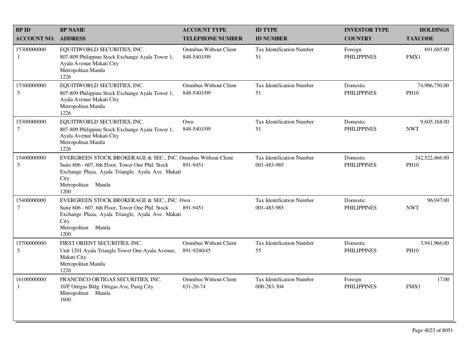| <b>BPID</b>                     | <b>BP NAME</b>                                                                                                                                                                                                 | <b>ACCOUNT TYPE</b>                          | <b>ID TYPE</b>                           | <b>INVESTOR TYPE</b>           | <b>HOLDINGS</b>               |
|---------------------------------|----------------------------------------------------------------------------------------------------------------------------------------------------------------------------------------------------------------|----------------------------------------------|------------------------------------------|--------------------------------|-------------------------------|
| <b>ACCOUNT NO.</b>              | <b>ADDRESS</b>                                                                                                                                                                                                 | <b>TELEPHONE NUMBER</b>                      | <b>ID NUMBER</b>                         | <b>COUNTRY</b>                 | <b>TAXCODE</b>                |
| 15300000000<br>1                | EQUITIWORLD SECURITIES, INC.<br>807-809 Philippine Stock Exchange Ayala Tower 1,<br>Ayala Avenue Makati City<br>Metropolitan Manila<br>1226                                                                    | <b>Omnibus Without Client</b><br>848-5401/09 | Tax Identification Number<br>51          | Foreign<br><b>PHILIPPINES</b>  | 691,685.00<br>FMX1            |
| 15300000000<br>5                | EQUITIWORLD SECURITIES, INC.<br>807-809 Philippine Stock Exchange Ayala Tower 1,<br>Ayala Avenue Makati City<br>Metropolitan Manila<br>1226                                                                    | <b>Omnibus Without Client</b><br>848-5401/09 | <b>Tax Identification Number</b><br>51   | Domestic<br><b>PHILIPPINES</b> | 74,966,750.00<br><b>PH10</b>  |
| 15300000000<br>$\tau$           | EQUITIWORLD SECURITIES, INC.<br>807-809 Philippine Stock Exchange Ayala Tower 1,<br>Ayala Avenue Makati City<br>Metropolitan Manila<br>1226                                                                    | Own<br>848-5401/09                           | Tax Identification Number<br>51          | Domestic<br><b>PHILIPPINES</b> | 9,605,168.00<br><b>NWT</b>    |
| 15400000000<br>5                | EVERGREEN STOCK BROKERAGE & SEC., INC. Omnibus Without Client<br>Suite 606 - 607, 6th Floor, Tower One Phil. Stock<br>Exchange Plaza, Ayala Triangle, Ayala Ave. Makati<br>City<br>Metropolitan Manila<br>1200 | 891-9451                                     | Tax Identification Number<br>001-483-985 | Domestic<br><b>PHILIPPINES</b> | 242,522,466.00<br><b>PH10</b> |
| 15400000000<br>$\boldsymbol{7}$ | EVERGREEN STOCK BROKERAGE & SEC., INC. Own<br>Suite 606 - 607, 6th Floor, Tower One Phil. Stock<br>Exchange Plaza, Ayala Triangle, Ayala Ave. Makati<br>City<br>Metropolitan Manila<br>1200                    | 891-9451                                     | Tax Identification Number<br>001-483-985 | Domestic<br><b>PHILIPPINES</b> | 96,947.00<br><b>NWT</b>       |
| 15700000000<br>5                | FIRST ORIENT SECURITIES, INC.<br>Unit 1201 Ayala Triangle Tower One Ayala Avenue,<br>Makati City<br>Metropolitan Manila<br>1226                                                                                | <b>Omnibus Without Client</b><br>891-9240/45 | Tax Identification Number<br>55          | Domestic<br><b>PHILIPPINES</b> | 3,941,966.00<br><b>PH10</b>   |
| 16100000000<br>-1               | FRANCISCO ORTIGAS SECURITIES, INC.<br>10/F Ortigas Bldg. Ortigas Ave, Pasig City<br>Metropolitan Manila<br>1600                                                                                                | <b>Omnibus Without Client</b><br>631-26-74   | Tax Identification Number<br>000-283-304 | Foreign<br><b>PHILIPPINES</b>  | 17.00<br>FMX1                 |
|                                 |                                                                                                                                                                                                                |                                              |                                          |                                |                               |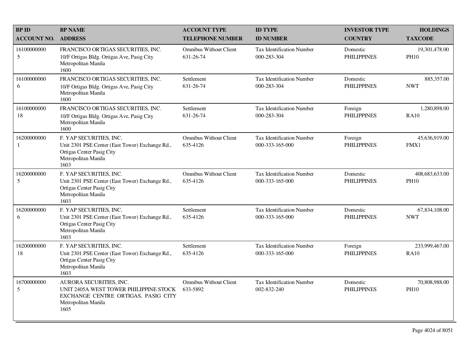| <b>BPID</b>        | <b>BP NAME</b>                                                                                                                          | <b>ACCOUNT TYPE</b>                        | <b>ID TYPE</b>                                      | <b>INVESTOR TYPE</b>           | <b>HOLDINGS</b>               |
|--------------------|-----------------------------------------------------------------------------------------------------------------------------------------|--------------------------------------------|-----------------------------------------------------|--------------------------------|-------------------------------|
| <b>ACCOUNT NO.</b> | <b>ADDRESS</b>                                                                                                                          | <b>TELEPHONE NUMBER</b>                    | <b>ID NUMBER</b>                                    | <b>COUNTRY</b>                 | <b>TAXCODE</b>                |
| 16100000000<br>5   | FRANCISCO ORTIGAS SECURITIES, INC.<br>10/F Ortigas Bldg. Ortigas Ave, Pasig City<br>Metropolitan Manila<br>1600                         | <b>Omnibus Without Client</b><br>631-26-74 | <b>Tax Identification Number</b><br>000-283-304     | Domestic<br><b>PHILIPPINES</b> | 19,301,478.00<br><b>PH10</b>  |
| 16100000000<br>6   | FRANCISCO ORTIGAS SECURITIES, INC.<br>10/F Ortigas Bldg. Ortigas Ave, Pasig City<br>Metropolitan Manila<br>1600                         | Settlement<br>631-26-74                    | <b>Tax Identification Number</b><br>000-283-304     | Domestic<br><b>PHILIPPINES</b> | 885,357.00<br><b>NWT</b>      |
| 16100000000<br>18  | FRANCISCO ORTIGAS SECURITIES, INC.<br>10/F Ortigas Bldg. Ortigas Ave, Pasig City<br>Metropolitan Manila<br>1600                         | Settlement<br>631-26-74                    | <b>Tax Identification Number</b><br>000-283-304     | Foreign<br><b>PHILIPPINES</b>  | 1,280,898.00<br><b>RA10</b>   |
| 16200000000<br>1   | F. YAP SECURITIES, INC.<br>Unit 2301 PSE Center (East Tower) Exchange Rd.,<br>Ortigas Center Pasig City<br>Metropolitan Manila<br>1603  | <b>Omnibus Without Client</b><br>635-4126  | <b>Tax Identification Number</b><br>000-333-165-000 | Foreign<br><b>PHILIPPINES</b>  | 45,636,919.00<br>FMX1         |
| 16200000000<br>5   | F. YAP SECURITIES, INC.<br>Unit 2301 PSE Center (East Tower) Exchange Rd.,<br>Ortigas Center Pasig City<br>Metropolitan Manila<br>1603  | <b>Omnibus Without Client</b><br>635-4126  | <b>Tax Identification Number</b><br>000-333-165-000 | Domestic<br><b>PHILIPPINES</b> | 408,683,633.00<br><b>PH10</b> |
| 16200000000<br>6   | F. YAP SECURITIES, INC.<br>Unit 2301 PSE Center (East Tower) Exchange Rd.,<br>Ortigas Center Pasig City<br>Metropolitan Manila<br>1603  | Settlement<br>635-4126                     | Tax Identification Number<br>000-333-165-000        | Domestic<br><b>PHILIPPINES</b> | 67,834,108.00<br><b>NWT</b>   |
| 16200000000<br>18  | F. YAP SECURITIES, INC.<br>Unit 2301 PSE Center (East Tower) Exchange Rd.,<br>Ortigas Center Pasig City<br>Metropolitan Manila<br>1603  | Settlement<br>635-4126                     | <b>Tax Identification Number</b><br>000-333-165-000 | Foreign<br><b>PHILIPPINES</b>  | 233,999,467.00<br><b>RA10</b> |
| 16700000000<br>5   | AURORA SECURITIES, INC.<br>UNIT 2405A WEST TOWER PHILIPPINE STOCK<br>EXCHANGE CENTRE ORTIGAS, PASIG CITY<br>Metropolitan Manila<br>1605 | <b>Omnibus Without Client</b><br>633-5892  | <b>Tax Identification Number</b><br>002-832-240     | Domestic<br><b>PHILIPPINES</b> | 70,808,988.00<br><b>PH10</b>  |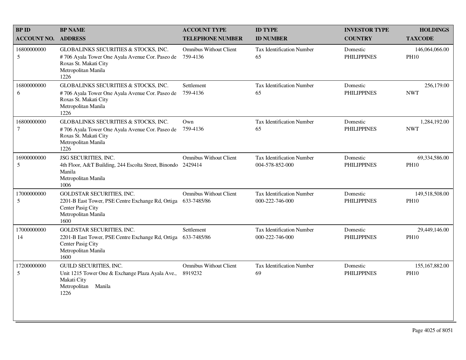| <b>BPID</b>                   | <b>BP NAME</b>                                                                                                                                  | <b>ACCOUNT TYPE</b>                          | <b>ID TYPE</b>                                      | <b>INVESTOR TYPE</b>           | <b>HOLDINGS</b>               |
|-------------------------------|-------------------------------------------------------------------------------------------------------------------------------------------------|----------------------------------------------|-----------------------------------------------------|--------------------------------|-------------------------------|
| <b>ACCOUNT NO.</b>            | <b>ADDRESS</b>                                                                                                                                  | <b>TELEPHONE NUMBER</b>                      | <b>ID NUMBER</b>                                    | <b>COUNTRY</b>                 | <b>TAXCODE</b>                |
| 16800000000<br>5              | GLOBALINKS SECURITIES & STOCKS, INC.<br>#706 Ayala Tower One Ayala Avenue Cor. Paseo de<br>Roxas St. Makati City<br>Metropolitan Manila<br>1226 | <b>Omnibus Without Client</b><br>759-4136    | <b>Tax Identification Number</b><br>65              | Domestic<br><b>PHILIPPINES</b> | 146,064,066.00<br><b>PH10</b> |
| 16800000000<br>6              | GLOBALINKS SECURITIES & STOCKS, INC.<br>#706 Ayala Tower One Ayala Avenue Cor. Paseo de<br>Roxas St. Makati City<br>Metropolitan Manila<br>1226 | Settlement<br>759-4136                       | Tax Identification Number<br>65                     | Domestic<br><b>PHILIPPINES</b> | 256,179.00<br><b>NWT</b>      |
| 16800000000<br>$\overline{7}$ | GLOBALINKS SECURITIES & STOCKS, INC.<br>#706 Ayala Tower One Ayala Avenue Cor. Paseo de<br>Roxas St. Makati City<br>Metropolitan Manila<br>1226 | Own<br>759-4136                              | <b>Tax Identification Number</b><br>65              | Domestic<br><b>PHILIPPINES</b> | 1,284,192.00<br><b>NWT</b>    |
| 16900000000<br>5              | JSG SECURITIES, INC.<br>4th Floor, A&T Building, 244 Escolta Street, Binondo 2429414<br>Manila<br>Metropolitan Manila<br>1006                   | <b>Omnibus Without Client</b>                | <b>Tax Identification Number</b><br>004-578-852-000 | Domestic<br><b>PHILIPPINES</b> | 69,334,586.00<br><b>PH10</b>  |
| 17000000000<br>5              | <b>GOLDSTAR SECURITIES, INC.</b><br>2201-B East Tower, PSE Centre Exchange Rd, Ortiga<br>Center Pasig City<br>Metropolitan Manila<br>1600       | <b>Omnibus Without Client</b><br>633-7485/86 | <b>Tax Identification Number</b><br>000-222-746-000 | Domestic<br><b>PHILIPPINES</b> | 149,518,508.00<br><b>PH10</b> |
| 17000000000<br>14             | <b>GOLDSTAR SECURITIES, INC.</b><br>2201-B East Tower, PSE Centre Exchange Rd, Ortiga<br>Center Pasig City<br>Metropolitan Manila<br>1600       | Settlement<br>633-7485/86                    | <b>Tax Identification Number</b><br>000-222-746-000 | Domestic<br><b>PHILIPPINES</b> | 29,449,146.00<br><b>PH10</b>  |
| 17200000000<br>5              | GUILD SECURITIES, INC.<br>Unit 1215 Tower One & Exchange Plaza Ayala Ave.,<br>Makati City<br>Metropolitan<br>Manila<br>1226                     | <b>Omnibus Without Client</b><br>8919232     | Tax Identification Number<br>69                     | Domestic<br><b>PHILIPPINES</b> | 155,167,882.00<br><b>PH10</b> |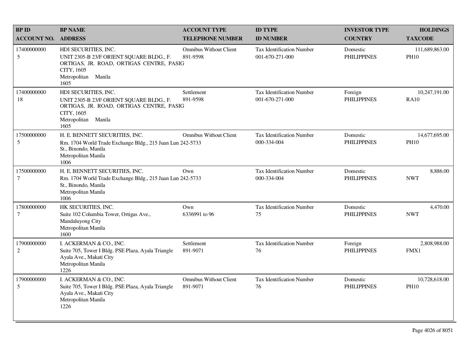| <b>BPID</b>           | <b>BP NAME</b>                                                                                                                                               | <b>ACCOUNT TYPE</b>                       | <b>ID TYPE</b>                                      | <b>INVESTOR TYPE</b>           | <b>HOLDINGS</b>               |
|-----------------------|--------------------------------------------------------------------------------------------------------------------------------------------------------------|-------------------------------------------|-----------------------------------------------------|--------------------------------|-------------------------------|
| <b>ACCOUNT NO.</b>    | <b>ADDRESS</b>                                                                                                                                               | <b>TELEPHONE NUMBER</b>                   | <b>ID NUMBER</b>                                    | <b>COUNTRY</b>                 | <b>TAXCODE</b>                |
| 17400000000<br>5      | HDI SECURITIES, INC.<br>UNIT 2305-B 23/F ORIENT SQUARE BLDG., F.<br>ORTIGAS, JR. ROAD, ORTIGAS CENTRE, PASIG<br>CITY, 1605<br>Metropolitan Manila<br>1605    | <b>Omnibus Without Client</b><br>891-9598 | <b>Tax Identification Number</b><br>001-670-271-000 | Domestic<br><b>PHILIPPINES</b> | 111,689,863.00<br><b>PH10</b> |
| 17400000000<br>18     | HDI SECURITIES, INC.<br>UNIT 2305-B 23/F ORIENT SQUARE BLDG., F.<br>ORTIGAS, JR. ROAD, ORTIGAS CENTRE, PASIG<br>CITY, 1605<br>Metropolitan<br>Manila<br>1605 | Settlement<br>891-9598                    | <b>Tax Identification Number</b><br>001-670-271-000 | Foreign<br><b>PHILIPPINES</b>  | 10,247,191.00<br><b>RA10</b>  |
| 17500000000<br>5      | H. E. BENNETT SECURITIES, INC.<br>Rm. 1704 World Trade Exchange Bldg., 215 Juan Lun 242-5733<br>St., Binondo, Manila<br>Metropolitan Manila<br>1006          | <b>Omnibus Without Client</b>             | Tax Identification Number<br>000-334-004            | Domestic<br><b>PHILIPPINES</b> | 14,677,695.00<br><b>PH10</b>  |
| 17500000000<br>$\tau$ | H. E. BENNETT SECURITIES, INC.<br>Rm. 1704 World Trade Exchange Bldg., 215 Juan Lun 242-5733<br>St., Binondo, Manila<br>Metropolitan Manila<br>1006          | Own                                       | <b>Tax Identification Number</b><br>000-334-004     | Domestic<br><b>PHILIPPINES</b> | 8,886.00<br><b>NWT</b>        |
| 17800000000<br>$\tau$ | HK SECURITIES, INC.<br>Suite 102 Columbia Tower, Ortigas Ave.,<br>Mandaluyong City<br>Metropolitan Manila<br>1600                                            | Own<br>6336991 to 96                      | <b>Tax Identification Number</b><br>75              | Domestic<br><b>PHILIPPINES</b> | 4,470.00<br><b>NWT</b>        |
| 17900000000<br>2      | I. ACKERMAN & CO., INC.<br>Suite 705, Tower I Bldg. PSE Plaza, Ayala Triangle<br>Ayala Ave., Makati City<br>Metropolitan Manila<br>1226                      | Settlement<br>891-9071                    | <b>Tax Identification Number</b><br>76              | Foreign<br><b>PHILIPPINES</b>  | 2,808,988.00<br>FMX1          |
| 17900000000<br>5      | I. ACKERMAN & CO., INC.<br>Suite 705, Tower I Bldg. PSE Plaza, Ayala Triangle<br>Ayala Ave., Makati City<br>Metropolitan Manila<br>1226                      | <b>Omnibus Without Client</b><br>891-9071 | <b>Tax Identification Number</b><br>76              | Domestic<br><b>PHILIPPINES</b> | 10,728,618.00<br><b>PH10</b>  |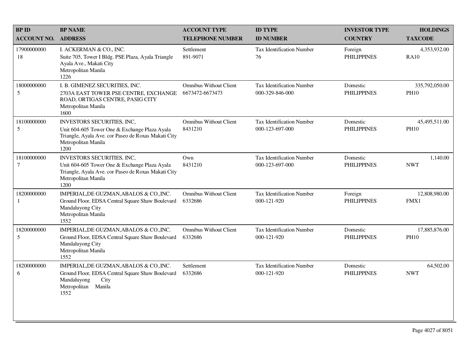| <b>BP ID</b>          | <b>BP NAME</b>                                                                                                                                                           | <b>ACCOUNT TYPE</b>                              | <b>ID TYPE</b>                                      | <b>INVESTOR TYPE</b>           | <b>HOLDINGS</b>               |
|-----------------------|--------------------------------------------------------------------------------------------------------------------------------------------------------------------------|--------------------------------------------------|-----------------------------------------------------|--------------------------------|-------------------------------|
| <b>ACCOUNT NO.</b>    | <b>ADDRESS</b>                                                                                                                                                           | <b>TELEPHONE NUMBER</b>                          | <b>ID NUMBER</b>                                    | <b>COUNTRY</b>                 | <b>TAXCODE</b>                |
| 17900000000<br>18     | I. ACKERMAN & CO., INC.<br>Suite 705, Tower I Bldg. PSE Plaza, Ayala Triangle<br>Ayala Ave., Makati City<br>Metropolitan Manila<br>1226                                  | Settlement<br>891-9071                           | <b>Tax Identification Number</b><br>76              | Foreign<br><b>PHILIPPINES</b>  | 4,353,932.00<br><b>RA10</b>   |
| 18000000000<br>5      | I. B. GIMENEZ SECURITIES, INC.<br>2703A EAST TOWER PSE CENTRE, EXCHANGE<br>ROAD, ORTIGAS CENTRE, PASIG CITY<br>Metropolitan Manila<br>1600                               | <b>Omnibus Without Client</b><br>6673472-6673473 | <b>Tax Identification Number</b><br>000-329-846-000 | Domestic<br><b>PHILIPPINES</b> | 335,792,050.00<br><b>PH10</b> |
| 18100000000<br>5      | <b>INVESTORS SECURITIES, INC.</b><br>Unit 604-605 Tower One & Exchange Plaza Ayala<br>Triangle, Ayala Ave. cor Paseo de Roxas Makati City<br>Metropolitan Manila<br>1200 | <b>Omnibus Without Client</b><br>8431210         | <b>Tax Identification Number</b><br>000-123-697-000 | Domestic<br><b>PHILIPPINES</b> | 45,495,511.00<br><b>PH10</b>  |
| 18100000000<br>$\tau$ | INVESTORS SECURITIES, INC,<br>Unit 604-605 Tower One & Exchange Plaza Ayala<br>Triangle, Ayala Ave. cor Paseo de Roxas Makati City<br>Metropolitan Manila<br>1200        | Own<br>8431210                                   | <b>Tax Identification Number</b><br>000-123-697-000 | Domestic<br><b>PHILIPPINES</b> | 1,140.00<br><b>NWT</b>        |
| 18200000000<br>-1     | IMPERIAL, DE GUZMAN, ABALOS & CO., INC.<br>Ground Floor, EDSA Central Square Shaw Boulevard<br>Mandaluyong City<br>Metropolitan Manila<br>1552                           | <b>Omnibus Without Client</b><br>6332686         | <b>Tax Identification Number</b><br>000-121-920     | Foreign<br><b>PHILIPPINES</b>  | 12,808,980.00<br>FMX1         |
| 18200000000<br>5      | IMPERIAL, DE GUZMAN, ABALOS & CO., INC.<br>Ground Floor, EDSA Central Square Shaw Boulevard<br>Mandaluyong City<br>Metropolitan Manila<br>1552                           | <b>Omnibus Without Client</b><br>6332686         | Tax Identification Number<br>000-121-920            | Domestic<br><b>PHILIPPINES</b> | 17,885,876.00<br><b>PH10</b>  |
| 18200000000<br>6      | IMPERIAL, DE GUZMAN, ABALOS & CO., INC.<br>Ground Floor, EDSA Central Square Shaw Boulevard<br>Mandaluyong<br>City<br>Metropolitan Manila<br>1552                        | Settlement<br>6332686                            | Tax Identification Number<br>000-121-920            | Domestic<br><b>PHILIPPINES</b> | 64,502.00<br><b>NWT</b>       |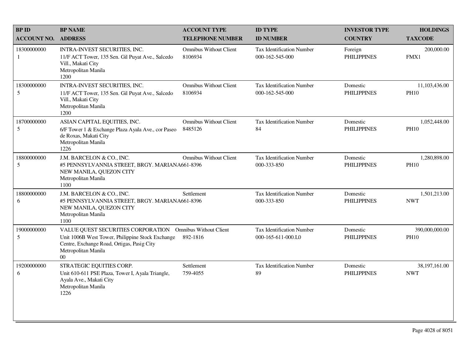| <b>BPID</b>        | <b>BP NAME</b>                                                                                                                                                                                       | <b>ACCOUNT TYPE</b>                      | <b>ID TYPE</b>                                         | <b>INVESTOR TYPE</b>           | <b>HOLDINGS</b>               |
|--------------------|------------------------------------------------------------------------------------------------------------------------------------------------------------------------------------------------------|------------------------------------------|--------------------------------------------------------|--------------------------------|-------------------------------|
| <b>ACCOUNT NO.</b> | <b>ADDRESS</b>                                                                                                                                                                                       | <b>TELEPHONE NUMBER</b>                  | <b>ID NUMBER</b>                                       | <b>COUNTRY</b>                 | <b>TAXCODE</b>                |
| 18300000000<br>1   | INTRA-INVEST SECURITIES, INC.<br>11/F ACT Tower, 135 Sen. Gil Puyat Ave., Salcedo<br>Vill., Makati City<br>Metropolitan Manila<br>1200                                                               | <b>Omnibus Without Client</b><br>8106934 | Tax Identification Number<br>000-162-545-000           | Foreign<br><b>PHILIPPINES</b>  | 200,000.00<br>FMX1            |
| 18300000000<br>5   | INTRA-INVEST SECURITIES, INC.<br>11/F ACT Tower, 135 Sen. Gil Puyat Ave., Salcedo<br>Vill., Makati City<br>Metropolitan Manila<br>1200                                                               | <b>Omnibus Without Client</b><br>8106934 | <b>Tax Identification Number</b><br>000-162-545-000    | Domestic<br><b>PHILIPPINES</b> | 11,103,436.00<br><b>PH10</b>  |
| 18700000000<br>5   | ASIAN CAPITAL EQUITIES, INC.<br>6/F Tower 1 & Exchange Plaza Ayala Ave., cor Paseo<br>de Roxas, Makati City<br>Metropolitan Manila<br>1226                                                           | <b>Omnibus Without Client</b><br>8485126 | <b>Tax Identification Number</b><br>84                 | Domestic<br><b>PHILIPPINES</b> | 1,052,448.00<br><b>PH10</b>   |
| 18800000000<br>5   | J.M. BARCELON & CO., INC.<br>#5 PENNSYLVANNIA STREET, BRGY. MARIANA661-8396<br>NEW MANILA, QUEZON CITY<br>Metropolitan Manila<br>1100                                                                | <b>Omnibus Without Client</b>            | <b>Tax Identification Number</b><br>000-333-850        | Domestic<br><b>PHILIPPINES</b> | 1,280,898.00<br><b>PH10</b>   |
| 18800000000<br>6   | J.M. BARCELON & CO., INC.<br>#5 PENNSYLVANNIA STREET, BRGY. MARIANA661-8396<br>NEW MANILA, QUEZON CITY<br>Metropolitan Manila<br>1100                                                                | Settlement                               | <b>Tax Identification Number</b><br>000-333-850        | Domestic<br><b>PHILIPPINES</b> | 1,501,213.00<br><b>NWT</b>    |
| 19000000000<br>5   | VALUE QUEST SECURITIES CORPORATION Omnibus Without Client<br>Unit 1006B West Tower, Philippine Stock Exchange<br>Centre, Exchange Road, Ortigas, Pasig City<br>Metropolitan Manila<br>0 <sub>0</sub> | 892-1816                                 | <b>Tax Identification Number</b><br>000-165-611-000.L0 | Domestic<br><b>PHILIPPINES</b> | 390,000,000.00<br><b>PH10</b> |
| 19200000000<br>6   | STRATEGIC EQUITIES CORP.<br>Unit 610-611 PSE Plaza, Tower I, Ayala Triangle,<br>Ayala Ave., Makati City<br>Metropolitan Manila<br>1226                                                               | Settlement<br>759-4055                   | Tax Identification Number<br>89                        | Domestic<br><b>PHILIPPINES</b> | 38,197,161.00<br><b>NWT</b>   |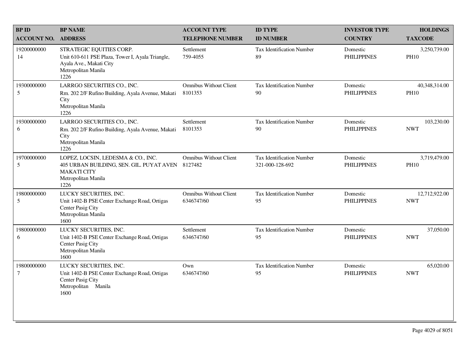| <b>BP ID</b>          | <b>BP NAME</b>                                                                                                                         | <b>ACCOUNT TYPE</b>                         | <b>ID TYPE</b>                               | <b>INVESTOR TYPE</b>           | <b>HOLDINGS</b>              |
|-----------------------|----------------------------------------------------------------------------------------------------------------------------------------|---------------------------------------------|----------------------------------------------|--------------------------------|------------------------------|
| <b>ACCOUNT NO.</b>    | <b>ADDRESS</b>                                                                                                                         | <b>TELEPHONE NUMBER</b>                     | <b>ID NUMBER</b>                             | <b>COUNTRY</b>                 | <b>TAXCODE</b>               |
| 19200000000<br>14     | STRATEGIC EQUITIES CORP.<br>Unit 610-611 PSE Plaza, Tower I, Ayala Triangle,<br>Ayala Ave., Makati City<br>Metropolitan Manila<br>1226 | Settlement<br>759-4055                      | Tax Identification Number<br>89              | Domestic<br><b>PHILIPPINES</b> | 3,250,739.00<br><b>PH10</b>  |
| 19300000000<br>5      | LARRGO SECURITIES CO., INC.<br>Rm. 202 2/F Rufino Building, Ayala Avenue, Makati<br>City<br>Metropolitan Manila<br>1226                | <b>Omnibus Without Client</b><br>8101353    | Tax Identification Number<br>90              | Domestic<br><b>PHILIPPINES</b> | 40,348,314.00<br><b>PH10</b> |
| 19300000000<br>6      | LARRGO SECURITIES CO., INC.<br>Rm. 202 2/F Rufino Building, Ayala Avenue, Makati<br>City<br>Metropolitan Manila<br>1226                | Settlement<br>8101353                       | <b>Tax Identification Number</b><br>90       | Domestic<br><b>PHILIPPINES</b> | 103,230.00<br><b>NWT</b>     |
| 19700000000<br>5      | LOPEZ, LOCSIN, LEDESMA & CO., INC.<br>405 URBAN BUILDING, SEN. GIL. PUYAT AVEN<br><b>MAKATI CITY</b><br>Metropolitan Manila<br>1226    | <b>Omnibus Without Client</b><br>8127482    | Tax Identification Number<br>321-000-128-692 | Domestic<br><b>PHILIPPINES</b> | 3,719,479.00<br><b>PH10</b>  |
| 19800000000<br>5      | LUCKY SECURITIES, INC.<br>Unit 1402-B PSE Center Exchange Road, Ortigas<br>Center Pasig City<br>Metropolitan Manila<br>1600            | <b>Omnibus Without Client</b><br>6346747/60 | Tax Identification Number<br>95              | Domestic<br><b>PHILIPPINES</b> | 12,712,922.00<br><b>NWT</b>  |
| 19800000000<br>6      | LUCKY SECURITIES, INC.<br>Unit 1402-B PSE Center Exchange Road, Ortigas<br>Center Pasig City<br>Metropolitan Manila<br>1600            | Settlement<br>6346747/60                    | <b>Tax Identification Number</b><br>95       | Domestic<br><b>PHILIPPINES</b> | 37,050.00<br><b>NWT</b>      |
| 19800000000<br>$\tau$ | LUCKY SECURITIES, INC.<br>Unit 1402-B PSE Center Exchange Road, Ortigas<br>Center Pasig City<br>Metropolitan Manila<br>1600            | Own<br>6346747/60                           | Tax Identification Number<br>95              | Domestic<br><b>PHILIPPINES</b> | 65,020.00<br><b>NWT</b>      |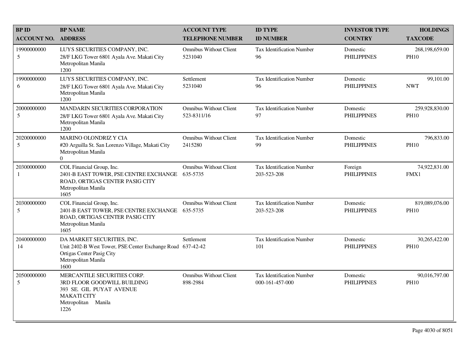| <b>BPID</b>                 | <b>BP NAME</b>                                                                                                                                       | <b>ACCOUNT TYPE</b>                          | <b>ID TYPE</b>                                      | <b>INVESTOR TYPE</b>           | <b>HOLDINGS</b>               |
|-----------------------------|------------------------------------------------------------------------------------------------------------------------------------------------------|----------------------------------------------|-----------------------------------------------------|--------------------------------|-------------------------------|
| <b>ACCOUNT NO.</b>          | <b>ADDRESS</b>                                                                                                                                       | <b>TELEPHONE NUMBER</b>                      | <b>ID NUMBER</b>                                    | <b>COUNTRY</b>                 | <b>TAXCODE</b>                |
| 19900000000<br>5            | LUYS SECURITIES COMPANY, INC.<br>28/F LKG Tower 6801 Ayala Ave. Makati City<br>Metropolitan Manila<br>1200                                           | <b>Omnibus Without Client</b><br>5231040     | <b>Tax Identification Number</b><br>96              | Domestic<br><b>PHILIPPINES</b> | 268,198,659.00<br><b>PH10</b> |
| 19900000000<br>6            | LUYS SECURITIES COMPANY, INC.<br>28/F LKG Tower 6801 Ayala Ave. Makati City<br>Metropolitan Manila<br>1200                                           | Settlement<br>5231040                        | Tax Identification Number<br>96                     | Domestic<br><b>PHILIPPINES</b> | 99,101.00<br><b>NWT</b>       |
| 20000000000<br>5            | <b>MANDARIN SECURITIES CORPORATION</b><br>28/F LKG Tower 6801 Ayala Ave. Makati City<br>Metropolitan Manila<br>1200                                  | <b>Omnibus Without Client</b><br>523-8311/16 | <b>Tax Identification Number</b><br>97              | Domestic<br><b>PHILIPPINES</b> | 259,928,830.00<br><b>PH10</b> |
| 20200000000<br>5            | MARINO OLONDRIZ Y CIA<br>#20 Arguilla St. San Lorenzo Village, Makati City<br>Metropolitan Manila<br>$\Omega$                                        | <b>Omnibus Without Client</b><br>2415280     | <b>Tax Identification Number</b><br>99              | Domestic<br><b>PHILIPPINES</b> | 796,833.00<br><b>PH10</b>     |
| 20300000000<br>$\mathbf{1}$ | COL Financial Group, Inc.<br>2401-B EAST TOWER, PSE CENTRE EXCHANGE<br>ROAD, ORTIGAS CENTER PASIG CITY<br>Metropolitan Manila<br>1605                | <b>Omnibus Without Client</b><br>635-5735    | <b>Tax Identification Number</b><br>203-523-208     | Foreign<br><b>PHILIPPINES</b>  | 74,922,831.00<br>FMX1         |
| 20300000000<br>5            | COL Financial Group, Inc.<br>2401-B EAST TOWER, PSE CENTRE EXCHANGE<br>ROAD, ORTIGAS CENTER PASIG CITY<br>Metropolitan Manila<br>1605                | <b>Omnibus Without Client</b><br>635-5735    | <b>Tax Identification Number</b><br>203-523-208     | Domestic<br><b>PHILIPPINES</b> | 819,089,076.00<br><b>PH10</b> |
| 20400000000<br>14           | DA MARKET SECURITIES, INC.<br>Unit 2402-B West Tower, PSE Center Exchange Road 637-42-42<br>Ortigas Center Pasig City<br>Metropolitan Manila<br>1600 | Settlement                                   | <b>Tax Identification Number</b><br>101             | Domestic<br><b>PHILIPPINES</b> | 30,265,422.00<br><b>PH10</b>  |
| 20500000000<br>5            | MERCANTILE SECURITIES CORP.<br>3RD FLOOR GOODWILL BUILDING<br>393 SE. GIL PUYAT AVENUE<br><b>MAKATI CITY</b><br>Metropolitan Manila<br>1226          | <b>Omnibus Without Client</b><br>898-2984    | <b>Tax Identification Number</b><br>000-161-457-000 | Domestic<br><b>PHILIPPINES</b> | 90,016,797.00<br><b>PH10</b>  |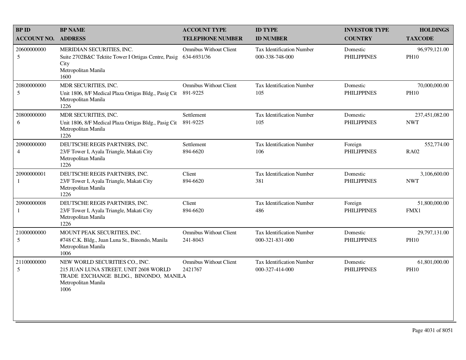| <b>BP ID</b>                  | <b>BP NAME</b>                                                                                                                                  | <b>ACCOUNT TYPE</b>                          | <b>ID TYPE</b>                                      | <b>INVESTOR TYPE</b>           | <b>HOLDINGS</b>              |
|-------------------------------|-------------------------------------------------------------------------------------------------------------------------------------------------|----------------------------------------------|-----------------------------------------------------|--------------------------------|------------------------------|
| <b>ACCOUNT NO.</b>            | <b>ADDRESS</b>                                                                                                                                  | <b>TELEPHONE NUMBER</b>                      | <b>ID NUMBER</b>                                    | <b>COUNTRY</b>                 | <b>TAXCODE</b>               |
| 20600000000<br>5              | MERIDIAN SECURITIES, INC.<br>Suite 2702B&C Tektite Tower I Ortigas Centre, Pasig<br>City<br>Metropolitan Manila<br>1600                         | <b>Omnibus Without Client</b><br>634-6931/36 | <b>Tax Identification Number</b><br>000-338-748-000 | Domestic<br><b>PHILIPPINES</b> | 96,979,121.00<br><b>PH10</b> |
| 20800000000<br>5              | MDR SECURITIES, INC.<br>Unit 1806, 8/F Medical Plaza Ortigas Bldg., Pasig Cit<br>Metropolitan Manila<br>1226                                    | <b>Omnibus Without Client</b><br>891-9225    | <b>Tax Identification Number</b><br>105             | Domestic<br><b>PHILIPPINES</b> | 70,000,000.00<br><b>PH10</b> |
| 20800000000<br>6              | MDR SECURITIES, INC.<br>Unit 1806, 8/F Medical Plaza Ortigas Bldg., Pasig Cit<br>Metropolitan Manila<br>1226                                    | Settlement<br>891-9225                       | <b>Tax Identification Number</b><br>105             | Domestic<br><b>PHILIPPINES</b> | 237,451,082.00<br><b>NWT</b> |
| 20900000000<br>$\overline{4}$ | DEUTSCHE REGIS PARTNERS, INC.<br>23/F Tower I, Ayala Triangle, Makati City<br>Metropolitan Manila<br>1226                                       | Settlement<br>894-6620                       | <b>Tax Identification Number</b><br>106             | Foreign<br><b>PHILIPPINES</b>  | 552,774.00<br><b>RA02</b>    |
| 20900000001<br>1              | DEUTSCHE REGIS PARTNERS, INC.<br>23/F Tower I, Ayala Triangle, Makati City<br>Metropolitan Manila<br>1226                                       | Client<br>894-6620                           | <b>Tax Identification Number</b><br>381             | Domestic<br><b>PHILIPPINES</b> | 3,106,600.00<br><b>NWT</b>   |
| 20900000008<br>$\mathbf{1}$   | DEUTSCHE REGIS PARTNERS, INC.<br>23/F Tower I, Ayala Triangle, Makati City<br>Metropolitan Manila<br>1226                                       | Client<br>894-6620                           | <b>Tax Identification Number</b><br>486             | Foreign<br><b>PHILIPPINES</b>  | 51,800,000.00<br>FMX1        |
| 21000000000<br>5              | MOUNT PEAK SECURITIES, INC.<br>#748 C.K. Bldg., Juan Luna St., Binondo, Manila<br>Metropolitan Manila<br>1006                                   | <b>Omnibus Without Client</b><br>241-8043    | <b>Tax Identification Number</b><br>000-321-831-000 | Domestic<br><b>PHILIPPINES</b> | 29,797,131.00<br><b>PH10</b> |
| 21100000000<br>$\mathfrak s$  | NEW WORLD SECURITIES CO., INC.<br>215 JUAN LUNA STREET, UNIT 2608 WORLD<br>TRADE EXCHANGE BLDG., BINONDO, MANILA<br>Metropolitan Manila<br>1006 | <b>Omnibus Without Client</b><br>2421767     | Tax Identification Number<br>000-327-414-000        | Domestic<br><b>PHILIPPINES</b> | 61,801,000.00<br><b>PH10</b> |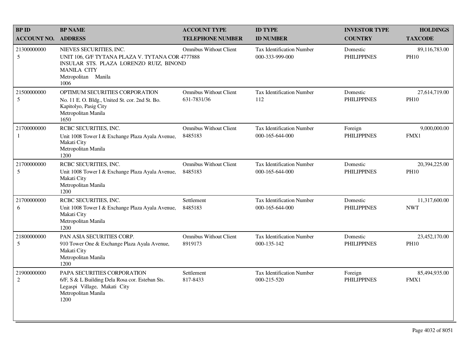| <b>BPID</b>               | <b>BP NAME</b>                                                                                                                                                              | <b>ACCOUNT TYPE</b>                          | <b>ID TYPE</b>                                      | <b>INVESTOR TYPE</b>           | <b>HOLDINGS</b>              |
|---------------------------|-----------------------------------------------------------------------------------------------------------------------------------------------------------------------------|----------------------------------------------|-----------------------------------------------------|--------------------------------|------------------------------|
| <b>ACCOUNT NO.</b>        | <b>ADDRESS</b>                                                                                                                                                              | <b>TELEPHONE NUMBER</b>                      | <b>ID NUMBER</b>                                    | <b>COUNTRY</b>                 | <b>TAXCODE</b>               |
| 21300000000<br>5          | NIEVES SECURITIES, INC.<br>UNIT 106, G/F TYTANA PLAZA V. TYTANA COR 4777888<br>INSULAR STS. PLAZA LORENZO RUIZ, BINOND<br><b>MANILA CITY</b><br>Metropolitan Manila<br>1006 | <b>Omnibus Without Client</b>                | Tax Identification Number<br>000-333-999-000        | Domestic<br><b>PHILIPPINES</b> | 89,116,783.00<br><b>PH10</b> |
| 21500000000<br>5          | OPTIMUM SECURITIES CORPORATION<br>No. 11 E. O. Bldg., United St. cor. 2nd St. Bo.<br>Kapitolyo, Pasig City<br>Metropolitan Manila<br>1650                                   | <b>Omnibus Without Client</b><br>631-7831/36 | Tax Identification Number<br>112                    | Domestic<br><b>PHILIPPINES</b> | 27,614,719.00<br><b>PH10</b> |
| 21700000000<br>1          | RCBC SECURITIES, INC.<br>Unit 1008 Tower I & Exchange Plaza Ayala Avenue,<br>Makati City<br>Metropolitan Manila<br>1200                                                     | <b>Omnibus Without Client</b><br>8485183     | <b>Tax Identification Number</b><br>000-165-644-000 | Foreign<br><b>PHILIPPINES</b>  | 9,000,000.00<br>FMX1         |
| 21700000000<br>5          | RCBC SECURITIES, INC.<br>Unit 1008 Tower I & Exchange Plaza Ayala Avenue,<br>Makati City<br>Metropolitan Manila<br>1200                                                     | <b>Omnibus Without Client</b><br>8485183     | Tax Identification Number<br>000-165-644-000        | Domestic<br><b>PHILIPPINES</b> | 20,394,225.00<br><b>PH10</b> |
| 21700000000<br>6          | RCBC SECURITIES, INC.<br>Unit 1008 Tower I & Exchange Plaza Ayala Avenue,<br>Makati City<br>Metropolitan Manila<br>1200                                                     | Settlement<br>8485183                        | Tax Identification Number<br>000-165-644-000        | Domestic<br><b>PHILIPPINES</b> | 11,317,600.00<br><b>NWT</b>  |
| 21800000000<br>5          | PAN ASIA SECURITIES CORP.<br>910 Tower One & Exchange Plaza Ayala Avenue,<br>Makati City<br>Metropolitan Manila<br>1200                                                     | <b>Omnibus Without Client</b><br>8919173     | Tax Identification Number<br>000-135-142            | Domestic<br><b>PHILIPPINES</b> | 23,452,170.00<br><b>PH10</b> |
| 21900000000<br>$\sqrt{2}$ | PAPA SECURITIES CORPORATION<br>6/F, S & L Building Dela Rosa cor. Esteban Sts.<br>Legaspi Village, Makati City<br>Metropolitan Manila<br>1200                               | Settlement<br>817-8433                       | Tax Identification Number<br>000-215-520            | Foreign<br><b>PHILIPPINES</b>  | 85,494,935.00<br>FMX1        |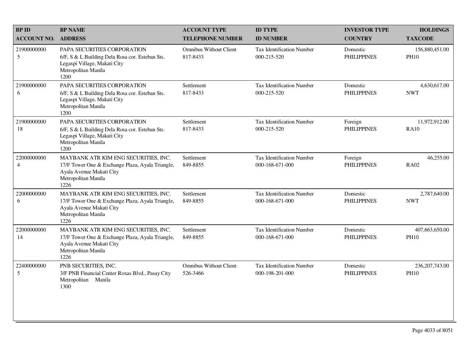| <b>BPID</b>                   | <b>BP NAME</b>                                                                                                                                      | <b>ACCOUNT TYPE</b>                       | <b>ID TYPE</b>                                      | <b>INVESTOR TYPE</b>           | <b>HOLDINGS</b>                 |
|-------------------------------|-----------------------------------------------------------------------------------------------------------------------------------------------------|-------------------------------------------|-----------------------------------------------------|--------------------------------|---------------------------------|
| <b>ACCOUNT NO. ADDRESS</b>    |                                                                                                                                                     | <b>TELEPHONE NUMBER</b>                   | <b>ID NUMBER</b>                                    | <b>COUNTRY</b>                 | <b>TAXCODE</b>                  |
| 21900000000<br>5              | PAPA SECURITIES CORPORATION<br>6/F, S & L Building Dela Rosa cor. Esteban Sts.<br>Legaspi Village, Makati City<br>Metropolitan Manila<br>1200       | <b>Omnibus Without Client</b><br>817-8433 | <b>Tax Identification Number</b><br>000-215-520     | Domestic<br><b>PHILIPPINES</b> | 156,880,451.00<br><b>PH10</b>   |
| 21900000000<br>6              | PAPA SECURITIES CORPORATION<br>6/F, S & L Building Dela Rosa cor. Esteban Sts.<br>Legaspi Village, Makati City<br>Metropolitan Manila<br>1200       | Settlement<br>817-8433                    | Tax Identification Number<br>000-215-520            | Domestic<br><b>PHILIPPINES</b> | 4,630,617.00<br><b>NWT</b>      |
| 21900000000<br>18             | PAPA SECURITIES CORPORATION<br>6/F, S & L Building Dela Rosa cor. Esteban Sts.<br>Legaspi Village, Makati City<br>Metropolitan Manila<br>1200       | Settlement<br>817-8433                    | <b>Tax Identification Number</b><br>000-215-520     | Foreign<br><b>PHILIPPINES</b>  | 11,972,912.00<br><b>RA10</b>    |
| 22000000000<br>$\overline{4}$ | MAYBANK ATR KIM ENG SECURITIES, INC.<br>17/F Tower One & Exchange Plaza, Ayala Triangle,<br>Ayala Avenue Makati City<br>Metropolitan Manila<br>1226 | Settlement<br>849-8855                    | <b>Tax Identification Number</b><br>000-168-671-000 | Foreign<br><b>PHILIPPINES</b>  | 46,255.00<br><b>RA02</b>        |
| 22000000000<br>6              | MAYBANK ATR KIM ENG SECURITIES, INC.<br>17/F Tower One & Exchange Plaza, Ayala Triangle,<br>Ayala Avenue Makati City<br>Metropolitan Manila<br>1226 | Settlement<br>849-8855                    | Tax Identification Number<br>000-168-671-000        | Domestic<br><b>PHILIPPINES</b> | 2,787,640.00<br><b>NWT</b>      |
| 22000000000<br>14             | MAYBANK ATR KIM ENG SECURITIES, INC.<br>17/F Tower One & Exchange Plaza, Ayala Triangle,<br>Ayala Avenue Makati City<br>Metropolitan Manila<br>1226 | Settlement<br>849-8855                    | <b>Tax Identification Number</b><br>000-168-671-000 | Domestic<br><b>PHILIPPINES</b> | 407,663,650.00<br><b>PH10</b>   |
| 22400000000<br>5              | PNB SECURITIES, INC.<br>3/F PNB Financial Center Roxas Blvd., Pasay City<br>Metropolitan<br>Manila<br>1300                                          | <b>Omnibus Without Client</b><br>526-3466 | <b>Tax Identification Number</b><br>000-198-201-000 | Domestic<br><b>PHILIPPINES</b> | 236, 207, 743.00<br><b>PH10</b> |
|                               |                                                                                                                                                     |                                           |                                                     |                                |                                 |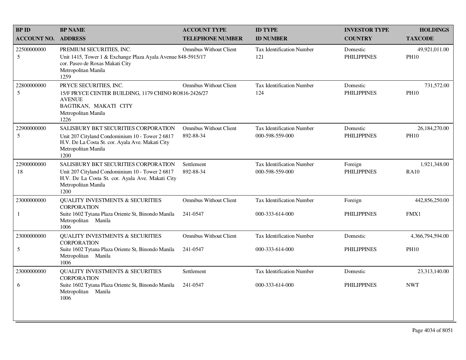| <b>BPID</b>        | <b>BP NAME</b>                                                                                                                                                             | <b>ACCOUNT TYPE</b>                        | <b>ID TYPE</b>                                      | <b>INVESTOR TYPE</b>           | <b>HOLDINGS</b>              |
|--------------------|----------------------------------------------------------------------------------------------------------------------------------------------------------------------------|--------------------------------------------|-----------------------------------------------------|--------------------------------|------------------------------|
| <b>ACCOUNT NO.</b> | <b>ADDRESS</b>                                                                                                                                                             | <b>TELEPHONE NUMBER</b>                    | <b>ID NUMBER</b>                                    | <b>COUNTRY</b>                 | <b>TAXCODE</b>               |
| 22500000000<br>5   | PREMIUM SECURITIES, INC.<br>Unit 1415, Tower 1 & Exchange Plaza Ayala Avenue 848-5915/17<br>cor. Paseo de Roxas Makati City<br>Metropolitan Manila<br>1259                 | <b>Omnibus Without Client</b>              | Tax Identification Number<br>121                    | Domestic<br><b>PHILIPPINES</b> | 49,921,011.00<br><b>PH10</b> |
| 22800000000<br>5   | PRYCE SECURITIES, INC.<br>15/F PRYCE CENTER BUILDING, 1179 CHINO RO816-2426/27<br><b>AVENUE</b><br>BAGTIKAN, MAKATI CITY<br>Metropolitan Manila<br>1226                    | <b>Omnibus Without Client</b>              | <b>Tax Identification Number</b><br>124             | Domestic<br><b>PHILIPPINES</b> | 731,572.00<br><b>PH10</b>    |
| 22900000000<br>5   | SALISBURY BKT SECURITIES CORPORATION<br>Unit 207 Cityland Condominium 10 - Tower 2 6817<br>H.V. De La Costa St. cor. Ayala Ave. Makati City<br>Metropolitan Manila<br>1200 | <b>Omnibus Without Client</b><br>892-88-34 | <b>Tax Identification Number</b><br>000-598-559-000 | Domestic<br><b>PHILIPPINES</b> | 26,184,270.00<br><b>PH10</b> |
| 22900000000<br>18  | SALISBURY BKT SECURITIES CORPORATION<br>Unit 207 Cityland Condominium 10 - Tower 2 6817<br>H.V. De La Costa St. cor. Ayala Ave. Makati City<br>Metropolitan Manila<br>1200 | Settlement<br>892-88-34                    | <b>Tax Identification Number</b><br>000-598-559-000 | Foreign<br><b>PHILIPPINES</b>  | 1,921,348.00<br><b>RA10</b>  |
| 23000000000        | <b>QUALITY INVESTMENTS &amp; SECURITIES</b><br><b>CORPORATION</b>                                                                                                          | <b>Omnibus Without Client</b>              | Tax Identification Number                           | Foreign                        | 442,856,250.00               |
| 1                  | Suite 1602 Tytana Plaza Oriente St, Binondo Manila<br>Metropolitan Manila<br>1006                                                                                          | 241-0547                                   | 000-333-614-000                                     | <b>PHILIPPINES</b>             | FMX1                         |
| 23000000000        | <b>QUALITY INVESTMENTS &amp; SECURITIES</b><br><b>CORPORATION</b>                                                                                                          | <b>Omnibus Without Client</b>              | Tax Identification Number                           | Domestic                       | 4,366,794,594.00             |
| 5                  | Suite 1602 Tytana Plaza Oriente St, Binondo Manila<br>Metropolitan Manila<br>1006                                                                                          | 241-0547                                   | 000-333-614-000                                     | <b>PHILIPPINES</b>             | <b>PH10</b>                  |
| 23000000000        | <b>QUALITY INVESTMENTS &amp; SECURITIES</b><br><b>CORPORATION</b>                                                                                                          | Settlement                                 | <b>Tax Identification Number</b>                    | Domestic                       | 23,313,140.00                |
| 6                  | Suite 1602 Tytana Plaza Oriente St, Binondo Manila<br>Metropolitan Manila<br>1006                                                                                          | 241-0547                                   | 000-333-614-000                                     | <b>PHILIPPINES</b>             | <b>NWT</b>                   |
|                    |                                                                                                                                                                            |                                            |                                                     |                                |                              |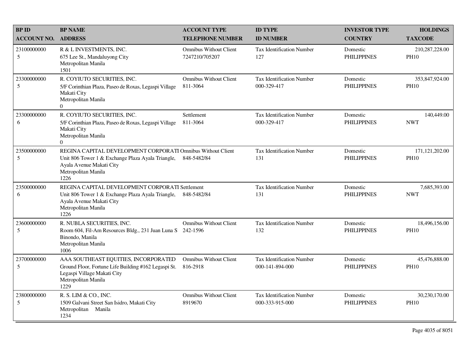| <b>BP ID</b>                  | <b>BP NAME</b>                                                                                                                                                              | <b>ACCOUNT TYPE</b>                             | <b>ID TYPE</b>                                      | <b>INVESTOR TYPE</b>           | <b>HOLDINGS</b>                 |
|-------------------------------|-----------------------------------------------------------------------------------------------------------------------------------------------------------------------------|-------------------------------------------------|-----------------------------------------------------|--------------------------------|---------------------------------|
| <b>ACCOUNT NO.</b>            | <b>ADDRESS</b>                                                                                                                                                              | <b>TELEPHONE NUMBER</b>                         | <b>ID NUMBER</b>                                    | <b>COUNTRY</b>                 | <b>TAXCODE</b>                  |
| 23100000000<br>5              | R & L INVESTMENTS, INC.<br>675 Lee St., Mandaluyong City<br>Metropolitan Manila<br>1501                                                                                     | <b>Omnibus Without Client</b><br>7247210/705207 | <b>Tax Identification Number</b><br>127             | Domestic<br><b>PHILIPPINES</b> | 210,287,228.00<br><b>PH10</b>   |
| 23300000000<br>5              | R. COYIUTO SECURITIES, INC.<br>5/F Corinthian Plaza, Paseo de Roxas, Legaspi Village<br>Makati City<br>Metropolitan Manila<br>$\Omega$                                      | Omnibus Without Client<br>811-3064              | <b>Tax Identification Number</b><br>000-329-417     | Domestic<br><b>PHILIPPINES</b> | 353,847,924.00<br><b>PH10</b>   |
| 23300000000<br>6              | R. COYIUTO SECURITIES, INC.<br>5/F Corinthian Plaza, Paseo de Roxas, Legaspi Village<br>Makati City<br>Metropolitan Manila<br>$\Omega$                                      | Settlement<br>811-3064                          | <b>Tax Identification Number</b><br>000-329-417     | Domestic<br><b>PHILIPPINES</b> | 140,449.00<br><b>NWT</b>        |
| 23500000000<br>5              | REGINA CAPITAL DEVELOPMENT CORPORATI Omnibus Without Client<br>Unit 806 Tower 1 & Exchange Plaza Ayala Triangle,<br>Ayala Avenue Makati City<br>Metropolitan Manila<br>1226 | 848-5482/84                                     | Tax Identification Number<br>131                    | Domestic<br><b>PHILIPPINES</b> | 171, 121, 202.00<br><b>PH10</b> |
| 23500000000<br>6              | REGINA CAPITAL DEVELOPMENT CORPORATI Settlement<br>Unit 806 Tower 1 & Exchange Plaza Ayala Triangle,<br>Ayala Avenue Makati City<br>Metropolitan Manila<br>1226             | 848-5482/84                                     | Tax Identification Number<br>131                    | Domestic<br><b>PHILIPPINES</b> | 7,685,393.00<br><b>NWT</b>      |
| 23600000000<br>5              | R. NUBLA SECURITIES, INC.<br>Room 604, Fil-Am Resources Bldg., 231 Juan Luna S<br>Binondo, Manila<br>Metropolitan Manila<br>1006                                            | <b>Omnibus Without Client</b><br>242-1596       | Tax Identification Number<br>132                    | Domestic<br><b>PHILIPPINES</b> | 18,496,156.00<br><b>PH10</b>    |
| 23700000000<br>5              | AAA SOUTHEAST EQUITIES, INCORPORATED<br>Ground Floor, Fortune Life Building #162 Legaspi St.<br>Legaspi Village Makati City<br>Metropolitan Manila<br>1229                  | <b>Omnibus Without Client</b><br>816-2918       | <b>Tax Identification Number</b><br>000-141-894-000 | Domestic<br><b>PHILIPPINES</b> | 45,476,888.00<br><b>PH10</b>    |
| 23800000000<br>$\mathfrak{S}$ | R. S. LIM & CO., INC.<br>1509 Galvani Street San Isidro, Makati City<br>Metropolitan Manila<br>1234                                                                         | <b>Omnibus Without Client</b><br>8919670        | Tax Identification Number<br>000-333-915-000        | Domestic<br><b>PHILIPPINES</b> | 30,230,170.00<br><b>PH10</b>    |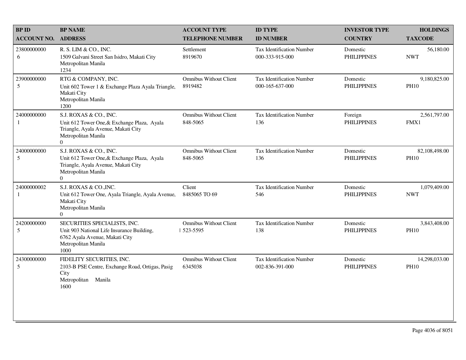| <b>BPID</b>                | <b>BP NAME</b>                                                                                                                                  | <b>ACCOUNT TYPE</b>                         | <b>ID TYPE</b>                                      | <b>INVESTOR TYPE</b>           | <b>HOLDINGS</b>              |
|----------------------------|-------------------------------------------------------------------------------------------------------------------------------------------------|---------------------------------------------|-----------------------------------------------------|--------------------------------|------------------------------|
| <b>ACCOUNT NO. ADDRESS</b> |                                                                                                                                                 | <b>TELEPHONE NUMBER</b>                     | <b>ID NUMBER</b>                                    | <b>COUNTRY</b>                 | <b>TAXCODE</b>               |
| 23800000000<br>6           | R. S. LIM & CO., INC.<br>1509 Galvani Street San Isidro, Makati City<br>Metropolitan Manila<br>1234                                             | Settlement<br>8919670                       | Tax Identification Number<br>000-333-915-000        | Domestic<br><b>PHILIPPINES</b> | 56,180.00<br><b>NWT</b>      |
| 23900000000<br>5           | RTG & COMPANY, INC.<br>Unit 602 Tower 1 & Exchange Plaza Ayala Triangle,<br>Makati City<br>Metropolitan Manila<br>1200                          | <b>Omnibus Without Client</b><br>8919482    | Tax Identification Number<br>000-165-637-000        | Domestic<br><b>PHILIPPINES</b> | 9,180,825.00<br><b>PH10</b>  |
| 24000000000<br>1           | S.J. ROXAS & CO., INC.<br>Unit 612 Tower One, & Exchange Plaza, Ayala<br>Triangle, Ayala Avenue, Makati City<br>Metropolitan Manila<br>$\Omega$ | <b>Omnibus Without Client</b><br>848-5065   | Tax Identification Number<br>136                    | Foreign<br><b>PHILIPPINES</b>  | 2,561,797.00<br>FMX1         |
| 24000000000<br>5           | S.J. ROXAS & CO., INC.<br>Unit 612 Tower One, & Exchange Plaza, Ayala<br>Triangle, Ayala Avenue, Makati City<br>Metropolitan Manila<br>$\Omega$ | <b>Omnibus Without Client</b><br>848-5065   | Tax Identification Number<br>136                    | Domestic<br><b>PHILIPPINES</b> | 82,108,498.00<br><b>PH10</b> |
| 24000000002<br>1           | S.J. ROXAS & CO., INC.<br>Unit 612 Tower One, Ayala Triangle, Ayala Avenue,<br>Makati City<br>Metropolitan Manila<br>$\overline{0}$             | Client<br>8485065 TO 69                     | Tax Identification Number<br>546                    | Domestic<br><b>PHILIPPINES</b> | 1,079,409.00<br><b>NWT</b>   |
| 24200000000<br>5           | SECURITIES SPECIALISTS, INC.<br>Unit 903 National Life Insurance Building,<br>6762 Ayala Avenue, Makati City<br>Metropolitan Manila<br>1000     | <b>Omnibus Without Client</b><br>  523-5595 | <b>Tax Identification Number</b><br>138             | Domestic<br><b>PHILIPPINES</b> | 3,843,408.00<br><b>PH10</b>  |
| 24300000000<br>5           | FIDELITY SECURITIES, INC.<br>2103-B PSE Centre, Exchange Road, Ortigas, Pasig<br>City<br>Metropolitan<br>Manila<br>1600                         | <b>Omnibus Without Client</b><br>6345038    | <b>Tax Identification Number</b><br>002-836-391-000 | Domestic<br><b>PHILIPPINES</b> | 14,298,033.00<br><b>PH10</b> |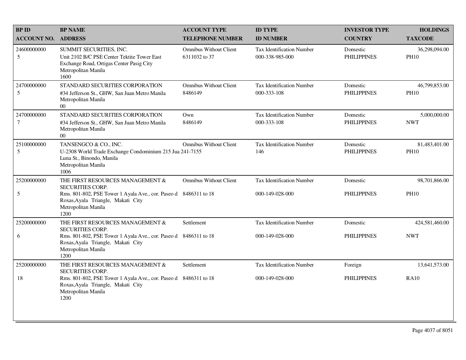| <b>BP ID</b>          | <b>BP NAME</b>                                                                                                                                            | <b>ACCOUNT TYPE</b>                            | <b>ID TYPE</b>                                      | <b>INVESTOR TYPE</b>           | <b>HOLDINGS</b>              |
|-----------------------|-----------------------------------------------------------------------------------------------------------------------------------------------------------|------------------------------------------------|-----------------------------------------------------|--------------------------------|------------------------------|
| <b>ACCOUNT NO.</b>    | <b>ADDRESS</b>                                                                                                                                            | <b>TELEPHONE NUMBER</b>                        | <b>ID NUMBER</b>                                    | <b>COUNTRY</b>                 | <b>TAXCODE</b>               |
| 24600000000<br>5      | SUMMIT SECURITIES, INC.<br>Unit 2102 B/C PSE Center Tektite Tower East<br>Exchange Road, Ortigas Center Pasig City<br>Metropolitan Manila<br>1600         | <b>Omnibus Without Client</b><br>6311032 to 37 | <b>Tax Identification Number</b><br>000-338-985-000 | Domestic<br><b>PHILIPPINES</b> | 36,298,094.00<br><b>PH10</b> |
| 24700000000<br>5      | STANDARD SECURITIES CORPORATION<br>#34 Jefferson St., GHW, San Juan Metro Manila<br>Metropolitan Manila<br>$00\,$                                         | <b>Omnibus Without Client</b><br>8486149       | <b>Tax Identification Number</b><br>000-333-108     | Domestic<br><b>PHILIPPINES</b> | 46,799,853.00<br><b>PH10</b> |
| 24700000000<br>$\tau$ | STANDARD SECURITIES CORPORATION<br>#34 Jefferson St., GHW, San Juan Metro Manila<br>Metropolitan Manila<br>$00\,$                                         | Own<br>8486149                                 | <b>Tax Identification Number</b><br>000-333-108     | Domestic<br><b>PHILIPPINES</b> | 5,000,000.00<br><b>NWT</b>   |
| 25100000000<br>5      | TANSENGCO & CO., INC.<br>U-2308 World Trade Exchange Condominium 215 Jua 241-7155<br>Luna St., Binondo, Manila<br>Metropolitan Manila<br>1006             | <b>Omnibus Without Client</b>                  | <b>Tax Identification Number</b><br>146             | Domestic<br><b>PHILIPPINES</b> | 81,483,401.00<br><b>PH10</b> |
| 25200000000           | THE FIRST RESOURCES MANAGEMENT &                                                                                                                          | <b>Omnibus Without Client</b>                  | Tax Identification Number                           | Domestic                       | 98,701,866.00                |
| $\sqrt{5}$            | SECURITIES CORP.<br>Rms. 801-802, PSE Tower 1 Ayala Ave., cor. Paseo d 8486311 to 18<br>Roxas, Ayala Triangle, Makati City<br>Metropolitan Manila<br>1200 |                                                | 000-149-028-000                                     | <b>PHILIPPINES</b>             | <b>PH10</b>                  |
| 25200000000           | THE FIRST RESOURCES MANAGEMENT $\&$<br>SECURITIES CORP.                                                                                                   | Settlement                                     | Tax Identification Number                           | Domestic                       | 424,581,460.00               |
| 6                     | Rms. 801-802, PSE Tower 1 Ayala Ave., cor. Paseo d 8486311 to 18<br>Roxas, Ayala Triangle, Makati City<br>Metropolitan Manila<br>1200                     |                                                | 000-149-028-000                                     | <b>PHILIPPINES</b>             | <b>NWT</b>                   |
| 25200000000           | THE FIRST RESOURCES MANAGEMENT &<br><b>SECURITIES CORP.</b>                                                                                               | Settlement                                     | <b>Tax Identification Number</b>                    | Foreign                        | 13,641,573.00                |
| 18                    | Rms. 801-802, PSE Tower 1 Ayala Ave., cor. Paseo d 8486311 to 18<br>Roxas, Ayala Triangle, Makati City<br>Metropolitan Manila<br>1200                     |                                                | 000-149-028-000                                     | <b>PHILIPPINES</b>             | <b>RA10</b>                  |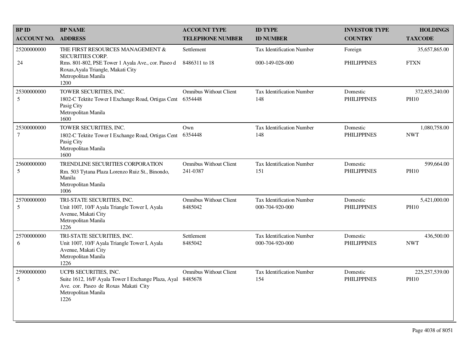| <b>BPID</b>                   | <b>BP NAME</b>                                                                                                                                      | <b>ACCOUNT TYPE</b>                       | <b>ID TYPE</b>                               | <b>INVESTOR TYPE</b>           | <b>HOLDINGS</b>                 |
|-------------------------------|-----------------------------------------------------------------------------------------------------------------------------------------------------|-------------------------------------------|----------------------------------------------|--------------------------------|---------------------------------|
| <b>ACCOUNT NO.</b>            | <b>ADDRESS</b>                                                                                                                                      | <b>TELEPHONE NUMBER</b>                   | <b>ID NUMBER</b>                             | <b>COUNTRY</b>                 | <b>TAXCODE</b>                  |
| 25200000000                   | THE FIRST RESOURCES MANAGEMENT &<br>SECURITIES CORP.                                                                                                | Settlement                                | Tax Identification Number                    | Foreign                        | 35,657,865.00                   |
| 24                            | Rms. 801-802, PSE Tower 1 Ayala Ave., cor. Paseo d<br>Roxas, Ayala Triangle, Makati City<br>Metropolitan Manila<br>1200                             | 8486311 to 18                             | 000-149-028-000                              | <b>PHILIPPINES</b>             | <b>FTXN</b>                     |
| 25300000000<br>5              | TOWER SECURITIES, INC.<br>1802-C Tektite Tower I Exchange Road, Ortigas Cent<br>Pasig City<br>Metropolitan Manila<br>1600                           | <b>Omnibus Without Client</b><br>6354448  | Tax Identification Number<br>148             | Domestic<br><b>PHILIPPINES</b> | 372,855,240.00<br><b>PH10</b>   |
| 25300000000<br>$\overline{7}$ | TOWER SECURITIES, INC.<br>1802-C Tektite Tower I Exchange Road, Ortigas Cent<br>Pasig City<br>Metropolitan Manila<br>1600                           | Own<br>6354448                            | <b>Tax Identification Number</b><br>148      | Domestic<br><b>PHILIPPINES</b> | 1,080,758.00<br><b>NWT</b>      |
| 25600000000<br>5              | TRENDLINE SECURITIES CORPORATION<br>Rm. 503 Tytana Plaza Lorenzo Ruiz St., Binondo,<br>Manila<br>Metropolitan Manila<br>1006                        | <b>Omnibus Without Client</b><br>241-0387 | <b>Tax Identification Number</b><br>151      | Domestic<br><b>PHILIPPINES</b> | 599,664.00<br><b>PH10</b>       |
| 25700000000<br>5              | TRI-STATE SECURITIES, INC.<br>Unit 1007, 10/F Ayala Triangle Tower I, Ayala<br>Avenue, Makati City<br>Metropolitan Manila<br>1226                   | <b>Omnibus Without Client</b><br>8485042  | Tax Identification Number<br>000-704-920-000 | Domestic<br><b>PHILIPPINES</b> | 5,421,000.00<br><b>PH10</b>     |
| 25700000000<br>6              | TRI-STATE SECURITIES, INC.<br>Unit 1007, 10/F Ayala Triangle Tower I, Ayala<br>Avenue, Makati City<br>Metropolitan Manila<br>1226                   | Settlement<br>8485042                     | Tax Identification Number<br>000-704-920-000 | Domestic<br><b>PHILIPPINES</b> | 436,500.00<br><b>NWT</b>        |
| 25900000000<br>5              | UCPB SECURITIES, INC.<br>Suite 1612, 16/F Ayala Tower I Exchange Plaza, Ayal<br>Ave. cor. Paseo de Roxas Makati City<br>Metropolitan Manila<br>1226 | <b>Omnibus Without Client</b><br>8485678  | <b>Tax Identification Number</b><br>154      | Domestic<br><b>PHILIPPINES</b> | 225, 257, 539.00<br><b>PH10</b> |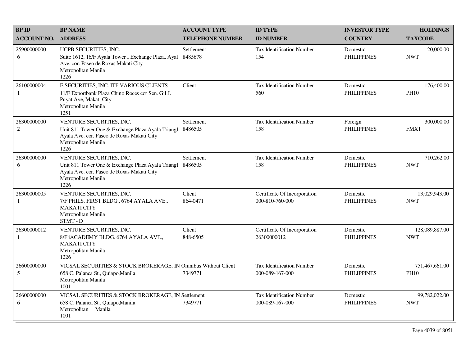| <b>BP ID</b>                  | <b>BP NAME</b>                                                                                                                                             | <b>ACCOUNT TYPE</b>     | <b>ID TYPE</b>                                  | <b>INVESTOR TYPE</b>           | <b>HOLDINGS</b>               |
|-------------------------------|------------------------------------------------------------------------------------------------------------------------------------------------------------|-------------------------|-------------------------------------------------|--------------------------------|-------------------------------|
| <b>ACCOUNT NO. ADDRESS</b>    |                                                                                                                                                            | <b>TELEPHONE NUMBER</b> | <b>ID NUMBER</b>                                | <b>COUNTRY</b>                 | <b>TAXCODE</b>                |
| 25900000000<br>6              | UCPB SECURITIES, INC.<br>Suite 1612, 16/F Ayala Tower I Exchange Plaza, Ayal<br>Ave. cor. Paseo de Roxas Makati City<br>Metropolitan Manila<br>1226        | Settlement<br>8485678   | Tax Identification Number<br>154                | Domestic<br><b>PHILIPPINES</b> | 20,000.00<br><b>NWT</b>       |
| 26100000004<br>1              | E.SECURITIES, INC. ITF VARIOUS CLIENTS<br>11/F Exportbank Plaza Chino Roces cor Sen. Gil J.<br>Puyat Ave, Makati City<br>Metropolitan Manila<br>1251       | Client                  | Tax Identification Number<br>560                | Domestic<br><b>PHILIPPINES</b> | 176,400.00<br><b>PH10</b>     |
| 26300000000<br>$\overline{2}$ | VENTURE SECURITIES, INC.<br>Unit 811 Tower One & Exchange Plaza Ayala Triangl<br>Ayala Ave. cor. Paseo de Roxas Makati City<br>Metropolitan Manila<br>1226 | Settlement<br>8486505   | Tax Identification Number<br>158                | Foreign<br><b>PHILIPPINES</b>  | 300,000.00<br>FMX1            |
| 26300000000<br>6              | VENTURE SECURITIES, INC.<br>Unit 811 Tower One & Exchange Plaza Ayala Triangl<br>Ayala Ave. cor. Paseo de Roxas Makati City<br>Metropolitan Manila<br>1226 | Settlement<br>8486505   | <b>Tax Identification Number</b><br>158         | Domestic<br><b>PHILIPPINES</b> | 710,262.00<br><b>NWT</b>      |
| 26300000005<br>1              | VENTURE SECURITIES, INC.<br>7/F PHILS. FIRST BLDG., 6764 AYALA AVE.,<br><b>MAKATI CITY</b><br>Metropolitan Manila<br>STMT - D                              | Client<br>864-0471      | Certificate Of Incorporation<br>000-810-760-000 | Domestic<br><b>PHILIPPINES</b> | 13,029,943.00<br><b>NWT</b>   |
| 26300000012<br>$\mathbf{1}$   | VENTURE SECURITIES, INC.<br>8/F iACADEMY BLDG. 6764 AYALA AVE.,<br><b>MAKATI CITY</b><br>Metropolitan Manila<br>1226                                       | Client<br>848-6505      | Certificate Of Incorporation<br>26300000012     | Domestic<br><b>PHILIPPINES</b> | 128,089,887.00<br><b>NWT</b>  |
| 26600000000<br>5              | VICSAL SECURITIES & STOCK BROKERAGE, IN Omnibus Without Client<br>658 C. Palanca St., Quiapo, Manila<br>Metropolitan Manila<br>1001                        | 7349771                 | Tax Identification Number<br>000-089-167-000    | Domestic<br><b>PHILIPPINES</b> | 751,467,661.00<br><b>PH10</b> |
| 26600000000<br>6              | VICSAL SECURITIES & STOCK BROKERAGE, IN Settlement<br>658 C. Palanca St., Quiapo, Manila<br>Metropolitan Manila<br>1001                                    | 7349771                 | Tax Identification Number<br>000-089-167-000    | Domestic<br><b>PHILIPPINES</b> | 99,782,022.00<br><b>NWT</b>   |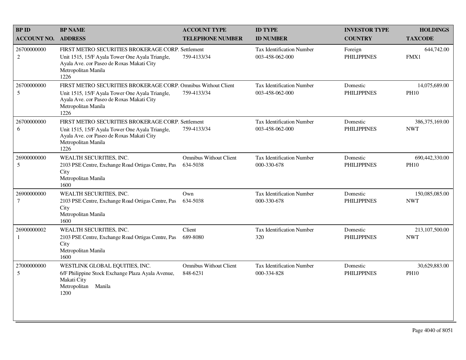| <b>BP NAME</b>                                                                                                                       | <b>ACCOUNT TYPE</b>                       | <b>ID TYPE</b>                                                                                                                                                          | <b>INVESTOR TYPE</b>           | <b>HOLDINGS</b>                |
|--------------------------------------------------------------------------------------------------------------------------------------|-------------------------------------------|-------------------------------------------------------------------------------------------------------------------------------------------------------------------------|--------------------------------|--------------------------------|
| <b>ADDRESS</b>                                                                                                                       | <b>TELEPHONE NUMBER</b>                   | <b>ID NUMBER</b>                                                                                                                                                        | <b>COUNTRY</b>                 | <b>TAXCODE</b>                 |
| Unit 1515, 15/F Ayala Tower One Ayala Triangle,<br>Ayala Ave. cor Paseo de Roxas Makati City<br>Metropolitan Manila<br>1226          | 759-4133/34                               | Tax Identification Number<br>003-458-062-000                                                                                                                            | Foreign<br><b>PHILIPPINES</b>  | 644,742.00<br>FMX1             |
| Unit 1515, 15/F Ayala Tower One Ayala Triangle,<br>Ayala Ave. cor Paseo de Roxas Makati City<br>Metropolitan Manila<br>1226          | 759-4133/34                               | Tax Identification Number<br>003-458-062-000                                                                                                                            | Domestic<br><b>PHILIPPINES</b> | 14,075,689.00<br><b>PH10</b>   |
| Unit 1515, 15/F Ayala Tower One Ayala Triangle,<br>Ayala Ave. cor Paseo de Roxas Makati City<br>Metropolitan Manila<br>1226          | 759-4133/34                               | <b>Tax Identification Number</b><br>003-458-062-000                                                                                                                     | Domestic<br><b>PHILIPPINES</b> | 386, 375, 169.00<br><b>NWT</b> |
| WEALTH SECURITIES, INC.<br>2103 PSE Centre, Exchange Road Ortigas Centre, Pas<br>City<br>Metropolitan Manila<br>1600                 | <b>Omnibus Without Client</b><br>634-5038 | Tax Identification Number<br>000-330-678                                                                                                                                | Domestic<br><b>PHILIPPINES</b> | 690,442,330.00<br><b>PH10</b>  |
| WEALTH SECURITIES, INC.<br>2103 PSE Centre, Exchange Road Ortigas Centre, Pas<br>City<br>Metropolitan Manila<br>1600                 | Own<br>634-5038                           | <b>Tax Identification Number</b><br>000-330-678                                                                                                                         | Domestic<br><b>PHILIPPINES</b> | 150,085,085.00<br><b>NWT</b>   |
| WEALTH SECURITIES, INC.<br>2103 PSE Centre, Exchange Road Ortigas Centre, Pas<br>City<br>Metropolitan Manila<br>1600                 | Client<br>689-8080                        | Tax Identification Number<br>320                                                                                                                                        | Domestic<br><b>PHILIPPINES</b> | 213,107,500.00<br><b>NWT</b>   |
| WESTLINK GLOBAL EQUITIES, INC.<br>6/F Philippine Stock Exchange Plaza Ayala Avenue,<br>Makati City<br>Metropolitan<br>Manila<br>1200 | <b>Omnibus Without Client</b><br>848-6231 | <b>Tax Identification Number</b><br>000-334-828                                                                                                                         | Domestic<br><b>PHILIPPINES</b> | 30,629,883.00<br><b>PH10</b>   |
|                                                                                                                                      |                                           | FIRST METRO SECURITIES BROKERAGE CORP. Settlement<br>FIRST METRO SECURITIES BROKERAGE CORP. Omnibus Without Client<br>FIRST METRO SECURITIES BROKERAGE CORP. Settlement |                                |                                |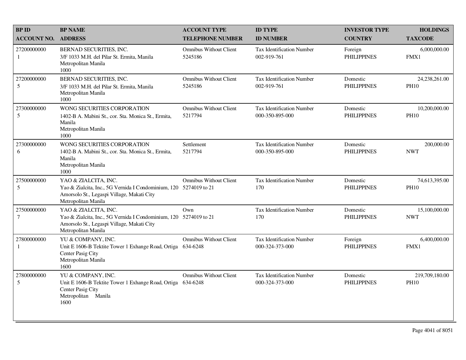| <b>BPID</b>                   | <b>BP NAME</b>                                                                                                                                                 | <b>ACCOUNT TYPE</b>                       | <b>ID TYPE</b>                                      | <b>INVESTOR TYPE</b>           | <b>HOLDINGS</b>               |
|-------------------------------|----------------------------------------------------------------------------------------------------------------------------------------------------------------|-------------------------------------------|-----------------------------------------------------|--------------------------------|-------------------------------|
| <b>ACCOUNT NO.</b>            | <b>ADDRESS</b>                                                                                                                                                 | <b>TELEPHONE NUMBER</b>                   | <b>ID NUMBER</b>                                    | <b>COUNTRY</b>                 | <b>TAXCODE</b>                |
| 27200000000<br>$\mathbf{1}$   | BERNAD SECURITIES, INC.<br>3/F 1033 M.H. del Pilar St. Ermita, Manila<br>Metropolitan Manila<br>1000                                                           | <b>Omnibus Without Client</b><br>5245186  | <b>Tax Identification Number</b><br>002-919-761     | Foreign<br><b>PHILIPPINES</b>  | 6,000,000.00<br>FMX1          |
| 27200000000<br>5              | BERNAD SECURITIES, INC.<br>3/F 1033 M.H. del Pilar St. Ermita, Manila<br>Metropolitan Manila<br>1000                                                           | <b>Omnibus Without Client</b><br>5245186  | <b>Tax Identification Number</b><br>002-919-761     | Domestic<br><b>PHILIPPINES</b> | 24,238,261.00<br><b>PH10</b>  |
| 27300000000<br>$\mathfrak{S}$ | WONG SECURITIES CORPORATION<br>1402-B A. Mabini St., cor. Sta. Monica St., Ermita,<br>Manila<br>Metropolitan Manila<br>1000                                    | <b>Omnibus Without Client</b><br>5217794  | Tax Identification Number<br>000-350-895-000        | Domestic<br><b>PHILIPPINES</b> | 10,200,000.00<br><b>PH10</b>  |
| 27300000000<br>6              | WONG SECURITIES CORPORATION<br>1402-B A. Mabini St., cor. Sta. Monica St., Ermita,<br>Manila<br>Metropolitan Manila<br>1000                                    | Settlement<br>5217794                     | <b>Tax Identification Number</b><br>000-350-895-000 | Domestic<br><b>PHILIPPINES</b> | 200,000.00<br><b>NWT</b>      |
| 27500000000<br>5              | YAO & ZIALCITA, INC.<br>Yao & Zialcita, Inc., 5G Vernida I Condominium, 120 5274019 to 21<br>Amorsolo St., Legaspi Village, Makati City<br>Metropolitan Manila | <b>Omnibus Without Client</b>             | <b>Tax Identification Number</b><br>170             | Domestic<br><b>PHILIPPINES</b> | 74,613,395.00<br><b>PH10</b>  |
| 27500000000<br>$\tau$         | YAO & ZIALCITA, INC.<br>Yao & Zialcita, Inc., 5G Vernida I Condominium, 120 5274019 to 21<br>Amorsolo St., Legaspi Village, Makati City<br>Metropolitan Manila | Own                                       | <b>Tax Identification Number</b><br>170             | Domestic<br><b>PHILIPPINES</b> | 15,100,000.00<br><b>NWT</b>   |
| 27800000000<br>1              | YU & COMPANY, INC.<br>Unit E 1606-B Tektite Tower 1 Exhange Road, Ortiga<br>Center Pasig City<br>Metropolitan Manila<br>1600                                   | <b>Omnibus Without Client</b><br>634-6248 | Tax Identification Number<br>000-324-373-000        | Foreign<br><b>PHILIPPINES</b>  | 6,400,000.00<br>FMX1          |
| 27800000000<br>5              | YU & COMPANY, INC.<br>Unit E 1606-B Tektite Tower 1 Exhange Road, Ortiga<br>Center Pasig City<br>Metropolitan Manila<br>1600                                   | <b>Omnibus Without Client</b><br>634-6248 | <b>Tax Identification Number</b><br>000-324-373-000 | Domestic<br><b>PHILIPPINES</b> | 219,709,180.00<br><b>PH10</b> |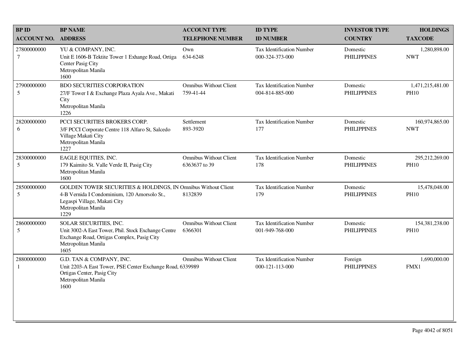| <b>BPID</b>                     | <b>BP NAME</b>                                                                                                                                                               | <b>ACCOUNT TYPE</b>                            | <b>ID TYPE</b>                                      | <b>INVESTOR TYPE</b>           | <b>HOLDINGS</b>                 |
|---------------------------------|------------------------------------------------------------------------------------------------------------------------------------------------------------------------------|------------------------------------------------|-----------------------------------------------------|--------------------------------|---------------------------------|
| <b>ACCOUNT NO.</b>              | <b>ADDRESS</b>                                                                                                                                                               | <b>TELEPHONE NUMBER</b>                        | <b>ID NUMBER</b>                                    | <b>COUNTRY</b>                 | <b>TAXCODE</b>                  |
| 27800000000<br>$\boldsymbol{7}$ | YU & COMPANY, INC.<br>Unit E 1606-B Tektite Tower 1 Exhange Road, Ortiga<br>Center Pasig City<br>Metropolitan Manila<br>1600                                                 | Own<br>634-6248                                | <b>Tax Identification Number</b><br>000-324-373-000 | Domestic<br><b>PHILIPPINES</b> | 1,280,898.00<br><b>NWT</b>      |
| 27900000000<br>5                | <b>BDO SECURITIES CORPORATION</b><br>27/F Tower I & Exchange Plaza Ayala Ave., Makati<br>City<br>Metropolitan Manila<br>1226                                                 | <b>Omnibus Without Client</b><br>759-41-44     | Tax Identification Number<br>004-814-885-000        | Domestic<br><b>PHILIPPINES</b> | 1,471,215,481.00<br><b>PH10</b> |
| 28200000000<br>6                | PCCI SECURITIES BROKERS CORP.<br>3/F PCCI Corporate Centre 118 Alfaro St, Salcedo<br>Village Makati City<br>Metropolitan Manila<br>1227                                      | Settlement<br>893-3920                         | <b>Tax Identification Number</b><br>177             | Domestic<br><b>PHILIPPINES</b> | 160,974,865.00<br><b>NWT</b>    |
| 28300000000<br>5                | EAGLE EQUITIES, INC.<br>179 Kaimito St. Valle Verde II, Pasig City<br>Metropolitan Manila<br>1600                                                                            | <b>Omnibus Without Client</b><br>6363637 to 39 | <b>Tax Identification Number</b><br>178             | Domestic<br><b>PHILIPPINES</b> | 295,212,269.00<br><b>PH10</b>   |
| 28500000000<br>5                | GOLDEN TOWER SECURITIES & HOLDINGS, IN Omnibus Without Client<br>4-B Vernida I Condominium, 120 Amorsolo St.,<br>Legaspi Village, Makati City<br>Metropolitan Manila<br>1229 | 8132839                                        | <b>Tax Identification Number</b><br>179             | Domestic<br><b>PHILIPPINES</b> | 15,478,048.00<br><b>PH10</b>    |
| 28600000000<br>$\sqrt{5}$       | SOLAR SECURITIES, INC.<br>Unit 3002-A East Tower, Phil. Stock Exchange Centre<br>Exchange Road, Ortigas Complex, Pasig City<br>Metropolitan Manila<br>1605                   | <b>Omnibus Without Client</b><br>6366301       | Tax Identification Number<br>001-949-768-000        | Domestic<br><b>PHILIPPINES</b> | 154,381,238.00<br><b>PH10</b>   |
| 28800000000<br>$\mathbf{1}$     | G.D. TAN & COMPANY, INC.<br>Unit 2203-A East Tower, PSE Center Exchange Road, 6339989<br>Ortigas Center, Pasig City<br>Metropolitan Manila<br>1600                           | <b>Omnibus Without Client</b>                  | Tax Identification Number<br>000-121-113-000        | Foreign<br><b>PHILIPPINES</b>  | 1,690,000.00<br>FMX1            |
|                                 |                                                                                                                                                                              |                                                |                                                     |                                |                                 |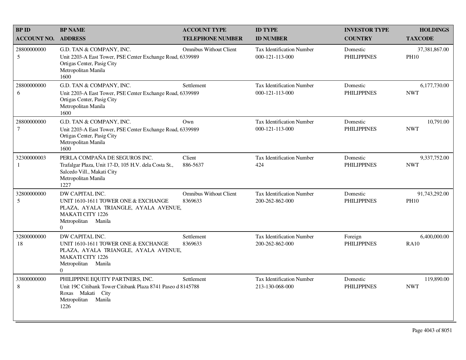| <b>BP ID</b>          | <b>BP NAME</b>                                                                                                                                                     | <b>ACCOUNT TYPE</b>                      | <b>ID TYPE</b>                                      | <b>INVESTOR TYPE</b>           | <b>HOLDINGS</b>              |
|-----------------------|--------------------------------------------------------------------------------------------------------------------------------------------------------------------|------------------------------------------|-----------------------------------------------------|--------------------------------|------------------------------|
| <b>ACCOUNT NO.</b>    | <b>ADDRESS</b>                                                                                                                                                     | <b>TELEPHONE NUMBER</b>                  | <b>ID NUMBER</b>                                    | <b>COUNTRY</b>                 | <b>TAXCODE</b>               |
| 28800000000<br>5      | G.D. TAN & COMPANY, INC.<br>Unit 2203-A East Tower, PSE Center Exchange Road, 6339989<br>Ortigas Center, Pasig City<br>Metropolitan Manila<br>1600                 | <b>Omnibus Without Client</b>            | <b>Tax Identification Number</b><br>000-121-113-000 | Domestic<br><b>PHILIPPINES</b> | 37,381,867.00<br><b>PH10</b> |
| 28800000000<br>6      | G.D. TAN & COMPANY, INC.<br>Unit 2203-A East Tower, PSE Center Exchange Road, 6339989<br>Ortigas Center, Pasig City<br>Metropolitan Manila<br>1600                 | Settlement                               | Tax Identification Number<br>000-121-113-000        | Domestic<br><b>PHILIPPINES</b> | 6,177,730.00<br><b>NWT</b>   |
| 28800000000<br>$\tau$ | G.D. TAN & COMPANY, INC.<br>Unit 2203-A East Tower, PSE Center Exchange Road, 6339989<br>Ortigas Center, Pasig City<br>Metropolitan Manila<br>1600                 | Own                                      | Tax Identification Number<br>000-121-113-000        | Domestic<br><b>PHILIPPINES</b> | 10,791.00<br><b>NWT</b>      |
| 32300000003<br>1      | PERLA COMPAÑA DE SEGUROS INC.<br>Trafalgar Plaza, Unit 17-D, 105 H.V. dela Costa St.,<br>Salcedo Vill., Makati City<br>Metropolitan Manila<br>1227                 | Client<br>886-5637                       | Tax Identification Number<br>424                    | Domestic<br><b>PHILIPPINES</b> | 9,337,752.00<br><b>NWT</b>   |
| 32800000000<br>5      | DW CAPITAL INC.<br>UNIT 1610-1611 TOWER ONE & EXCHANGE<br>PLAZA, AYALA TRIANGLE, AYALA AVENUE,<br><b>MAKATI CITY 1226</b><br>Metropolitan Manila<br>$\overline{0}$ | <b>Omnibus Without Client</b><br>8369633 | <b>Tax Identification Number</b><br>200-262-862-000 | Domestic<br><b>PHILIPPINES</b> | 91,743,292.00<br><b>PH10</b> |
| 32800000000<br>18     | DW CAPITAL INC.<br>UNIT 1610-1611 TOWER ONE & EXCHANGE<br>PLAZA, AYALA TRIANGLE, AYALA AVENUE,<br>MAKATI CITY 1226<br>Metropolitan Manila<br>$\Omega$              | Settlement<br>8369633                    | <b>Tax Identification Number</b><br>200-262-862-000 | Foreign<br><b>PHILIPPINES</b>  | 6,400,000.00<br><b>RA10</b>  |
| 33800000000<br>8      | PHILIPPINE EQUITY PARTNERS, INC.<br>Unit 19C Citibank Tower Citibank Plaza 8741 Paseo d 8145788<br>Roxas Makati City<br>Metropolitan Manila<br>1226                | Settlement                               | <b>Tax Identification Number</b><br>213-130-068-000 | Domestic<br><b>PHILIPPINES</b> | 119,890.00<br><b>NWT</b>     |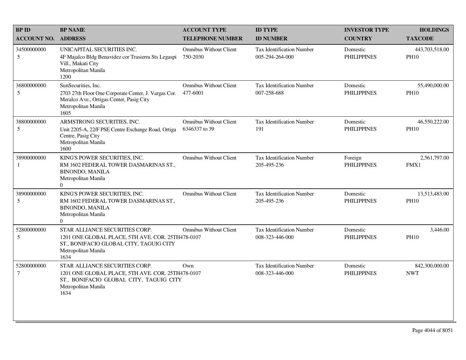| <b>BPID</b>           | <b>BP NAME</b>                                                                                                                                                | <b>ACCOUNT TYPE</b>                            | <b>ID TYPE</b>                                      | <b>INVESTOR TYPE</b>           | <b>HOLDINGS</b>               |
|-----------------------|---------------------------------------------------------------------------------------------------------------------------------------------------------------|------------------------------------------------|-----------------------------------------------------|--------------------------------|-------------------------------|
| <b>ACCOUNT NO.</b>    | <b>ADDRESS</b>                                                                                                                                                | <b>TELEPHONE NUMBER</b>                        | <b>ID NUMBER</b>                                    | <b>COUNTRY</b>                 | <b>TAXCODE</b>                |
| 34500000000<br>5      | UNICAPITAL SECURITIES INC.<br>4F Majalco Bldg Benavidez cor Trasierra Sts Legaspi<br>Vill., Makati City<br>Metropolitan Manila<br>1200                        | <b>Omnibus Without Client</b><br>750-2030      | Tax Identification Number<br>005-294-264-000        | Domestic<br><b>PHILIPPINES</b> | 443,703,518.00<br><b>PH10</b> |
| 36800000000<br>5      | SunSecurities, Inc.<br>2703 27th Floor One Corporate Center, J. Vargas Cor.<br>Meralco Ave., Ortigas Center, Pasig City<br>Metropolitan Manila<br>1605        | <b>Omnibus Without Client</b><br>477-6001      | <b>Tax Identification Number</b><br>007-258-688     | Domestic<br><b>PHILIPPINES</b> | 55,490,000.00<br><b>PH10</b>  |
| 38800000000<br>5      | ARMSTRONG SECURITIES, INC.<br>Unit 2205-A, 22/F PSE Centre Exchange Road, Ortiga<br>Centre, Pasig City<br>Metropolitan Manila<br>1600                         | <b>Omnibus Without Client</b><br>6346337 to 39 | <b>Tax Identification Number</b><br>191             | Domestic<br><b>PHILIPPINES</b> | 46,550,222.00<br><b>PH10</b>  |
| 38900000000<br>1      | KING'S POWER SECURITIES, INC.<br>RM 1602 FEDERAL TOWER DASMARINAS ST.,<br><b>BINONDO, MANILA</b><br>Metropolitan Manila<br>$\Omega$                           | <b>Omnibus Without Client</b>                  | <b>Tax Identification Number</b><br>205-495-236     | Foreign<br><b>PHILIPPINES</b>  | 2,561,797.00<br>FMX1          |
| 38900000000<br>5      | KING'S POWER SECURITIES, INC.<br>RM 1602 FEDERAL TOWER DASMARINAS ST.,<br><b>BINONDO, MANILA</b><br>Metropolitan Manila<br>$\overline{0}$                     | <b>Omnibus Without Client</b>                  | <b>Tax Identification Number</b><br>205-495-236     | Domestic<br><b>PHILIPPINES</b> | 13,513,483.00<br><b>PH10</b>  |
| 52800000000<br>5      | STAR ALLIANCE SECURITIES CORP.<br>1201 ONE GLOBAL PLACE, 5TH AVE. COR. 25TH478-0107<br>ST., BONIFACIO GLOBAL CITY, TAGUIG CITY<br>Metropolitan Manila<br>1634 | <b>Omnibus Without Client</b>                  | <b>Tax Identification Number</b><br>008-323-446-000 | Domestic<br><b>PHILIPPINES</b> | 3,446.00<br><b>PH10</b>       |
| 52800000000<br>$\tau$ | STAR ALLIANCE SECURITIES CORP.<br>1201 ONE GLOBAL PLACE, 5TH AVE. COR. 25TH478-0107<br>ST., BONIFACIO GLOBAL CITY, TAGUIG CITY<br>Metropolitan Manila<br>1634 | Own                                            | Tax Identification Number<br>008-323-446-000        | Domestic<br><b>PHILIPPINES</b> | 842,300,000.00<br><b>NWT</b>  |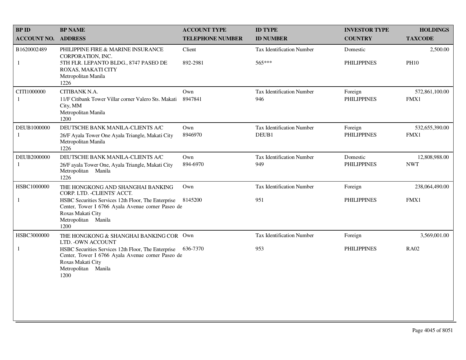| <b>BPID</b>                 | <b>BP NAME</b>                                                                                                                                                  | <b>ACCOUNT TYPE</b>     | <b>ID TYPE</b>                     | <b>INVESTOR TYPE</b>          | <b>HOLDINGS</b>        |
|-----------------------------|-----------------------------------------------------------------------------------------------------------------------------------------------------------------|-------------------------|------------------------------------|-------------------------------|------------------------|
| <b>ACCOUNT NO.</b>          | <b>ADDRESS</b>                                                                                                                                                  | <b>TELEPHONE NUMBER</b> | <b>ID NUMBER</b>                   | <b>COUNTRY</b>                | <b>TAXCODE</b>         |
| B1620002489                 | PHILIPPINE FIRE & MARINE INSURANCE<br>CORPORATION, INC.                                                                                                         | Client                  | <b>Tax Identification Number</b>   | Domestic                      | 2,500.00               |
| $\mathbf{1}$                | 5TH FLR. LEPANTO BLDG., 8747 PASEO DE<br>ROXAS, MAKATI CITY<br>Metropolitan Manila<br>1226                                                                      | 892-2981                | 565***                             | <b>PHILIPPINES</b>            | <b>PH10</b>            |
| CITI1000000<br>1            | CITIBANK N.A.<br>11/F Citibank Tower Villar corner Valero Sts. Makati<br>City, MM<br>Metropolitan Manila<br>1200                                                | Own<br>8947841          | Tax Identification Number<br>946   | Foreign<br><b>PHILIPPINES</b> | 572,861,100.00<br>FMX1 |
| DEUB1000000<br>$\mathbf{1}$ | DEUTSCHE BANK MANILA-CLIENTS A/C<br>26/F Ayala Tower One Ayala Triangle, Makati City<br>Metropolitan Manila                                                     | Own<br>8946970          | Tax Identification Number<br>DEUB1 | Foreign<br><b>PHILIPPINES</b> | 532,655,390.00<br>FMX1 |
| DEUB2000000                 | 1226<br>DEUTSCHE BANK MANILA-CLIENTS A/C                                                                                                                        | Own                     | <b>Tax Identification Number</b>   | Domestic                      | 12,808,988.00          |
| 1                           | 26/F ayala Tower One, Ayala Triangle, Makati City<br>Metropolitan Manila<br>1226                                                                                | 894-6970                | 949                                | <b>PHILIPPINES</b>            | <b>NWT</b>             |
| HSBC1000000                 | THE HONGKONG AND SHANGHAI BANKING<br>CORP. LTD. - CLIENTS' ACCT.                                                                                                | Own                     | Tax Identification Number          | Foreign                       | 238,064,490.00         |
| 1                           | HSBC Securities Services 12th Floor, The Enterprise<br>Center, Tower I 6766 Ayala Avenue corner Paseo de<br>Roxas Makati City<br>Metropolitan Manila<br>1200    | 8145200                 | 951                                | <b>PHILIPPINES</b>            | FMX1                   |
| HSBC3000000                 | THE HONGKONG & SHANGHAI BANKING COR Own<br>LTD. - OWN ACCOUNT                                                                                                   |                         | <b>Tax Identification Number</b>   | Foreign                       | 3,569,001.00           |
| $\mathbf{1}$                | HSBC Securities Services 12th Floor, The Enterprise<br>Center, Tower I 6766 Ayala Avenue corner Paseo de<br>Roxas Makati City<br>Metropolitan<br>Manila<br>1200 | 636-7370                | 953                                | <b>PHILIPPINES</b>            | <b>RA02</b>            |
|                             |                                                                                                                                                                 |                         |                                    |                               |                        |